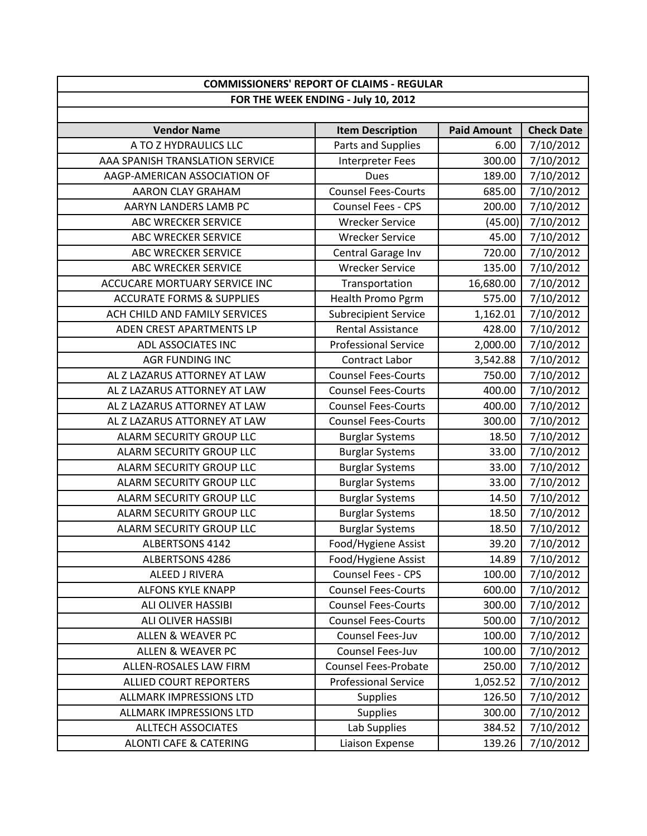| <b>COMMISSIONERS' REPORT OF CLAIMS - REGULAR</b> |                                     |                    |                   |  |
|--------------------------------------------------|-------------------------------------|--------------------|-------------------|--|
|                                                  | FOR THE WEEK ENDING - July 10, 2012 |                    |                   |  |
|                                                  |                                     |                    |                   |  |
| <b>Vendor Name</b>                               | <b>Item Description</b>             | <b>Paid Amount</b> | <b>Check Date</b> |  |
| A TO Z HYDRAULICS LLC                            | Parts and Supplies                  | 6.00               | 7/10/2012         |  |
| AAA SPANISH TRANSLATION SERVICE                  | <b>Interpreter Fees</b>             | 300.00             | 7/10/2012         |  |
| AAGP-AMERICAN ASSOCIATION OF                     | Dues                                | 189.00             | 7/10/2012         |  |
| AARON CLAY GRAHAM                                | <b>Counsel Fees-Courts</b>          | 685.00             | 7/10/2012         |  |
| AARYN LANDERS LAMB PC                            | <b>Counsel Fees - CPS</b>           | 200.00             | 7/10/2012         |  |
| <b>ABC WRECKER SERVICE</b>                       | <b>Wrecker Service</b>              | (45.00)            | 7/10/2012         |  |
| ABC WRECKER SERVICE                              | <b>Wrecker Service</b>              | 45.00              | 7/10/2012         |  |
| ABC WRECKER SERVICE                              | Central Garage Inv                  | 720.00             | 7/10/2012         |  |
| ABC WRECKER SERVICE                              | <b>Wrecker Service</b>              | 135.00             | 7/10/2012         |  |
| ACCUCARE MORTUARY SERVICE INC                    | Transportation                      | 16,680.00          | 7/10/2012         |  |
| <b>ACCURATE FORMS &amp; SUPPLIES</b>             | Health Promo Pgrm                   | 575.00             | 7/10/2012         |  |
| ACH CHILD AND FAMILY SERVICES                    | <b>Subrecipient Service</b>         | 1,162.01           | 7/10/2012         |  |
| ADEN CREST APARTMENTS LP                         | <b>Rental Assistance</b>            | 428.00             | 7/10/2012         |  |
| ADL ASSOCIATES INC                               | <b>Professional Service</b>         | 2,000.00           | 7/10/2012         |  |
| <b>AGR FUNDING INC</b>                           | <b>Contract Labor</b>               | 3,542.88           | 7/10/2012         |  |
| AL Z LAZARUS ATTORNEY AT LAW                     | <b>Counsel Fees-Courts</b>          | 750.00             | 7/10/2012         |  |
| AL Z LAZARUS ATTORNEY AT LAW                     | <b>Counsel Fees-Courts</b>          | 400.00             | 7/10/2012         |  |
| AL Z LAZARUS ATTORNEY AT LAW                     | <b>Counsel Fees-Courts</b>          | 400.00             | 7/10/2012         |  |
| AL Z LAZARUS ATTORNEY AT LAW                     | <b>Counsel Fees-Courts</b>          | 300.00             | 7/10/2012         |  |
| ALARM SECURITY GROUP LLC                         | <b>Burglar Systems</b>              | 18.50              | 7/10/2012         |  |
| ALARM SECURITY GROUP LLC                         | <b>Burglar Systems</b>              | 33.00              | 7/10/2012         |  |
| ALARM SECURITY GROUP LLC                         | <b>Burglar Systems</b>              | 33.00              | 7/10/2012         |  |
| ALARM SECURITY GROUP LLC                         | <b>Burglar Systems</b>              | 33.00              | 7/10/2012         |  |
| ALARM SECURITY GROUP LLC                         | <b>Burglar Systems</b>              | 14.50              | 7/10/2012         |  |
| ALARM SECURITY GROUP LLC                         | <b>Burglar Systems</b>              | 18.50              | 7/10/2012         |  |
| ALARM SECURITY GROUP LLC                         | <b>Burglar Systems</b>              | 18.50              | 7/10/2012         |  |
| ALBERTSONS 4142                                  | Food/Hygiene Assist                 | 39.20              | 7/10/2012         |  |
| <b>ALBERTSONS 4286</b>                           | Food/Hygiene Assist                 | 14.89              | 7/10/2012         |  |
| ALEED J RIVERA                                   | Counsel Fees - CPS                  | 100.00             | 7/10/2012         |  |
| <b>ALFONS KYLE KNAPP</b>                         | <b>Counsel Fees-Courts</b>          | 600.00             | 7/10/2012         |  |
| ALI OLIVER HASSIBI                               | <b>Counsel Fees-Courts</b>          | 300.00             | 7/10/2012         |  |
| ALI OLIVER HASSIBI                               | <b>Counsel Fees-Courts</b>          | 500.00             | 7/10/2012         |  |
| ALLEN & WEAVER PC                                | Counsel Fees-Juv                    | 100.00             | 7/10/2012         |  |
| ALLEN & WEAVER PC                                | Counsel Fees-Juv                    | 100.00             | 7/10/2012         |  |
| ALLEN-ROSALES LAW FIRM                           | <b>Counsel Fees-Probate</b>         | 250.00             | 7/10/2012         |  |
| <b>ALLIED COURT REPORTERS</b>                    | <b>Professional Service</b>         | 1,052.52           | 7/10/2012         |  |
| <b>ALLMARK IMPRESSIONS LTD</b>                   | <b>Supplies</b>                     | 126.50             | 7/10/2012         |  |
| <b>ALLMARK IMPRESSIONS LTD</b>                   | <b>Supplies</b>                     | 300.00             | 7/10/2012         |  |
| <b>ALLTECH ASSOCIATES</b>                        | Lab Supplies                        | 384.52             | 7/10/2012         |  |
| <b>ALONTI CAFE &amp; CATERING</b>                | Liaison Expense                     | 139.26             | 7/10/2012         |  |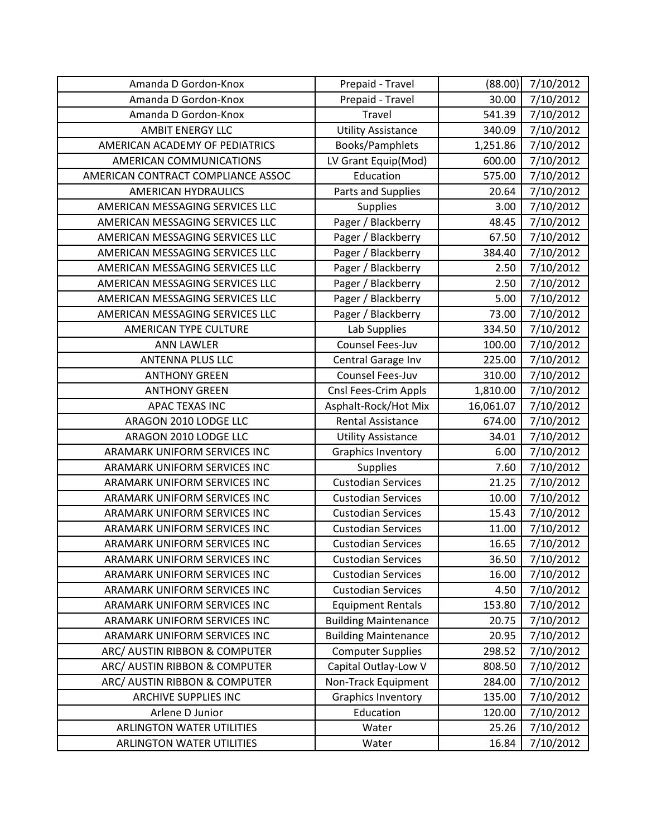| Amanda D Gordon-Knox               | Prepaid - Travel            | (88.00)   | 7/10/2012 |
|------------------------------------|-----------------------------|-----------|-----------|
| Amanda D Gordon-Knox               | Prepaid - Travel            | 30.00     | 7/10/2012 |
| Amanda D Gordon-Knox               | Travel                      | 541.39    | 7/10/2012 |
| <b>AMBIT ENERGY LLC</b>            | <b>Utility Assistance</b>   | 340.09    | 7/10/2012 |
| AMERICAN ACADEMY OF PEDIATRICS     | Books/Pamphlets             | 1,251.86  | 7/10/2012 |
| AMERICAN COMMUNICATIONS            | LV Grant Equip(Mod)         | 600.00    | 7/10/2012 |
| AMERICAN CONTRACT COMPLIANCE ASSOC | Education                   | 575.00    | 7/10/2012 |
| AMERICAN HYDRAULICS                | Parts and Supplies          | 20.64     | 7/10/2012 |
| AMERICAN MESSAGING SERVICES LLC    | <b>Supplies</b>             | 3.00      | 7/10/2012 |
| AMERICAN MESSAGING SERVICES LLC    | Pager / Blackberry          | 48.45     | 7/10/2012 |
| AMERICAN MESSAGING SERVICES LLC    | Pager / Blackberry          | 67.50     | 7/10/2012 |
| AMERICAN MESSAGING SERVICES LLC    | Pager / Blackberry          | 384.40    | 7/10/2012 |
| AMERICAN MESSAGING SERVICES LLC    | Pager / Blackberry          | 2.50      | 7/10/2012 |
| AMERICAN MESSAGING SERVICES LLC    | Pager / Blackberry          | 2.50      | 7/10/2012 |
| AMERICAN MESSAGING SERVICES LLC    | Pager / Blackberry          | 5.00      | 7/10/2012 |
| AMERICAN MESSAGING SERVICES LLC    | Pager / Blackberry          | 73.00     | 7/10/2012 |
| <b>AMERICAN TYPE CULTURE</b>       | Lab Supplies                | 334.50    | 7/10/2012 |
| <b>ANN LAWLER</b>                  | Counsel Fees-Juv            | 100.00    | 7/10/2012 |
| <b>ANTENNA PLUS LLC</b>            | Central Garage Inv          | 225.00    | 7/10/2012 |
| <b>ANTHONY GREEN</b>               | Counsel Fees-Juv            | 310.00    | 7/10/2012 |
| <b>ANTHONY GREEN</b>               | Cnsl Fees-Crim Appls        | 1,810.00  | 7/10/2012 |
| APAC TEXAS INC                     | Asphalt-Rock/Hot Mix        | 16,061.07 | 7/10/2012 |
| ARAGON 2010 LODGE LLC              | <b>Rental Assistance</b>    | 674.00    | 7/10/2012 |
| ARAGON 2010 LODGE LLC              | <b>Utility Assistance</b>   | 34.01     | 7/10/2012 |
| ARAMARK UNIFORM SERVICES INC       | <b>Graphics Inventory</b>   | 6.00      | 7/10/2012 |
| ARAMARK UNIFORM SERVICES INC       | <b>Supplies</b>             | 7.60      | 7/10/2012 |
| ARAMARK UNIFORM SERVICES INC       | <b>Custodian Services</b>   | 21.25     | 7/10/2012 |
| ARAMARK UNIFORM SERVICES INC       | <b>Custodian Services</b>   | 10.00     | 7/10/2012 |
| ARAMARK UNIFORM SERVICES INC       | <b>Custodian Services</b>   | 15.43     | 7/10/2012 |
| ARAMARK UNIFORM SERVICES INC       | <b>Custodian Services</b>   | 11.00     | 7/10/2012 |
| ARAMARK UNIFORM SERVICES INC       | <b>Custodian Services</b>   | 16.65     | 7/10/2012 |
| ARAMARK UNIFORM SERVICES INC       | <b>Custodian Services</b>   | 36.50     | 7/10/2012 |
| ARAMARK UNIFORM SERVICES INC       | <b>Custodian Services</b>   | 16.00     | 7/10/2012 |
| ARAMARK UNIFORM SERVICES INC       | <b>Custodian Services</b>   | 4.50      | 7/10/2012 |
| ARAMARK UNIFORM SERVICES INC       | <b>Equipment Rentals</b>    | 153.80    | 7/10/2012 |
| ARAMARK UNIFORM SERVICES INC       | <b>Building Maintenance</b> | 20.75     | 7/10/2012 |
| ARAMARK UNIFORM SERVICES INC       | <b>Building Maintenance</b> | 20.95     | 7/10/2012 |
| ARC/ AUSTIN RIBBON & COMPUTER      | <b>Computer Supplies</b>    | 298.52    | 7/10/2012 |
| ARC/ AUSTIN RIBBON & COMPUTER      | Capital Outlay-Low V        | 808.50    | 7/10/2012 |
| ARC/ AUSTIN RIBBON & COMPUTER      | Non-Track Equipment         | 284.00    | 7/10/2012 |
| <b>ARCHIVE SUPPLIES INC</b>        | <b>Graphics Inventory</b>   | 135.00    | 7/10/2012 |
| Arlene D Junior                    | Education                   | 120.00    | 7/10/2012 |
| <b>ARLINGTON WATER UTILITIES</b>   | Water                       | 25.26     | 7/10/2012 |
| <b>ARLINGTON WATER UTILITIES</b>   | Water                       | 16.84     | 7/10/2012 |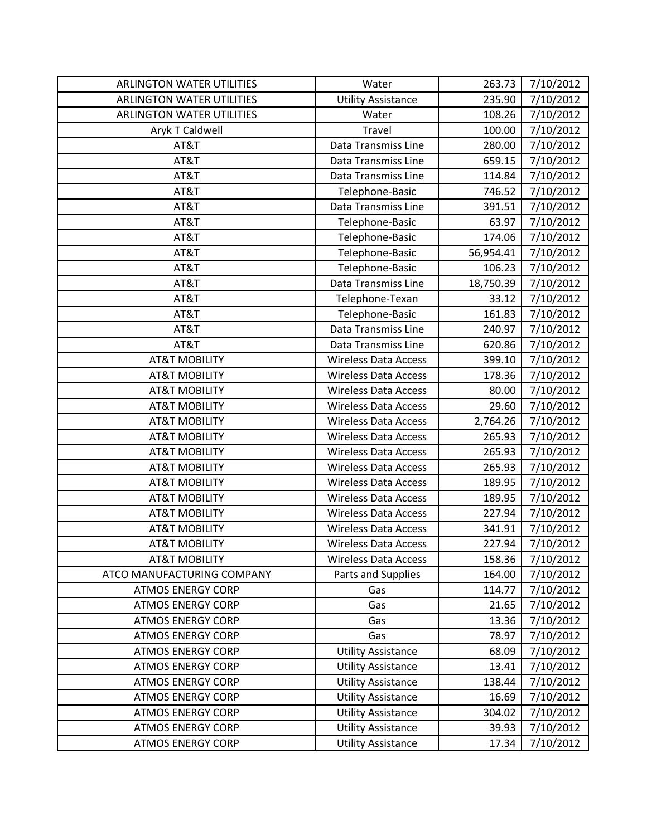| <b>ARLINGTON WATER UTILITIES</b> | Water                       | 263.73    | 7/10/2012 |
|----------------------------------|-----------------------------|-----------|-----------|
| <b>ARLINGTON WATER UTILITIES</b> | <b>Utility Assistance</b>   | 235.90    | 7/10/2012 |
| <b>ARLINGTON WATER UTILITIES</b> | Water                       | 108.26    | 7/10/2012 |
| Aryk T Caldwell                  | Travel                      | 100.00    | 7/10/2012 |
| AT&T                             | Data Transmiss Line         | 280.00    | 7/10/2012 |
| AT&T                             | <b>Data Transmiss Line</b>  | 659.15    | 7/10/2012 |
| AT&T                             | Data Transmiss Line         | 114.84    | 7/10/2012 |
| AT&T                             | Telephone-Basic             | 746.52    | 7/10/2012 |
| AT&T                             | Data Transmiss Line         | 391.51    | 7/10/2012 |
| AT&T                             | Telephone-Basic             | 63.97     | 7/10/2012 |
| AT&T                             | Telephone-Basic             | 174.06    | 7/10/2012 |
| AT&T                             | Telephone-Basic             | 56,954.41 | 7/10/2012 |
| AT&T                             | Telephone-Basic             | 106.23    | 7/10/2012 |
| AT&T                             | Data Transmiss Line         | 18,750.39 | 7/10/2012 |
| AT&T                             | Telephone-Texan             | 33.12     | 7/10/2012 |
| AT&T                             | Telephone-Basic             | 161.83    | 7/10/2012 |
| AT&T                             | Data Transmiss Line         | 240.97    | 7/10/2012 |
| AT&T                             | Data Transmiss Line         | 620.86    | 7/10/2012 |
| <b>AT&amp;T MOBILITY</b>         | <b>Wireless Data Access</b> | 399.10    | 7/10/2012 |
| <b>AT&amp;T MOBILITY</b>         | <b>Wireless Data Access</b> | 178.36    | 7/10/2012 |
| <b>AT&amp;T MOBILITY</b>         | <b>Wireless Data Access</b> | 80.00     | 7/10/2012 |
| <b>AT&amp;T MOBILITY</b>         | <b>Wireless Data Access</b> | 29.60     | 7/10/2012 |
| <b>AT&amp;T MOBILITY</b>         | <b>Wireless Data Access</b> | 2,764.26  | 7/10/2012 |
| <b>AT&amp;T MOBILITY</b>         | <b>Wireless Data Access</b> | 265.93    | 7/10/2012 |
| <b>AT&amp;T MOBILITY</b>         | <b>Wireless Data Access</b> | 265.93    | 7/10/2012 |
| <b>AT&amp;T MOBILITY</b>         | <b>Wireless Data Access</b> | 265.93    | 7/10/2012 |
| <b>AT&amp;T MOBILITY</b>         | <b>Wireless Data Access</b> | 189.95    | 7/10/2012 |
| <b>AT&amp;T MOBILITY</b>         | <b>Wireless Data Access</b> | 189.95    | 7/10/2012 |
| <b>AT&amp;T MOBILITY</b>         | <b>Wireless Data Access</b> | 227.94    | 7/10/2012 |
| <b>AT&amp;T MOBILITY</b>         | <b>Wireless Data Access</b> | 341.91    | 7/10/2012 |
| <b>AT&amp;T MOBILITY</b>         | <b>Wireless Data Access</b> | 227.94    | 7/10/2012 |
| <b>AT&amp;T MOBILITY</b>         | <b>Wireless Data Access</b> | 158.36    | 7/10/2012 |
| ATCO MANUFACTURING COMPANY       | Parts and Supplies          | 164.00    | 7/10/2012 |
| <b>ATMOS ENERGY CORP</b>         | Gas                         | 114.77    | 7/10/2012 |
| <b>ATMOS ENERGY CORP</b>         | Gas                         | 21.65     | 7/10/2012 |
| <b>ATMOS ENERGY CORP</b>         | Gas                         | 13.36     | 7/10/2012 |
| <b>ATMOS ENERGY CORP</b>         | Gas                         | 78.97     | 7/10/2012 |
| <b>ATMOS ENERGY CORP</b>         | <b>Utility Assistance</b>   | 68.09     | 7/10/2012 |
| <b>ATMOS ENERGY CORP</b>         | <b>Utility Assistance</b>   | 13.41     | 7/10/2012 |
| <b>ATMOS ENERGY CORP</b>         | <b>Utility Assistance</b>   | 138.44    | 7/10/2012 |
| <b>ATMOS ENERGY CORP</b>         | <b>Utility Assistance</b>   | 16.69     | 7/10/2012 |
| <b>ATMOS ENERGY CORP</b>         | <b>Utility Assistance</b>   | 304.02    | 7/10/2012 |
| <b>ATMOS ENERGY CORP</b>         | <b>Utility Assistance</b>   | 39.93     | 7/10/2012 |
| <b>ATMOS ENERGY CORP</b>         | <b>Utility Assistance</b>   | 17.34     | 7/10/2012 |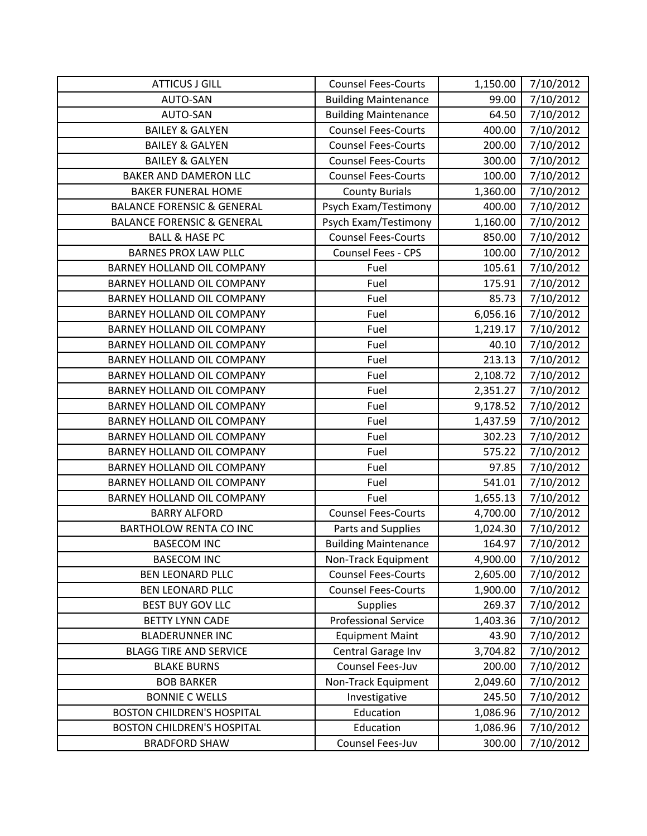| <b>ATTICUS J GILL</b>                 | <b>Counsel Fees-Courts</b>  | 1,150.00 | 7/10/2012 |
|---------------------------------------|-----------------------------|----------|-----------|
| <b>AUTO-SAN</b>                       | <b>Building Maintenance</b> | 99.00    | 7/10/2012 |
| <b>AUTO-SAN</b>                       | <b>Building Maintenance</b> | 64.50    | 7/10/2012 |
| <b>BAILEY &amp; GALYEN</b>            | <b>Counsel Fees-Courts</b>  | 400.00   | 7/10/2012 |
| <b>BAILEY &amp; GALYEN</b>            | <b>Counsel Fees-Courts</b>  | 200.00   | 7/10/2012 |
| <b>BAILEY &amp; GALYEN</b>            | <b>Counsel Fees-Courts</b>  | 300.00   | 7/10/2012 |
| <b>BAKER AND DAMERON LLC</b>          | <b>Counsel Fees-Courts</b>  | 100.00   | 7/10/2012 |
| <b>BAKER FUNERAL HOME</b>             | <b>County Burials</b>       | 1,360.00 | 7/10/2012 |
| <b>BALANCE FORENSIC &amp; GENERAL</b> | Psych Exam/Testimony        | 400.00   | 7/10/2012 |
| <b>BALANCE FORENSIC &amp; GENERAL</b> | Psych Exam/Testimony        | 1,160.00 | 7/10/2012 |
| <b>BALL &amp; HASE PC</b>             | <b>Counsel Fees-Courts</b>  | 850.00   | 7/10/2012 |
| <b>BARNES PROX LAW PLLC</b>           | <b>Counsel Fees - CPS</b>   | 100.00   | 7/10/2012 |
| BARNEY HOLLAND OIL COMPANY            | Fuel                        | 105.61   | 7/10/2012 |
| BARNEY HOLLAND OIL COMPANY            | Fuel                        | 175.91   | 7/10/2012 |
| BARNEY HOLLAND OIL COMPANY            | Fuel                        | 85.73    | 7/10/2012 |
| <b>BARNEY HOLLAND OIL COMPANY</b>     | Fuel                        | 6,056.16 | 7/10/2012 |
| BARNEY HOLLAND OIL COMPANY            | Fuel                        | 1,219.17 | 7/10/2012 |
| BARNEY HOLLAND OIL COMPANY            | Fuel                        | 40.10    | 7/10/2012 |
| <b>BARNEY HOLLAND OIL COMPANY</b>     | Fuel                        | 213.13   | 7/10/2012 |
| BARNEY HOLLAND OIL COMPANY            | Fuel                        | 2,108.72 | 7/10/2012 |
| BARNEY HOLLAND OIL COMPANY            | Fuel                        | 2,351.27 | 7/10/2012 |
| <b>BARNEY HOLLAND OIL COMPANY</b>     | Fuel                        | 9,178.52 | 7/10/2012 |
| BARNEY HOLLAND OIL COMPANY            | Fuel                        | 1,437.59 | 7/10/2012 |
| <b>BARNEY HOLLAND OIL COMPANY</b>     | Fuel                        | 302.23   | 7/10/2012 |
| <b>BARNEY HOLLAND OIL COMPANY</b>     | Fuel                        | 575.22   | 7/10/2012 |
| <b>BARNEY HOLLAND OIL COMPANY</b>     | Fuel                        | 97.85    | 7/10/2012 |
| BARNEY HOLLAND OIL COMPANY            | Fuel                        | 541.01   | 7/10/2012 |
| BARNEY HOLLAND OIL COMPANY            | Fuel                        | 1,655.13 | 7/10/2012 |
| <b>BARRY ALFORD</b>                   | <b>Counsel Fees-Courts</b>  | 4,700.00 | 7/10/2012 |
| <b>BARTHOLOW RENTA CO INC</b>         | Parts and Supplies          | 1,024.30 | 7/10/2012 |
| <b>BASECOM INC</b>                    | <b>Building Maintenance</b> | 164.97   | 7/10/2012 |
| <b>BASECOM INC</b>                    | Non-Track Equipment         | 4,900.00 | 7/10/2012 |
| <b>BEN LEONARD PLLC</b>               | <b>Counsel Fees-Courts</b>  | 2,605.00 | 7/10/2012 |
| <b>BEN LEONARD PLLC</b>               | <b>Counsel Fees-Courts</b>  | 1,900.00 | 7/10/2012 |
| <b>BEST BUY GOV LLC</b>               | Supplies                    | 269.37   | 7/10/2012 |
| <b>BETTY LYNN CADE</b>                | <b>Professional Service</b> | 1,403.36 | 7/10/2012 |
| <b>BLADERUNNER INC</b>                | <b>Equipment Maint</b>      | 43.90    | 7/10/2012 |
| <b>BLAGG TIRE AND SERVICE</b>         | Central Garage Inv          | 3,704.82 | 7/10/2012 |
| <b>BLAKE BURNS</b>                    | Counsel Fees-Juv            | 200.00   | 7/10/2012 |
| <b>BOB BARKER</b>                     | Non-Track Equipment         | 2,049.60 | 7/10/2012 |
| <b>BONNIE C WELLS</b>                 | Investigative               | 245.50   | 7/10/2012 |
| <b>BOSTON CHILDREN'S HOSPITAL</b>     | Education                   | 1,086.96 | 7/10/2012 |
| <b>BOSTON CHILDREN'S HOSPITAL</b>     | Education                   | 1,086.96 | 7/10/2012 |
| <b>BRADFORD SHAW</b>                  | Counsel Fees-Juv            | 300.00   | 7/10/2012 |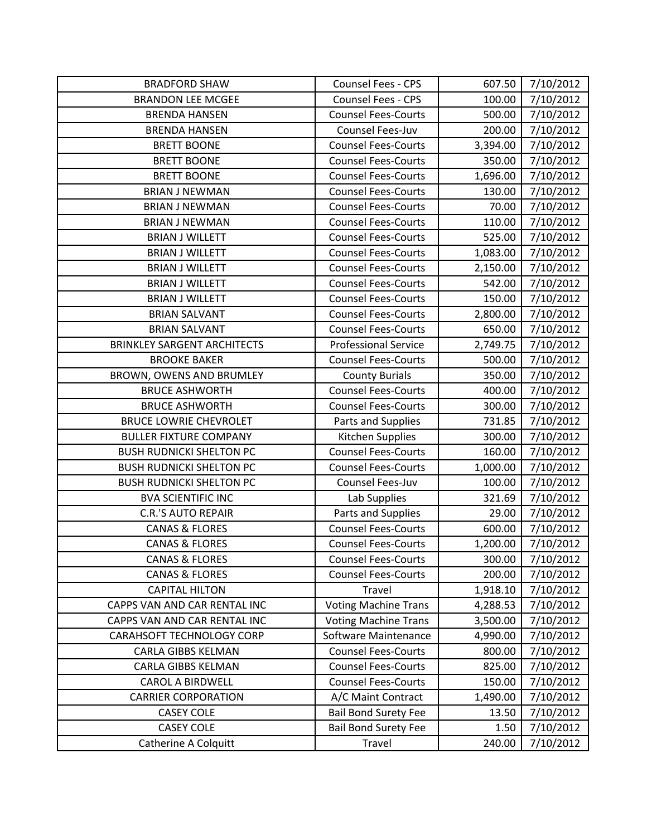| <b>BRADFORD SHAW</b>               | <b>Counsel Fees - CPS</b>   | 607.50   | 7/10/2012 |
|------------------------------------|-----------------------------|----------|-----------|
| <b>BRANDON LEE MCGEE</b>           | <b>Counsel Fees - CPS</b>   | 100.00   | 7/10/2012 |
| <b>BRENDA HANSEN</b>               | <b>Counsel Fees-Courts</b>  | 500.00   | 7/10/2012 |
| <b>BRENDA HANSEN</b>               | Counsel Fees-Juv            | 200.00   | 7/10/2012 |
| <b>BRETT BOONE</b>                 | <b>Counsel Fees-Courts</b>  | 3,394.00 | 7/10/2012 |
| <b>BRETT BOONE</b>                 | <b>Counsel Fees-Courts</b>  | 350.00   | 7/10/2012 |
| <b>BRETT BOONE</b>                 | <b>Counsel Fees-Courts</b>  | 1,696.00 | 7/10/2012 |
| <b>BRIAN J NEWMAN</b>              | <b>Counsel Fees-Courts</b>  | 130.00   | 7/10/2012 |
| <b>BRIAN J NEWMAN</b>              | <b>Counsel Fees-Courts</b>  | 70.00    | 7/10/2012 |
| <b>BRIAN J NEWMAN</b>              | <b>Counsel Fees-Courts</b>  | 110.00   | 7/10/2012 |
| <b>BRIAN J WILLETT</b>             | <b>Counsel Fees-Courts</b>  | 525.00   | 7/10/2012 |
| <b>BRIAN J WILLETT</b>             | <b>Counsel Fees-Courts</b>  | 1,083.00 | 7/10/2012 |
| <b>BRIAN J WILLETT</b>             | <b>Counsel Fees-Courts</b>  | 2,150.00 | 7/10/2012 |
| <b>BRIAN J WILLETT</b>             | <b>Counsel Fees-Courts</b>  | 542.00   | 7/10/2012 |
| <b>BRIAN J WILLETT</b>             | <b>Counsel Fees-Courts</b>  | 150.00   | 7/10/2012 |
| <b>BRIAN SALVANT</b>               | <b>Counsel Fees-Courts</b>  | 2,800.00 | 7/10/2012 |
| <b>BRIAN SALVANT</b>               | <b>Counsel Fees-Courts</b>  | 650.00   | 7/10/2012 |
| <b>BRINKLEY SARGENT ARCHITECTS</b> | <b>Professional Service</b> | 2,749.75 | 7/10/2012 |
| <b>BROOKE BAKER</b>                | <b>Counsel Fees-Courts</b>  | 500.00   | 7/10/2012 |
| BROWN, OWENS AND BRUMLEY           | <b>County Burials</b>       | 350.00   | 7/10/2012 |
| <b>BRUCE ASHWORTH</b>              | <b>Counsel Fees-Courts</b>  | 400.00   | 7/10/2012 |
| <b>BRUCE ASHWORTH</b>              | <b>Counsel Fees-Courts</b>  | 300.00   | 7/10/2012 |
| <b>BRUCE LOWRIE CHEVROLET</b>      | Parts and Supplies          | 731.85   | 7/10/2012 |
| <b>BULLER FIXTURE COMPANY</b>      | Kitchen Supplies            | 300.00   | 7/10/2012 |
| <b>BUSH RUDNICKI SHELTON PC</b>    | <b>Counsel Fees-Courts</b>  | 160.00   | 7/10/2012 |
| <b>BUSH RUDNICKI SHELTON PC</b>    | <b>Counsel Fees-Courts</b>  | 1,000.00 | 7/10/2012 |
| <b>BUSH RUDNICKI SHELTON PC</b>    | Counsel Fees-Juv            | 100.00   | 7/10/2012 |
| <b>BVA SCIENTIFIC INC</b>          | Lab Supplies                | 321.69   | 7/10/2012 |
| <b>C.R.'S AUTO REPAIR</b>          | Parts and Supplies          | 29.00    | 7/10/2012 |
| <b>CANAS &amp; FLORES</b>          | <b>Counsel Fees-Courts</b>  | 600.00   | 7/10/2012 |
| <b>CANAS &amp; FLORES</b>          | <b>Counsel Fees-Courts</b>  | 1,200.00 | 7/10/2012 |
| <b>CANAS &amp; FLORES</b>          | <b>Counsel Fees-Courts</b>  | 300.00   | 7/10/2012 |
| <b>CANAS &amp; FLORES</b>          | <b>Counsel Fees-Courts</b>  | 200.00   | 7/10/2012 |
| <b>CAPITAL HILTON</b>              | Travel                      | 1,918.10 | 7/10/2012 |
| CAPPS VAN AND CAR RENTAL INC       | <b>Voting Machine Trans</b> | 4,288.53 | 7/10/2012 |
| CAPPS VAN AND CAR RENTAL INC       | <b>Voting Machine Trans</b> | 3,500.00 | 7/10/2012 |
| CARAHSOFT TECHNOLOGY CORP          | Software Maintenance        | 4,990.00 | 7/10/2012 |
| CARLA GIBBS KELMAN                 | <b>Counsel Fees-Courts</b>  | 800.00   | 7/10/2012 |
| <b>CARLA GIBBS KELMAN</b>          | <b>Counsel Fees-Courts</b>  | 825.00   | 7/10/2012 |
| <b>CAROL A BIRDWELL</b>            | <b>Counsel Fees-Courts</b>  | 150.00   | 7/10/2012 |
| <b>CARRIER CORPORATION</b>         | A/C Maint Contract          | 1,490.00 | 7/10/2012 |
| <b>CASEY COLE</b>                  | <b>Bail Bond Surety Fee</b> | 13.50    | 7/10/2012 |
| <b>CASEY COLE</b>                  | <b>Bail Bond Surety Fee</b> | 1.50     | 7/10/2012 |
| Catherine A Colquitt               | Travel                      | 240.00   | 7/10/2012 |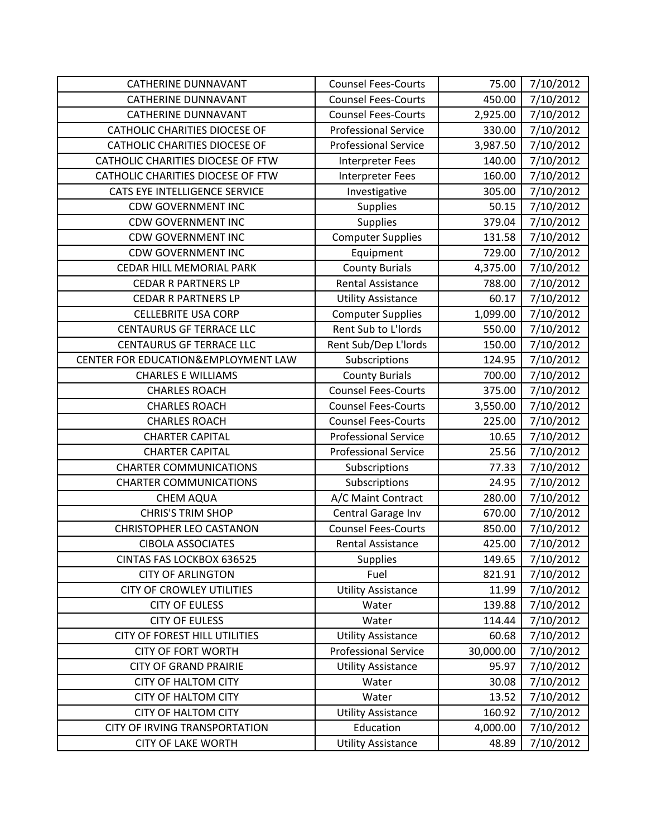| <b>CATHERINE DUNNAVANT</b>           | <b>Counsel Fees-Courts</b>  | 75.00     | 7/10/2012 |
|--------------------------------------|-----------------------------|-----------|-----------|
| <b>CATHERINE DUNNAVANT</b>           | <b>Counsel Fees-Courts</b>  | 450.00    | 7/10/2012 |
| <b>CATHERINE DUNNAVANT</b>           | <b>Counsel Fees-Courts</b>  | 2,925.00  | 7/10/2012 |
| <b>CATHOLIC CHARITIES DIOCESE OF</b> | <b>Professional Service</b> | 330.00    | 7/10/2012 |
| CATHOLIC CHARITIES DIOCESE OF        | <b>Professional Service</b> | 3,987.50  | 7/10/2012 |
| CATHOLIC CHARITIES DIOCESE OF FTW    | Interpreter Fees            | 140.00    | 7/10/2012 |
| CATHOLIC CHARITIES DIOCESE OF FTW    | Interpreter Fees            | 160.00    | 7/10/2012 |
| CATS EYE INTELLIGENCE SERVICE        | Investigative               | 305.00    | 7/10/2012 |
| <b>CDW GOVERNMENT INC</b>            | <b>Supplies</b>             | 50.15     | 7/10/2012 |
| <b>CDW GOVERNMENT INC</b>            | <b>Supplies</b>             | 379.04    | 7/10/2012 |
| <b>CDW GOVERNMENT INC</b>            | <b>Computer Supplies</b>    | 131.58    | 7/10/2012 |
| <b>CDW GOVERNMENT INC</b>            | Equipment                   | 729.00    | 7/10/2012 |
| CEDAR HILL MEMORIAL PARK             | <b>County Burials</b>       | 4,375.00  | 7/10/2012 |
| <b>CEDAR R PARTNERS LP</b>           | <b>Rental Assistance</b>    | 788.00    | 7/10/2012 |
| <b>CEDAR R PARTNERS LP</b>           | <b>Utility Assistance</b>   | 60.17     | 7/10/2012 |
| <b>CELLEBRITE USA CORP</b>           | <b>Computer Supplies</b>    | 1,099.00  | 7/10/2012 |
| <b>CENTAURUS GF TERRACE LLC</b>      | Rent Sub to L'Iords         | 550.00    | 7/10/2012 |
| <b>CENTAURUS GF TERRACE LLC</b>      | Rent Sub/Dep L'Iords        | 150.00    | 7/10/2012 |
| CENTER FOR EDUCATION& EMPLOYMENT LAW | Subscriptions               | 124.95    | 7/10/2012 |
| <b>CHARLES E WILLIAMS</b>            | <b>County Burials</b>       | 700.00    | 7/10/2012 |
| <b>CHARLES ROACH</b>                 | <b>Counsel Fees-Courts</b>  | 375.00    | 7/10/2012 |
| <b>CHARLES ROACH</b>                 | <b>Counsel Fees-Courts</b>  | 3,550.00  | 7/10/2012 |
| <b>CHARLES ROACH</b>                 | <b>Counsel Fees-Courts</b>  | 225.00    | 7/10/2012 |
| <b>CHARTER CAPITAL</b>               | <b>Professional Service</b> | 10.65     | 7/10/2012 |
| <b>CHARTER CAPITAL</b>               | <b>Professional Service</b> | 25.56     | 7/10/2012 |
| <b>CHARTER COMMUNICATIONS</b>        | Subscriptions               | 77.33     | 7/10/2012 |
| <b>CHARTER COMMUNICATIONS</b>        | Subscriptions               | 24.95     | 7/10/2012 |
| <b>CHEM AQUA</b>                     | A/C Maint Contract          | 280.00    | 7/10/2012 |
| <b>CHRIS'S TRIM SHOP</b>             | Central Garage Inv          | 670.00    | 7/10/2012 |
| <b>CHRISTOPHER LEO CASTANON</b>      | <b>Counsel Fees-Courts</b>  | 850.00    | 7/10/2012 |
| <b>CIBOLA ASSOCIATES</b>             | Rental Assistance           | 425.00    | 7/10/2012 |
| CINTAS FAS LOCKBOX 636525            | <b>Supplies</b>             | 149.65    | 7/10/2012 |
| <b>CITY OF ARLINGTON</b>             | Fuel                        | 821.91    | 7/10/2012 |
| <b>CITY OF CROWLEY UTILITIES</b>     | <b>Utility Assistance</b>   | 11.99     | 7/10/2012 |
| <b>CITY OF EULESS</b>                | Water                       | 139.88    | 7/10/2012 |
| <b>CITY OF EULESS</b>                | Water                       | 114.44    | 7/10/2012 |
| <b>CITY OF FOREST HILL UTILITIES</b> | <b>Utility Assistance</b>   | 60.68     | 7/10/2012 |
| <b>CITY OF FORT WORTH</b>            | <b>Professional Service</b> | 30,000.00 | 7/10/2012 |
| <b>CITY OF GRAND PRAIRIE</b>         | <b>Utility Assistance</b>   | 95.97     | 7/10/2012 |
| <b>CITY OF HALTOM CITY</b>           | Water                       | 30.08     | 7/10/2012 |
| <b>CITY OF HALTOM CITY</b>           | Water                       | 13.52     | 7/10/2012 |
| <b>CITY OF HALTOM CITY</b>           | <b>Utility Assistance</b>   | 160.92    | 7/10/2012 |
| <b>CITY OF IRVING TRANSPORTATION</b> | Education                   | 4,000.00  | 7/10/2012 |
| <b>CITY OF LAKE WORTH</b>            | <b>Utility Assistance</b>   | 48.89     | 7/10/2012 |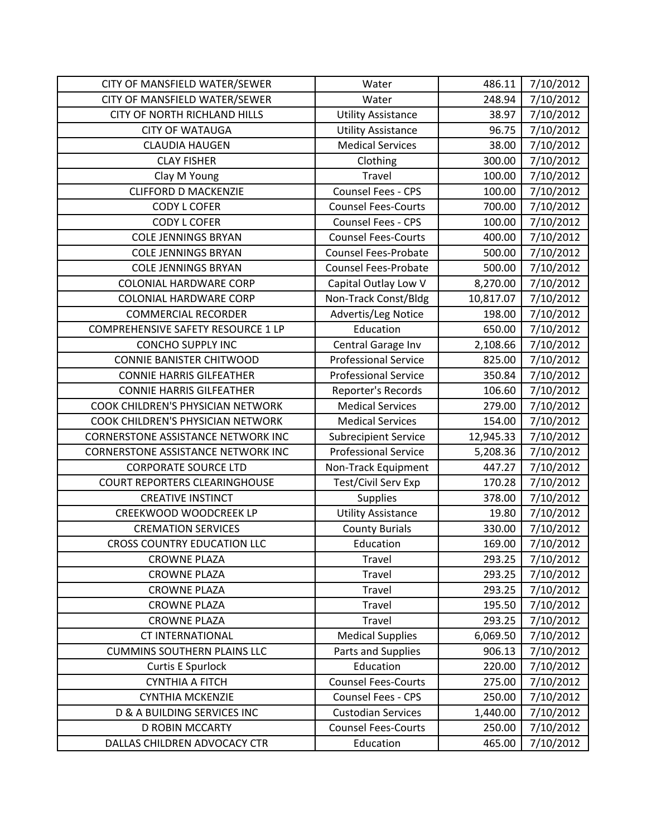| CITY OF MANSFIELD WATER/SEWER          | Water                       | 486.11    | 7/10/2012 |
|----------------------------------------|-----------------------------|-----------|-----------|
| CITY OF MANSFIELD WATER/SEWER          | Water                       | 248.94    | 7/10/2012 |
| <b>CITY OF NORTH RICHLAND HILLS</b>    | <b>Utility Assistance</b>   | 38.97     | 7/10/2012 |
| <b>CITY OF WATAUGA</b>                 | <b>Utility Assistance</b>   | 96.75     | 7/10/2012 |
| <b>CLAUDIA HAUGEN</b>                  | <b>Medical Services</b>     | 38.00     | 7/10/2012 |
| <b>CLAY FISHER</b>                     | Clothing                    | 300.00    | 7/10/2012 |
| Clay M Young                           | Travel                      | 100.00    | 7/10/2012 |
| <b>CLIFFORD D MACKENZIE</b>            | Counsel Fees - CPS          | 100.00    | 7/10/2012 |
| <b>CODY L COFER</b>                    | <b>Counsel Fees-Courts</b>  | 700.00    | 7/10/2012 |
| <b>CODY L COFER</b>                    | <b>Counsel Fees - CPS</b>   | 100.00    | 7/10/2012 |
| <b>COLE JENNINGS BRYAN</b>             | <b>Counsel Fees-Courts</b>  | 400.00    | 7/10/2012 |
| <b>COLE JENNINGS BRYAN</b>             | <b>Counsel Fees-Probate</b> | 500.00    | 7/10/2012 |
| <b>COLE JENNINGS BRYAN</b>             | <b>Counsel Fees-Probate</b> | 500.00    | 7/10/2012 |
| <b>COLONIAL HARDWARE CORP</b>          | Capital Outlay Low V        | 8,270.00  | 7/10/2012 |
| <b>COLONIAL HARDWARE CORP</b>          | Non-Track Const/Bldg        | 10,817.07 | 7/10/2012 |
| <b>COMMERCIAL RECORDER</b>             | Advertis/Leg Notice         | 198.00    | 7/10/2012 |
| COMPREHENSIVE SAFETY RESOURCE 1 LP     | Education                   | 650.00    | 7/10/2012 |
| <b>CONCHO SUPPLY INC</b>               | Central Garage Inv          | 2,108.66  | 7/10/2012 |
| <b>CONNIE BANISTER CHITWOOD</b>        | <b>Professional Service</b> | 825.00    | 7/10/2012 |
| <b>CONNIE HARRIS GILFEATHER</b>        | <b>Professional Service</b> | 350.84    | 7/10/2012 |
| <b>CONNIE HARRIS GILFEATHER</b>        | Reporter's Records          | 106.60    | 7/10/2012 |
| COOK CHILDREN'S PHYSICIAN NETWORK      | <b>Medical Services</b>     | 279.00    | 7/10/2012 |
| COOK CHILDREN'S PHYSICIAN NETWORK      | <b>Medical Services</b>     | 154.00    | 7/10/2012 |
| CORNERSTONE ASSISTANCE NETWORK INC     | <b>Subrecipient Service</b> | 12,945.33 | 7/10/2012 |
| CORNERSTONE ASSISTANCE NETWORK INC     | <b>Professional Service</b> | 5,208.36  | 7/10/2012 |
| <b>CORPORATE SOURCE LTD</b>            | Non-Track Equipment         | 447.27    | 7/10/2012 |
| <b>COURT REPORTERS CLEARINGHOUSE</b>   | Test/Civil Serv Exp         | 170.28    | 7/10/2012 |
| <b>CREATIVE INSTINCT</b>               | <b>Supplies</b>             | 378.00    | 7/10/2012 |
| CREEKWOOD WOODCREEK LP                 | <b>Utility Assistance</b>   | 19.80     | 7/10/2012 |
| <b>CREMATION SERVICES</b>              | <b>County Burials</b>       | 330.00    | 7/10/2012 |
| <b>CROSS COUNTRY EDUCATION LLC</b>     | Education                   | 169.00    | 7/10/2012 |
| <b>CROWNE PLAZA</b>                    | Travel                      | 293.25    | 7/10/2012 |
| <b>CROWNE PLAZA</b>                    | <b>Travel</b>               | 293.25    | 7/10/2012 |
| <b>CROWNE PLAZA</b>                    | Travel                      | 293.25    | 7/10/2012 |
| <b>CROWNE PLAZA</b>                    | Travel                      | 195.50    | 7/10/2012 |
| <b>CROWNE PLAZA</b>                    | Travel                      | 293.25    | 7/10/2012 |
| <b>CT INTERNATIONAL</b>                | <b>Medical Supplies</b>     | 6,069.50  | 7/10/2012 |
| <b>CUMMINS SOUTHERN PLAINS LLC</b>     | Parts and Supplies          | 906.13    | 7/10/2012 |
| <b>Curtis E Spurlock</b>               | Education                   | 220.00    | 7/10/2012 |
| <b>CYNTHIA A FITCH</b>                 | <b>Counsel Fees-Courts</b>  | 275.00    | 7/10/2012 |
| <b>CYNTHIA MCKENZIE</b>                | Counsel Fees - CPS          | 250.00    | 7/10/2012 |
| <b>D &amp; A BUILDING SERVICES INC</b> | <b>Custodian Services</b>   | 1,440.00  | 7/10/2012 |
| <b>D ROBIN MCCARTY</b>                 | <b>Counsel Fees-Courts</b>  | 250.00    | 7/10/2012 |
| DALLAS CHILDREN ADVOCACY CTR           | Education                   | 465.00    | 7/10/2012 |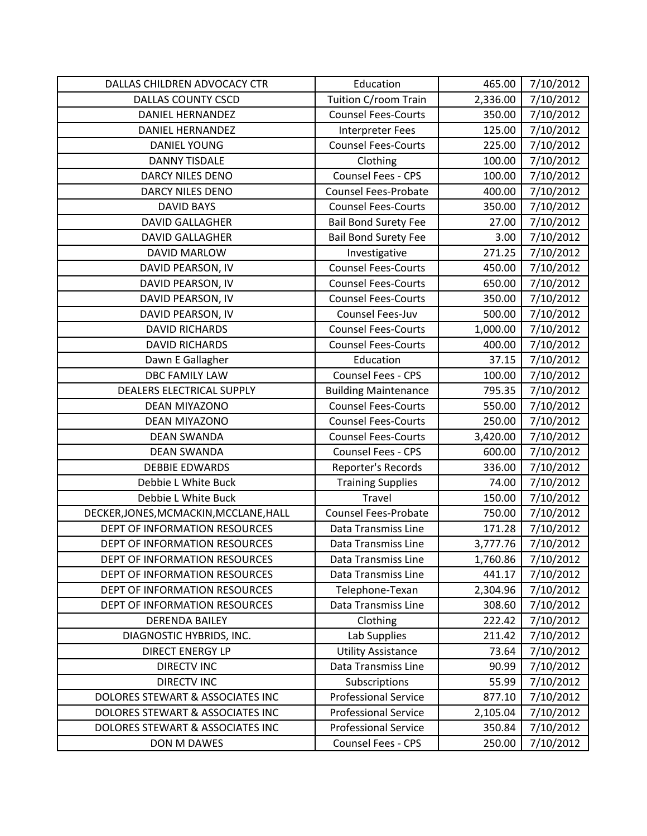| DALLAS CHILDREN ADVOCACY CTR           | Education                   | 465.00   | 7/10/2012 |
|----------------------------------------|-----------------------------|----------|-----------|
| <b>DALLAS COUNTY CSCD</b>              | Tuition C/room Train        | 2,336.00 | 7/10/2012 |
| DANIEL HERNANDEZ                       | <b>Counsel Fees-Courts</b>  | 350.00   | 7/10/2012 |
| <b>DANIEL HERNANDEZ</b>                | <b>Interpreter Fees</b>     | 125.00   | 7/10/2012 |
| <b>DANIEL YOUNG</b>                    | <b>Counsel Fees-Courts</b>  | 225.00   | 7/10/2012 |
| <b>DANNY TISDALE</b>                   | Clothing                    | 100.00   | 7/10/2012 |
| <b>DARCY NILES DENO</b>                | Counsel Fees - CPS          | 100.00   | 7/10/2012 |
| DARCY NILES DENO                       | <b>Counsel Fees-Probate</b> | 400.00   | 7/10/2012 |
| <b>DAVID BAYS</b>                      | <b>Counsel Fees-Courts</b>  | 350.00   | 7/10/2012 |
| <b>DAVID GALLAGHER</b>                 | <b>Bail Bond Surety Fee</b> | 27.00    | 7/10/2012 |
| <b>DAVID GALLAGHER</b>                 | <b>Bail Bond Surety Fee</b> | 3.00     | 7/10/2012 |
| DAVID MARLOW                           | Investigative               | 271.25   | 7/10/2012 |
| DAVID PEARSON, IV                      | <b>Counsel Fees-Courts</b>  | 450.00   | 7/10/2012 |
| DAVID PEARSON, IV                      | <b>Counsel Fees-Courts</b>  | 650.00   | 7/10/2012 |
| DAVID PEARSON, IV                      | <b>Counsel Fees-Courts</b>  | 350.00   | 7/10/2012 |
| DAVID PEARSON, IV                      | Counsel Fees-Juv            | 500.00   | 7/10/2012 |
| <b>DAVID RICHARDS</b>                  | <b>Counsel Fees-Courts</b>  | 1,000.00 | 7/10/2012 |
| <b>DAVID RICHARDS</b>                  | <b>Counsel Fees-Courts</b>  | 400.00   | 7/10/2012 |
| Dawn E Gallagher                       | Education                   | 37.15    | 7/10/2012 |
| <b>DBC FAMILY LAW</b>                  | Counsel Fees - CPS          | 100.00   | 7/10/2012 |
| DEALERS ELECTRICAL SUPPLY              | <b>Building Maintenance</b> | 795.35   | 7/10/2012 |
| DEAN MIYAZONO                          | <b>Counsel Fees-Courts</b>  | 550.00   | 7/10/2012 |
| <b>DEAN MIYAZONO</b>                   | <b>Counsel Fees-Courts</b>  | 250.00   | 7/10/2012 |
| <b>DEAN SWANDA</b>                     | <b>Counsel Fees-Courts</b>  | 3,420.00 | 7/10/2012 |
| <b>DEAN SWANDA</b>                     | Counsel Fees - CPS          | 600.00   | 7/10/2012 |
| <b>DEBBIE EDWARDS</b>                  | Reporter's Records          | 336.00   | 7/10/2012 |
| Debbie L White Buck                    | <b>Training Supplies</b>    | 74.00    | 7/10/2012 |
| Debbie L White Buck                    | Travel                      | 150.00   | 7/10/2012 |
| DECKER, JONES, MCMACKIN, MCCLANE, HALL | <b>Counsel Fees-Probate</b> | 750.00   | 7/10/2012 |
| DEPT OF INFORMATION RESOURCES          | Data Transmiss Line         | 171.28   | 7/10/2012 |
| DEPT OF INFORMATION RESOURCES          | Data Transmiss Line         | 3,777.76 | 7/10/2012 |
| DEPT OF INFORMATION RESOURCES          | Data Transmiss Line         | 1,760.86 | 7/10/2012 |
| DEPT OF INFORMATION RESOURCES          | Data Transmiss Line         | 441.17   | 7/10/2012 |
| DEPT OF INFORMATION RESOURCES          | Telephone-Texan             | 2,304.96 | 7/10/2012 |
| DEPT OF INFORMATION RESOURCES          | Data Transmiss Line         | 308.60   | 7/10/2012 |
| <b>DERENDA BAILEY</b>                  | Clothing                    | 222.42   | 7/10/2012 |
| DIAGNOSTIC HYBRIDS, INC.               | Lab Supplies                | 211.42   | 7/10/2012 |
| <b>DIRECT ENERGY LP</b>                | <b>Utility Assistance</b>   | 73.64    | 7/10/2012 |
| <b>DIRECTV INC</b>                     | Data Transmiss Line         | 90.99    | 7/10/2012 |
| <b>DIRECTV INC</b>                     | Subscriptions               | 55.99    | 7/10/2012 |
| DOLORES STEWART & ASSOCIATES INC       | <b>Professional Service</b> | 877.10   | 7/10/2012 |
| DOLORES STEWART & ASSOCIATES INC       | <b>Professional Service</b> | 2,105.04 | 7/10/2012 |
| DOLORES STEWART & ASSOCIATES INC       | <b>Professional Service</b> | 350.84   | 7/10/2012 |
| DON M DAWES                            | Counsel Fees - CPS          | 250.00   | 7/10/2012 |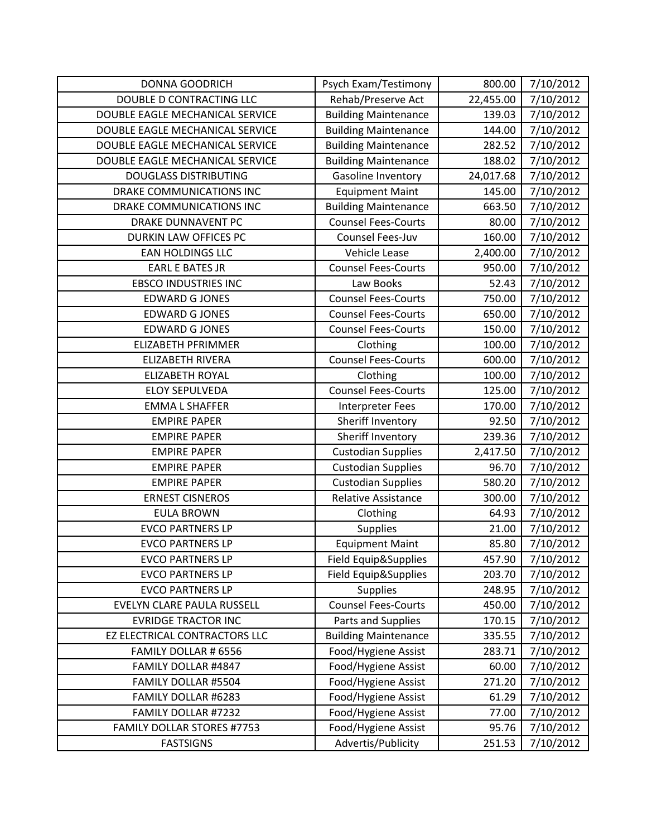| <b>DONNA GOODRICH</b>             | Psych Exam/Testimony        | 800.00    | 7/10/2012 |
|-----------------------------------|-----------------------------|-----------|-----------|
| DOUBLE D CONTRACTING LLC          | Rehab/Preserve Act          | 22,455.00 | 7/10/2012 |
| DOUBLE EAGLE MECHANICAL SERVICE   | <b>Building Maintenance</b> | 139.03    | 7/10/2012 |
| DOUBLE EAGLE MECHANICAL SERVICE   | <b>Building Maintenance</b> | 144.00    | 7/10/2012 |
| DOUBLE EAGLE MECHANICAL SERVICE   | <b>Building Maintenance</b> | 282.52    | 7/10/2012 |
| DOUBLE EAGLE MECHANICAL SERVICE   | <b>Building Maintenance</b> | 188.02    | 7/10/2012 |
| <b>DOUGLASS DISTRIBUTING</b>      | Gasoline Inventory          | 24,017.68 | 7/10/2012 |
| DRAKE COMMUNICATIONS INC          | <b>Equipment Maint</b>      | 145.00    | 7/10/2012 |
| DRAKE COMMUNICATIONS INC          | <b>Building Maintenance</b> | 663.50    | 7/10/2012 |
| <b>DRAKE DUNNAVENT PC</b>         | <b>Counsel Fees-Courts</b>  | 80.00     | 7/10/2012 |
| <b>DURKIN LAW OFFICES PC</b>      | <b>Counsel Fees-Juv</b>     | 160.00    | 7/10/2012 |
| <b>EAN HOLDINGS LLC</b>           | Vehicle Lease               | 2,400.00  | 7/10/2012 |
| <b>EARL E BATES JR</b>            | <b>Counsel Fees-Courts</b>  | 950.00    | 7/10/2012 |
| <b>EBSCO INDUSTRIES INC</b>       | Law Books                   | 52.43     | 7/10/2012 |
| <b>EDWARD G JONES</b>             | <b>Counsel Fees-Courts</b>  | 750.00    | 7/10/2012 |
| <b>EDWARD G JONES</b>             | <b>Counsel Fees-Courts</b>  | 650.00    | 7/10/2012 |
| <b>EDWARD G JONES</b>             | <b>Counsel Fees-Courts</b>  | 150.00    | 7/10/2012 |
| <b>ELIZABETH PFRIMMER</b>         | Clothing                    | 100.00    | 7/10/2012 |
| <b>ELIZABETH RIVERA</b>           | <b>Counsel Fees-Courts</b>  | 600.00    | 7/10/2012 |
| <b>ELIZABETH ROYAL</b>            | Clothing                    | 100.00    | 7/10/2012 |
| <b>ELOY SEPULVEDA</b>             | <b>Counsel Fees-Courts</b>  | 125.00    | 7/10/2012 |
| <b>EMMA L SHAFFER</b>             | Interpreter Fees            | 170.00    | 7/10/2012 |
| <b>EMPIRE PAPER</b>               | Sheriff Inventory           | 92.50     | 7/10/2012 |
| <b>EMPIRE PAPER</b>               | Sheriff Inventory           | 239.36    | 7/10/2012 |
| <b>EMPIRE PAPER</b>               | <b>Custodian Supplies</b>   | 2,417.50  | 7/10/2012 |
| <b>EMPIRE PAPER</b>               | <b>Custodian Supplies</b>   | 96.70     | 7/10/2012 |
| <b>EMPIRE PAPER</b>               | <b>Custodian Supplies</b>   | 580.20    | 7/10/2012 |
| <b>ERNEST CISNEROS</b>            | Relative Assistance         | 300.00    | 7/10/2012 |
| <b>EULA BROWN</b>                 | Clothing                    | 64.93     | 7/10/2012 |
| <b>EVCO PARTNERS LP</b>           | Supplies                    | 21.00     | 7/10/2012 |
| <b>EVCO PARTNERS LP</b>           | <b>Equipment Maint</b>      | 85.80     | 7/10/2012 |
| <b>EVCO PARTNERS LP</b>           | Field Equip&Supplies        | 457.90    | 7/10/2012 |
| <b>EVCO PARTNERS LP</b>           | Field Equip&Supplies        | 203.70    | 7/10/2012 |
| <b>EVCO PARTNERS LP</b>           | <b>Supplies</b>             | 248.95    | 7/10/2012 |
| EVELYN CLARE PAULA RUSSELL        | <b>Counsel Fees-Courts</b>  | 450.00    | 7/10/2012 |
| <b>EVRIDGE TRACTOR INC</b>        | Parts and Supplies          | 170.15    | 7/10/2012 |
| EZ ELECTRICAL CONTRACTORS LLC     | <b>Building Maintenance</b> | 335.55    | 7/10/2012 |
| FAMILY DOLLAR # 6556              | Food/Hygiene Assist         | 283.71    | 7/10/2012 |
| FAMILY DOLLAR #4847               | Food/Hygiene Assist         | 60.00     | 7/10/2012 |
| <b>FAMILY DOLLAR #5504</b>        | Food/Hygiene Assist         | 271.20    | 7/10/2012 |
| FAMILY DOLLAR #6283               | Food/Hygiene Assist         | 61.29     | 7/10/2012 |
| FAMILY DOLLAR #7232               | Food/Hygiene Assist         | 77.00     | 7/10/2012 |
| <b>FAMILY DOLLAR STORES #7753</b> | Food/Hygiene Assist         | 95.76     | 7/10/2012 |
| <b>FASTSIGNS</b>                  | Advertis/Publicity          | 251.53    | 7/10/2012 |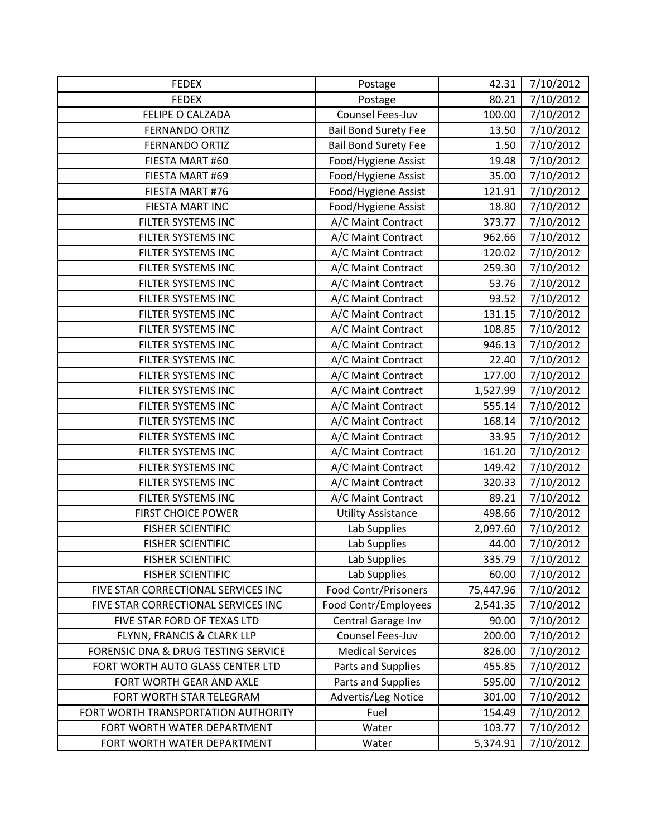| <b>FEDEX</b>                        | Postage                     | 42.31     | 7/10/2012 |
|-------------------------------------|-----------------------------|-----------|-----------|
| <b>FEDEX</b>                        | Postage                     | 80.21     | 7/10/2012 |
| <b>FELIPE O CALZADA</b>             | Counsel Fees-Juv            | 100.00    | 7/10/2012 |
| <b>FERNANDO ORTIZ</b>               | <b>Bail Bond Surety Fee</b> | 13.50     | 7/10/2012 |
| FERNANDO ORTIZ                      | <b>Bail Bond Surety Fee</b> | 1.50      | 7/10/2012 |
| FIESTA MART #60                     | Food/Hygiene Assist         | 19.48     | 7/10/2012 |
| FIESTA MART #69                     | Food/Hygiene Assist         | 35.00     | 7/10/2012 |
| FIESTA MART #76                     | Food/Hygiene Assist         | 121.91    | 7/10/2012 |
| <b>FIESTA MART INC</b>              | Food/Hygiene Assist         | 18.80     | 7/10/2012 |
| FILTER SYSTEMS INC                  | A/C Maint Contract          | 373.77    | 7/10/2012 |
| FILTER SYSTEMS INC                  | A/C Maint Contract          | 962.66    | 7/10/2012 |
| FILTER SYSTEMS INC                  | A/C Maint Contract          | 120.02    | 7/10/2012 |
| FILTER SYSTEMS INC                  | A/C Maint Contract          | 259.30    | 7/10/2012 |
| FILTER SYSTEMS INC                  | A/C Maint Contract          | 53.76     | 7/10/2012 |
| FILTER SYSTEMS INC                  | A/C Maint Contract          | 93.52     | 7/10/2012 |
| FILTER SYSTEMS INC                  | A/C Maint Contract          | 131.15    | 7/10/2012 |
| FILTER SYSTEMS INC                  | A/C Maint Contract          | 108.85    | 7/10/2012 |
| FILTER SYSTEMS INC                  | A/C Maint Contract          | 946.13    | 7/10/2012 |
| FILTER SYSTEMS INC                  | A/C Maint Contract          | 22.40     | 7/10/2012 |
| FILTER SYSTEMS INC                  | A/C Maint Contract          | 177.00    | 7/10/2012 |
| FILTER SYSTEMS INC                  | A/C Maint Contract          | 1,527.99  | 7/10/2012 |
| FILTER SYSTEMS INC                  | A/C Maint Contract          | 555.14    | 7/10/2012 |
| FILTER SYSTEMS INC                  | A/C Maint Contract          | 168.14    | 7/10/2012 |
| FILTER SYSTEMS INC                  | A/C Maint Contract          | 33.95     | 7/10/2012 |
| FILTER SYSTEMS INC                  | A/C Maint Contract          | 161.20    | 7/10/2012 |
| FILTER SYSTEMS INC                  | A/C Maint Contract          | 149.42    | 7/10/2012 |
| FILTER SYSTEMS INC                  | A/C Maint Contract          | 320.33    | 7/10/2012 |
| FILTER SYSTEMS INC                  | A/C Maint Contract          | 89.21     | 7/10/2012 |
| <b>FIRST CHOICE POWER</b>           | <b>Utility Assistance</b>   | 498.66    | 7/10/2012 |
| <b>FISHER SCIENTIFIC</b>            | Lab Supplies                | 2,097.60  | 7/10/2012 |
| <b>FISHER SCIENTIFIC</b>            | Lab Supplies                | 44.00     | 7/10/2012 |
| <b>FISHER SCIENTIFIC</b>            | Lab Supplies                | 335.79    | 7/10/2012 |
| <b>FISHER SCIENTIFIC</b>            | Lab Supplies                | 60.00     | 7/10/2012 |
| FIVE STAR CORRECTIONAL SERVICES INC | Food Contr/Prisoners        | 75,447.96 | 7/10/2012 |
| FIVE STAR CORRECTIONAL SERVICES INC | Food Contr/Employees        | 2,541.35  | 7/10/2012 |
| FIVE STAR FORD OF TEXAS LTD         | Central Garage Inv          | 90.00     | 7/10/2012 |
| FLYNN, FRANCIS & CLARK LLP          | Counsel Fees-Juv            | 200.00    | 7/10/2012 |
| FORENSIC DNA & DRUG TESTING SERVICE | <b>Medical Services</b>     | 826.00    | 7/10/2012 |
| FORT WORTH AUTO GLASS CENTER LTD    | Parts and Supplies          | 455.85    | 7/10/2012 |
| FORT WORTH GEAR AND AXLE            | Parts and Supplies          | 595.00    | 7/10/2012 |
| FORT WORTH STAR TELEGRAM            | Advertis/Leg Notice         | 301.00    | 7/10/2012 |
| FORT WORTH TRANSPORTATION AUTHORITY | Fuel                        | 154.49    | 7/10/2012 |
| FORT WORTH WATER DEPARTMENT         | Water                       | 103.77    | 7/10/2012 |
| FORT WORTH WATER DEPARTMENT         | Water                       | 5,374.91  | 7/10/2012 |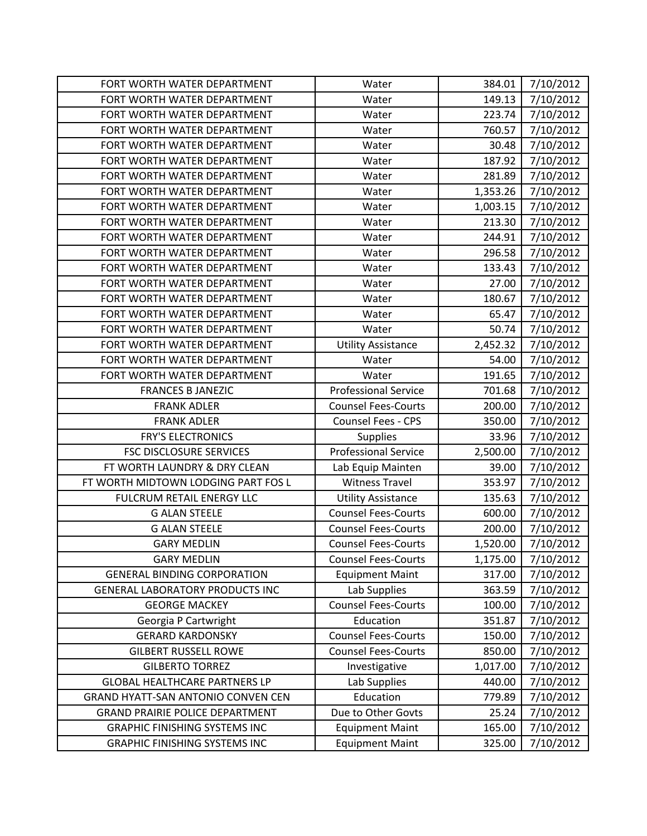| FORT WORTH WATER DEPARTMENT            | Water                       | 384.01   | 7/10/2012 |
|----------------------------------------|-----------------------------|----------|-----------|
| FORT WORTH WATER DEPARTMENT            | Water                       | 149.13   | 7/10/2012 |
| FORT WORTH WATER DEPARTMENT            | Water                       | 223.74   | 7/10/2012 |
| FORT WORTH WATER DEPARTMENT            | Water                       | 760.57   | 7/10/2012 |
| FORT WORTH WATER DEPARTMENT            | Water                       | 30.48    | 7/10/2012 |
| FORT WORTH WATER DEPARTMENT            | Water                       | 187.92   | 7/10/2012 |
| FORT WORTH WATER DEPARTMENT            | Water                       | 281.89   | 7/10/2012 |
| FORT WORTH WATER DEPARTMENT            | Water                       | 1,353.26 | 7/10/2012 |
| FORT WORTH WATER DEPARTMENT            | Water                       | 1,003.15 | 7/10/2012 |
| FORT WORTH WATER DEPARTMENT            | Water                       | 213.30   | 7/10/2012 |
| FORT WORTH WATER DEPARTMENT            | Water                       | 244.91   | 7/10/2012 |
| FORT WORTH WATER DEPARTMENT            | Water                       | 296.58   | 7/10/2012 |
| FORT WORTH WATER DEPARTMENT            | Water                       | 133.43   | 7/10/2012 |
| FORT WORTH WATER DEPARTMENT            | Water                       | 27.00    | 7/10/2012 |
| FORT WORTH WATER DEPARTMENT            | Water                       | 180.67   | 7/10/2012 |
| FORT WORTH WATER DEPARTMENT            | Water                       | 65.47    | 7/10/2012 |
| FORT WORTH WATER DEPARTMENT            | Water                       | 50.74    | 7/10/2012 |
| FORT WORTH WATER DEPARTMENT            | <b>Utility Assistance</b>   | 2,452.32 | 7/10/2012 |
| FORT WORTH WATER DEPARTMENT            | Water                       | 54.00    | 7/10/2012 |
| FORT WORTH WATER DEPARTMENT            | Water                       | 191.65   | 7/10/2012 |
| <b>FRANCES B JANEZIC</b>               | <b>Professional Service</b> | 701.68   | 7/10/2012 |
| <b>FRANK ADLER</b>                     | <b>Counsel Fees-Courts</b>  | 200.00   | 7/10/2012 |
| <b>FRANK ADLER</b>                     | Counsel Fees - CPS          | 350.00   | 7/10/2012 |
| <b>FRY'S ELECTRONICS</b>               | <b>Supplies</b>             | 33.96    | 7/10/2012 |
| <b>FSC DISCLOSURE SERVICES</b>         | <b>Professional Service</b> | 2,500.00 | 7/10/2012 |
| FT WORTH LAUNDRY & DRY CLEAN           | Lab Equip Mainten           | 39.00    | 7/10/2012 |
| FT WORTH MIDTOWN LODGING PART FOS L    | <b>Witness Travel</b>       | 353.97   | 7/10/2012 |
| <b>FULCRUM RETAIL ENERGY LLC</b>       | <b>Utility Assistance</b>   | 135.63   | 7/10/2012 |
| <b>G ALAN STEELE</b>                   | <b>Counsel Fees-Courts</b>  | 600.00   | 7/10/2012 |
| <b>G ALAN STEELE</b>                   | <b>Counsel Fees-Courts</b>  | 200.00   | 7/10/2012 |
| <b>GARY MEDLIN</b>                     | <b>Counsel Fees-Courts</b>  | 1,520.00 | 7/10/2012 |
| <b>GARY MEDLIN</b>                     | <b>Counsel Fees-Courts</b>  | 1,175.00 | 7/10/2012 |
| <b>GENERAL BINDING CORPORATION</b>     | <b>Equipment Maint</b>      | 317.00   | 7/10/2012 |
| GENERAL LABORATORY PRODUCTS INC        | Lab Supplies                | 363.59   | 7/10/2012 |
| <b>GEORGE MACKEY</b>                   | <b>Counsel Fees-Courts</b>  | 100.00   | 7/10/2012 |
| Georgia P Cartwright                   | Education                   | 351.87   | 7/10/2012 |
| <b>GERARD KARDONSKY</b>                | <b>Counsel Fees-Courts</b>  | 150.00   | 7/10/2012 |
| <b>GILBERT RUSSELL ROWE</b>            | <b>Counsel Fees-Courts</b>  | 850.00   | 7/10/2012 |
| <b>GILBERTO TORREZ</b>                 | Investigative               | 1,017.00 | 7/10/2012 |
| <b>GLOBAL HEALTHCARE PARTNERS LP</b>   | Lab Supplies                | 440.00   | 7/10/2012 |
| GRAND HYATT-SAN ANTONIO CONVEN CEN     | Education                   | 779.89   | 7/10/2012 |
| <b>GRAND PRAIRIE POLICE DEPARTMENT</b> | Due to Other Govts          | 25.24    | 7/10/2012 |
| <b>GRAPHIC FINISHING SYSTEMS INC</b>   | <b>Equipment Maint</b>      | 165.00   | 7/10/2012 |
| <b>GRAPHIC FINISHING SYSTEMS INC</b>   | <b>Equipment Maint</b>      | 325.00   | 7/10/2012 |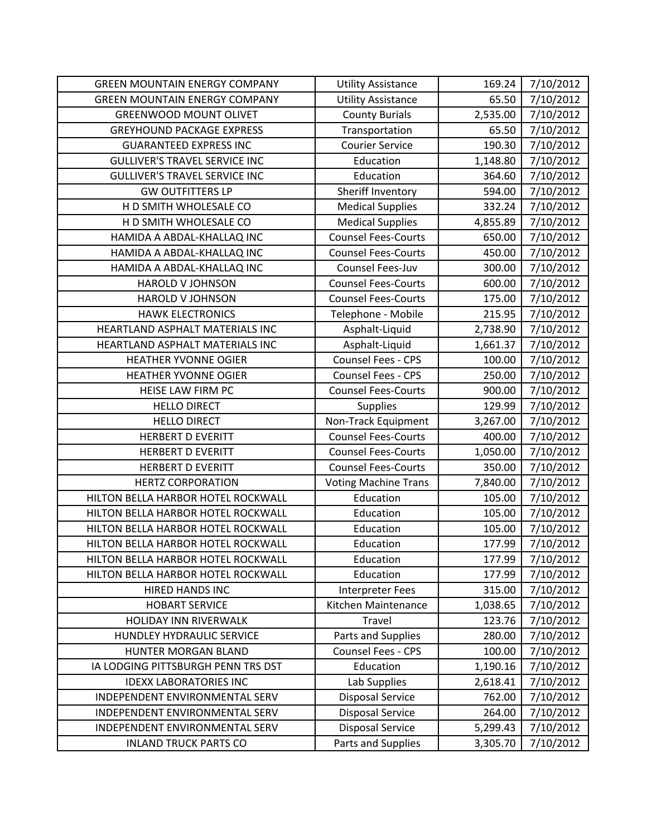| <b>GREEN MOUNTAIN ENERGY COMPANY</b> | <b>Utility Assistance</b>   | 169.24   | 7/10/2012 |
|--------------------------------------|-----------------------------|----------|-----------|
| <b>GREEN MOUNTAIN ENERGY COMPANY</b> | <b>Utility Assistance</b>   | 65.50    | 7/10/2012 |
| <b>GREENWOOD MOUNT OLIVET</b>        | <b>County Burials</b>       | 2,535.00 | 7/10/2012 |
| <b>GREYHOUND PACKAGE EXPRESS</b>     | Transportation              | 65.50    | 7/10/2012 |
| <b>GUARANTEED EXPRESS INC</b>        | <b>Courier Service</b>      | 190.30   | 7/10/2012 |
| <b>GULLIVER'S TRAVEL SERVICE INC</b> | Education                   | 1,148.80 | 7/10/2012 |
| <b>GULLIVER'S TRAVEL SERVICE INC</b> | Education                   | 364.60   | 7/10/2012 |
| <b>GW OUTFITTERS LP</b>              | Sheriff Inventory           | 594.00   | 7/10/2012 |
| H D SMITH WHOLESALE CO               | <b>Medical Supplies</b>     | 332.24   | 7/10/2012 |
| H D SMITH WHOLESALE CO               | <b>Medical Supplies</b>     | 4,855.89 | 7/10/2012 |
| HAMIDA A ABDAL-KHALLAQ INC           | <b>Counsel Fees-Courts</b>  | 650.00   | 7/10/2012 |
| HAMIDA A ABDAL-KHALLAQ INC           | <b>Counsel Fees-Courts</b>  | 450.00   | 7/10/2012 |
| HAMIDA A ABDAL-KHALLAQ INC           | Counsel Fees-Juv            | 300.00   | 7/10/2012 |
| <b>HAROLD V JOHNSON</b>              | <b>Counsel Fees-Courts</b>  | 600.00   | 7/10/2012 |
| <b>HAROLD V JOHNSON</b>              | <b>Counsel Fees-Courts</b>  | 175.00   | 7/10/2012 |
| <b>HAWK ELECTRONICS</b>              | Telephone - Mobile          | 215.95   | 7/10/2012 |
| HEARTLAND ASPHALT MATERIALS INC      | Asphalt-Liquid              | 2,738.90 | 7/10/2012 |
| HEARTLAND ASPHALT MATERIALS INC      | Asphalt-Liquid              | 1,661.37 | 7/10/2012 |
| <b>HEATHER YVONNE OGIER</b>          | Counsel Fees - CPS          | 100.00   | 7/10/2012 |
| HEATHER YVONNE OGIER                 | Counsel Fees - CPS          | 250.00   | 7/10/2012 |
| HEISE LAW FIRM PC                    | <b>Counsel Fees-Courts</b>  | 900.00   | 7/10/2012 |
| <b>HELLO DIRECT</b>                  | <b>Supplies</b>             | 129.99   | 7/10/2012 |
| <b>HELLO DIRECT</b>                  | Non-Track Equipment         | 3,267.00 | 7/10/2012 |
| <b>HERBERT D EVERITT</b>             | <b>Counsel Fees-Courts</b>  | 400.00   | 7/10/2012 |
| <b>HERBERT D EVERITT</b>             | <b>Counsel Fees-Courts</b>  | 1,050.00 | 7/10/2012 |
| <b>HERBERT D EVERITT</b>             | <b>Counsel Fees-Courts</b>  | 350.00   | 7/10/2012 |
| <b>HERTZ CORPORATION</b>             | <b>Voting Machine Trans</b> | 7,840.00 | 7/10/2012 |
| HILTON BELLA HARBOR HOTEL ROCKWALL   | Education                   | 105.00   | 7/10/2012 |
| HILTON BELLA HARBOR HOTEL ROCKWALL   | Education                   | 105.00   | 7/10/2012 |
| HILTON BELLA HARBOR HOTEL ROCKWALL   | Education                   | 105.00   | 7/10/2012 |
| HILTON BELLA HARBOR HOTEL ROCKWALL   | Education                   | 177.99   | 7/10/2012 |
| HILTON BELLA HARBOR HOTEL ROCKWALL   | Education                   | 177.99   | 7/10/2012 |
| HILTON BELLA HARBOR HOTEL ROCKWALL   | Education                   | 177.99   | 7/10/2012 |
| <b>HIRED HANDS INC</b>               | <b>Interpreter Fees</b>     | 315.00   | 7/10/2012 |
| <b>HOBART SERVICE</b>                | Kitchen Maintenance         | 1,038.65 | 7/10/2012 |
| HOLIDAY INN RIVERWALK                | Travel                      | 123.76   | 7/10/2012 |
| HUNDLEY HYDRAULIC SERVICE            | Parts and Supplies          | 280.00   | 7/10/2012 |
| HUNTER MORGAN BLAND                  | <b>Counsel Fees - CPS</b>   | 100.00   | 7/10/2012 |
| IA LODGING PITTSBURGH PENN TRS DST   | Education                   | 1,190.16 | 7/10/2012 |
| <b>IDEXX LABORATORIES INC</b>        | Lab Supplies                | 2,618.41 | 7/10/2012 |
| INDEPENDENT ENVIRONMENTAL SERV       | <b>Disposal Service</b>     | 762.00   | 7/10/2012 |
| INDEPENDENT ENVIRONMENTAL SERV       | <b>Disposal Service</b>     | 264.00   | 7/10/2012 |
| INDEPENDENT ENVIRONMENTAL SERV       | <b>Disposal Service</b>     | 5,299.43 | 7/10/2012 |
| <b>INLAND TRUCK PARTS CO</b>         | Parts and Supplies          | 3,305.70 | 7/10/2012 |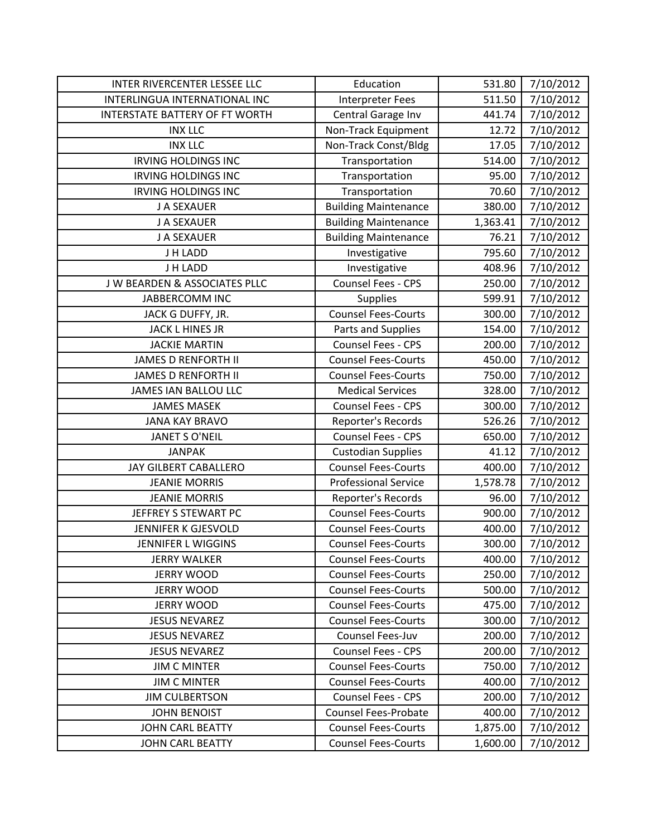| INTER RIVERCENTER LESSEE LLC          | Education                   | 531.80   | 7/10/2012 |
|---------------------------------------|-----------------------------|----------|-----------|
| INTERLINGUA INTERNATIONAL INC         | <b>Interpreter Fees</b>     | 511.50   | 7/10/2012 |
| <b>INTERSTATE BATTERY OF FT WORTH</b> | Central Garage Inv          | 441.74   | 7/10/2012 |
| <b>INX LLC</b>                        | Non-Track Equipment         | 12.72    | 7/10/2012 |
| <b>INX LLC</b>                        | Non-Track Const/Bldg        | 17.05    | 7/10/2012 |
| <b>IRVING HOLDINGS INC</b>            | Transportation              | 514.00   | 7/10/2012 |
| <b>IRVING HOLDINGS INC</b>            | Transportation              | 95.00    | 7/10/2012 |
| <b>IRVING HOLDINGS INC</b>            | Transportation              | 70.60    | 7/10/2012 |
| J A SEXAUER                           | <b>Building Maintenance</b> | 380.00   | 7/10/2012 |
| J A SEXAUER                           | <b>Building Maintenance</b> | 1,363.41 | 7/10/2012 |
| J A SEXAUER                           | <b>Building Maintenance</b> | 76.21    | 7/10/2012 |
| J H LADD                              | Investigative               | 795.60   | 7/10/2012 |
| J H LADD                              | Investigative               | 408.96   | 7/10/2012 |
| J W BEARDEN & ASSOCIATES PLLC         | Counsel Fees - CPS          | 250.00   | 7/10/2012 |
| JABBERCOMM INC                        | <b>Supplies</b>             | 599.91   | 7/10/2012 |
| JACK G DUFFY, JR.                     | <b>Counsel Fees-Courts</b>  | 300.00   | 7/10/2012 |
| JACK L HINES JR                       | Parts and Supplies          | 154.00   | 7/10/2012 |
| <b>JACKIE MARTIN</b>                  | Counsel Fees - CPS          | 200.00   | 7/10/2012 |
| <b>JAMES D RENFORTH II</b>            | <b>Counsel Fees-Courts</b>  | 450.00   | 7/10/2012 |
| <b>JAMES D RENFORTH II</b>            | <b>Counsel Fees-Courts</b>  | 750.00   | 7/10/2012 |
| <b>JAMES IAN BALLOU LLC</b>           | <b>Medical Services</b>     | 328.00   | 7/10/2012 |
| <b>JAMES MASEK</b>                    | Counsel Fees - CPS          | 300.00   | 7/10/2012 |
| <b>JANA KAY BRAVO</b>                 | Reporter's Records          | 526.26   | 7/10/2012 |
| <b>JANET S O'NEIL</b>                 | Counsel Fees - CPS          | 650.00   | 7/10/2012 |
| <b>JANPAK</b>                         | <b>Custodian Supplies</b>   | 41.12    | 7/10/2012 |
| JAY GILBERT CABALLERO                 | <b>Counsel Fees-Courts</b>  | 400.00   | 7/10/2012 |
| <b>JEANIE MORRIS</b>                  | <b>Professional Service</b> | 1,578.78 | 7/10/2012 |
| <b>JEANIE MORRIS</b>                  | Reporter's Records          | 96.00    | 7/10/2012 |
| JEFFREY S STEWART PC                  | <b>Counsel Fees-Courts</b>  | 900.00   | 7/10/2012 |
| JENNIFER K GJESVOLD                   | <b>Counsel Fees-Courts</b>  | 400.00   | 7/10/2012 |
| <b>JENNIFER L WIGGINS</b>             | <b>Counsel Fees-Courts</b>  | 300.00   | 7/10/2012 |
| <b>JERRY WALKER</b>                   | <b>Counsel Fees-Courts</b>  | 400.00   | 7/10/2012 |
| <b>JERRY WOOD</b>                     | <b>Counsel Fees-Courts</b>  | 250.00   | 7/10/2012 |
| <b>JERRY WOOD</b>                     | <b>Counsel Fees-Courts</b>  | 500.00   | 7/10/2012 |
| <b>JERRY WOOD</b>                     | <b>Counsel Fees-Courts</b>  | 475.00   | 7/10/2012 |
| <b>JESUS NEVAREZ</b>                  | <b>Counsel Fees-Courts</b>  | 300.00   | 7/10/2012 |
| <b>JESUS NEVAREZ</b>                  | Counsel Fees-Juv            | 200.00   | 7/10/2012 |
| <b>JESUS NEVAREZ</b>                  | <b>Counsel Fees - CPS</b>   | 200.00   | 7/10/2012 |
| <b>JIM C MINTER</b>                   | <b>Counsel Fees-Courts</b>  | 750.00   | 7/10/2012 |
| <b>JIM C MINTER</b>                   | <b>Counsel Fees-Courts</b>  | 400.00   | 7/10/2012 |
| <b>JIM CULBERTSON</b>                 | <b>Counsel Fees - CPS</b>   | 200.00   | 7/10/2012 |
| <b>JOHN BENOIST</b>                   | <b>Counsel Fees-Probate</b> | 400.00   | 7/10/2012 |
| <b>JOHN CARL BEATTY</b>               | <b>Counsel Fees-Courts</b>  | 1,875.00 | 7/10/2012 |
| JOHN CARL BEATTY                      | <b>Counsel Fees-Courts</b>  | 1,600.00 | 7/10/2012 |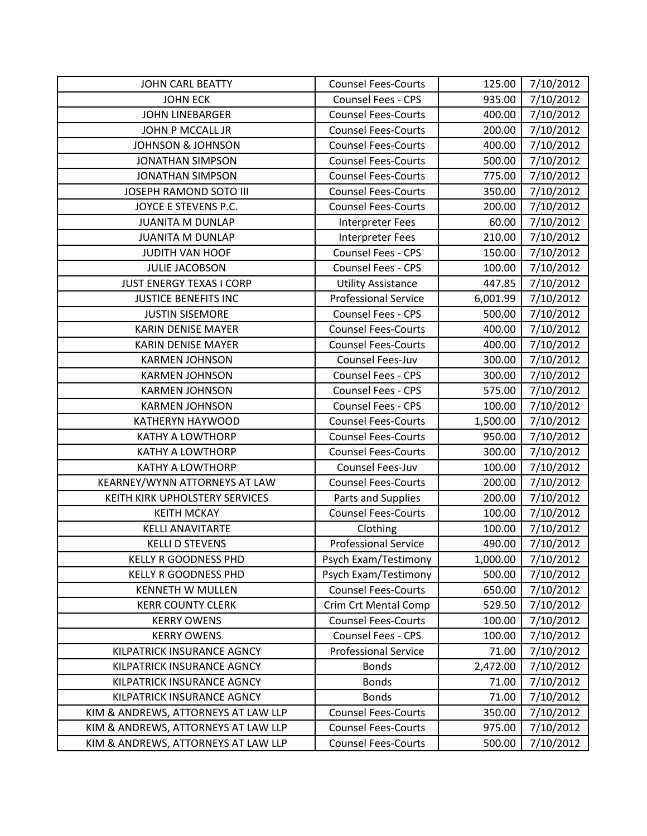| JOHN CARL BEATTY                    | <b>Counsel Fees-Courts</b>  | 125.00   | 7/10/2012 |
|-------------------------------------|-----------------------------|----------|-----------|
| <b>JOHN ECK</b>                     | <b>Counsel Fees - CPS</b>   | 935.00   | 7/10/2012 |
| <b>JOHN LINEBARGER</b>              | <b>Counsel Fees-Courts</b>  | 400.00   | 7/10/2012 |
| JOHN P MCCALL JR                    | <b>Counsel Fees-Courts</b>  | 200.00   | 7/10/2012 |
| <b>JOHNSON &amp; JOHNSON</b>        | <b>Counsel Fees-Courts</b>  | 400.00   | 7/10/2012 |
| <b>JONATHAN SIMPSON</b>             | <b>Counsel Fees-Courts</b>  | 500.00   | 7/10/2012 |
| <b>JONATHAN SIMPSON</b>             | <b>Counsel Fees-Courts</b>  | 775.00   | 7/10/2012 |
| JOSEPH RAMOND SOTO III              | <b>Counsel Fees-Courts</b>  | 350.00   | 7/10/2012 |
| JOYCE E STEVENS P.C.                | <b>Counsel Fees-Courts</b>  | 200.00   | 7/10/2012 |
| <b>JUANITA M DUNLAP</b>             | Interpreter Fees            | 60.00    | 7/10/2012 |
| <b>JUANITA M DUNLAP</b>             | Interpreter Fees            | 210.00   | 7/10/2012 |
| JUDITH VAN HOOF                     | Counsel Fees - CPS          | 150.00   | 7/10/2012 |
| <b>JULIE JACOBSON</b>               | <b>Counsel Fees - CPS</b>   | 100.00   | 7/10/2012 |
| <b>JUST ENERGY TEXAS I CORP</b>     | <b>Utility Assistance</b>   | 447.85   | 7/10/2012 |
| <b>JUSTICE BENEFITS INC</b>         | <b>Professional Service</b> | 6,001.99 | 7/10/2012 |
| <b>JUSTIN SISEMORE</b>              | Counsel Fees - CPS          | 500.00   | 7/10/2012 |
| <b>KARIN DENISE MAYER</b>           | <b>Counsel Fees-Courts</b>  | 400.00   | 7/10/2012 |
| <b>KARIN DENISE MAYER</b>           | <b>Counsel Fees-Courts</b>  | 400.00   | 7/10/2012 |
| <b>KARMEN JOHNSON</b>               | Counsel Fees-Juv            | 300.00   | 7/10/2012 |
| <b>KARMEN JOHNSON</b>               | Counsel Fees - CPS          | 300.00   | 7/10/2012 |
| <b>KARMEN JOHNSON</b>               | <b>Counsel Fees - CPS</b>   | 575.00   | 7/10/2012 |
| <b>KARMEN JOHNSON</b>               | <b>Counsel Fees - CPS</b>   | 100.00   | 7/10/2012 |
| <b>KATHERYN HAYWOOD</b>             | <b>Counsel Fees-Courts</b>  | 1,500.00 | 7/10/2012 |
| <b>KATHY A LOWTHORP</b>             | <b>Counsel Fees-Courts</b>  | 950.00   | 7/10/2012 |
| KATHY A LOWTHORP                    | <b>Counsel Fees-Courts</b>  | 300.00   | 7/10/2012 |
| <b>KATHY A LOWTHORP</b>             | Counsel Fees-Juv            | 100.00   | 7/10/2012 |
| KEARNEY/WYNN ATTORNEYS AT LAW       | <b>Counsel Fees-Courts</b>  | 200.00   | 7/10/2012 |
| KEITH KIRK UPHOLSTERY SERVICES      | Parts and Supplies          | 200.00   | 7/10/2012 |
| <b>KEITH MCKAY</b>                  | <b>Counsel Fees-Courts</b>  | 100.00   | 7/10/2012 |
| <b>KELLI ANAVITARTE</b>             | Clothing                    | 100.00   | 7/10/2012 |
| <b>KELLI D STEVENS</b>              | <b>Professional Service</b> | 490.00   | 7/10/2012 |
| <b>KELLY R GOODNESS PHD</b>         | Psych Exam/Testimony        | 1,000.00 | 7/10/2012 |
| <b>KELLY R GOODNESS PHD</b>         | Psych Exam/Testimony        | 500.00   | 7/10/2012 |
| <b>KENNETH W MULLEN</b>             | <b>Counsel Fees-Courts</b>  | 650.00   | 7/10/2012 |
| <b>KERR COUNTY CLERK</b>            | Crim Crt Mental Comp        | 529.50   | 7/10/2012 |
| <b>KERRY OWENS</b>                  | <b>Counsel Fees-Courts</b>  | 100.00   | 7/10/2012 |
| <b>KERRY OWENS</b>                  | Counsel Fees - CPS          | 100.00   | 7/10/2012 |
| KILPATRICK INSURANCE AGNCY          | <b>Professional Service</b> | 71.00    | 7/10/2012 |
| KILPATRICK INSURANCE AGNCY          | <b>Bonds</b>                | 2,472.00 | 7/10/2012 |
| KILPATRICK INSURANCE AGNCY          | <b>Bonds</b>                | 71.00    | 7/10/2012 |
| KILPATRICK INSURANCE AGNCY          | <b>Bonds</b>                | 71.00    | 7/10/2012 |
| KIM & ANDREWS, ATTORNEYS AT LAW LLP | <b>Counsel Fees-Courts</b>  | 350.00   | 7/10/2012 |
| KIM & ANDREWS, ATTORNEYS AT LAW LLP | <b>Counsel Fees-Courts</b>  | 975.00   | 7/10/2012 |
| KIM & ANDREWS, ATTORNEYS AT LAW LLP | <b>Counsel Fees-Courts</b>  | 500.00   | 7/10/2012 |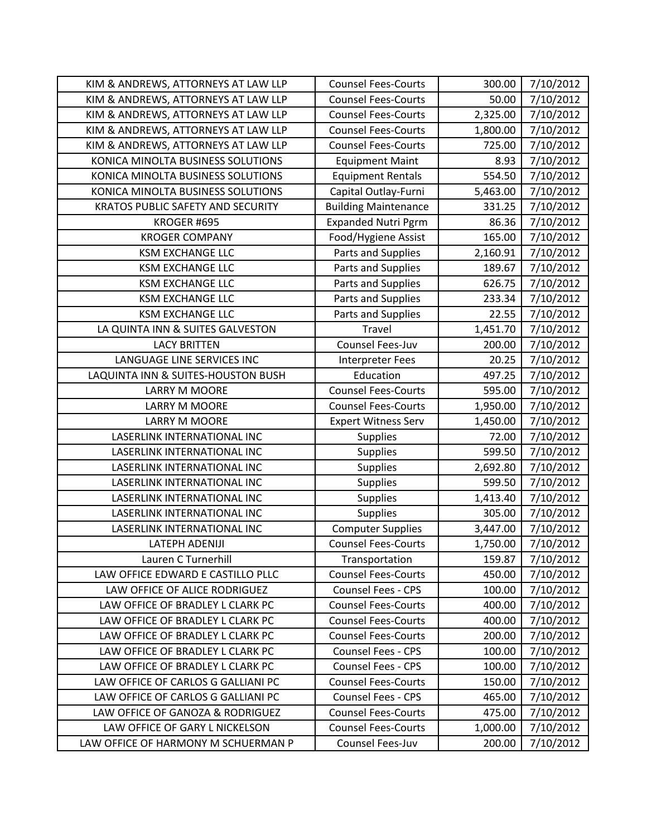| KIM & ANDREWS, ATTORNEYS AT LAW LLP      | <b>Counsel Fees-Courts</b>  | 300.00   | 7/10/2012 |
|------------------------------------------|-----------------------------|----------|-----------|
| KIM & ANDREWS, ATTORNEYS AT LAW LLP      | <b>Counsel Fees-Courts</b>  | 50.00    | 7/10/2012 |
| KIM & ANDREWS, ATTORNEYS AT LAW LLP      | <b>Counsel Fees-Courts</b>  | 2,325.00 | 7/10/2012 |
| KIM & ANDREWS, ATTORNEYS AT LAW LLP      | <b>Counsel Fees-Courts</b>  | 1,800.00 | 7/10/2012 |
| KIM & ANDREWS, ATTORNEYS AT LAW LLP      | <b>Counsel Fees-Courts</b>  | 725.00   | 7/10/2012 |
| KONICA MINOLTA BUSINESS SOLUTIONS        | <b>Equipment Maint</b>      | 8.93     | 7/10/2012 |
| KONICA MINOLTA BUSINESS SOLUTIONS        | <b>Equipment Rentals</b>    | 554.50   | 7/10/2012 |
| KONICA MINOLTA BUSINESS SOLUTIONS        | Capital Outlay-Furni        | 5,463.00 | 7/10/2012 |
| <b>KRATOS PUBLIC SAFETY AND SECURITY</b> | <b>Building Maintenance</b> | 331.25   | 7/10/2012 |
| KROGER #695                              | <b>Expanded Nutri Pgrm</b>  | 86.36    | 7/10/2012 |
| <b>KROGER COMPANY</b>                    | Food/Hygiene Assist         | 165.00   | 7/10/2012 |
| <b>KSM EXCHANGE LLC</b>                  | Parts and Supplies          | 2,160.91 | 7/10/2012 |
| <b>KSM EXCHANGE LLC</b>                  | Parts and Supplies          | 189.67   | 7/10/2012 |
| <b>KSM EXCHANGE LLC</b>                  | Parts and Supplies          | 626.75   | 7/10/2012 |
| <b>KSM EXCHANGE LLC</b>                  | Parts and Supplies          | 233.34   | 7/10/2012 |
| <b>KSM EXCHANGE LLC</b>                  | Parts and Supplies          | 22.55    | 7/10/2012 |
| LA QUINTA INN & SUITES GALVESTON         | Travel                      | 1,451.70 | 7/10/2012 |
| <b>LACY BRITTEN</b>                      | Counsel Fees-Juv            | 200.00   | 7/10/2012 |
| LANGUAGE LINE SERVICES INC               | <b>Interpreter Fees</b>     | 20.25    | 7/10/2012 |
| LAQUINTA INN & SUITES-HOUSTON BUSH       | Education                   | 497.25   | 7/10/2012 |
| <b>LARRY M MOORE</b>                     | <b>Counsel Fees-Courts</b>  | 595.00   | 7/10/2012 |
| <b>LARRY M MOORE</b>                     | <b>Counsel Fees-Courts</b>  | 1,950.00 | 7/10/2012 |
| <b>LARRY M MOORE</b>                     | <b>Expert Witness Serv</b>  | 1,450.00 | 7/10/2012 |
| LASERLINK INTERNATIONAL INC              | <b>Supplies</b>             | 72.00    | 7/10/2012 |
| LASERLINK INTERNATIONAL INC              | <b>Supplies</b>             | 599.50   | 7/10/2012 |
| LASERLINK INTERNATIONAL INC              | Supplies                    | 2,692.80 | 7/10/2012 |
| LASERLINK INTERNATIONAL INC              | <b>Supplies</b>             | 599.50   | 7/10/2012 |
| LASERLINK INTERNATIONAL INC              | <b>Supplies</b>             | 1,413.40 | 7/10/2012 |
| LASERLINK INTERNATIONAL INC              | <b>Supplies</b>             | 305.00   | 7/10/2012 |
| LASERLINK INTERNATIONAL INC              | <b>Computer Supplies</b>    | 3,447.00 | 7/10/2012 |
| LATEPH ADENIJI                           | <b>Counsel Fees-Courts</b>  | 1,750.00 | 7/10/2012 |
| Lauren C Turnerhill                      | Transportation              | 159.87   | 7/10/2012 |
| LAW OFFICE EDWARD E CASTILLO PLLC        | <b>Counsel Fees-Courts</b>  | 450.00   | 7/10/2012 |
| LAW OFFICE OF ALICE RODRIGUEZ            | <b>Counsel Fees - CPS</b>   | 100.00   | 7/10/2012 |
| LAW OFFICE OF BRADLEY L CLARK PC         | <b>Counsel Fees-Courts</b>  | 400.00   | 7/10/2012 |
| LAW OFFICE OF BRADLEY L CLARK PC         | <b>Counsel Fees-Courts</b>  | 400.00   | 7/10/2012 |
| LAW OFFICE OF BRADLEY L CLARK PC         | <b>Counsel Fees-Courts</b>  | 200.00   | 7/10/2012 |
| LAW OFFICE OF BRADLEY L CLARK PC         | <b>Counsel Fees - CPS</b>   | 100.00   | 7/10/2012 |
| LAW OFFICE OF BRADLEY L CLARK PC         | <b>Counsel Fees - CPS</b>   | 100.00   | 7/10/2012 |
| LAW OFFICE OF CARLOS G GALLIANI PC       | <b>Counsel Fees-Courts</b>  | 150.00   | 7/10/2012 |
| LAW OFFICE OF CARLOS G GALLIANI PC       | <b>Counsel Fees - CPS</b>   | 465.00   | 7/10/2012 |
| LAW OFFICE OF GANOZA & RODRIGUEZ         | <b>Counsel Fees-Courts</b>  | 475.00   | 7/10/2012 |
| LAW OFFICE OF GARY L NICKELSON           | <b>Counsel Fees-Courts</b>  | 1,000.00 | 7/10/2012 |
| LAW OFFICE OF HARMONY M SCHUERMAN P      | Counsel Fees-Juv            | 200.00   | 7/10/2012 |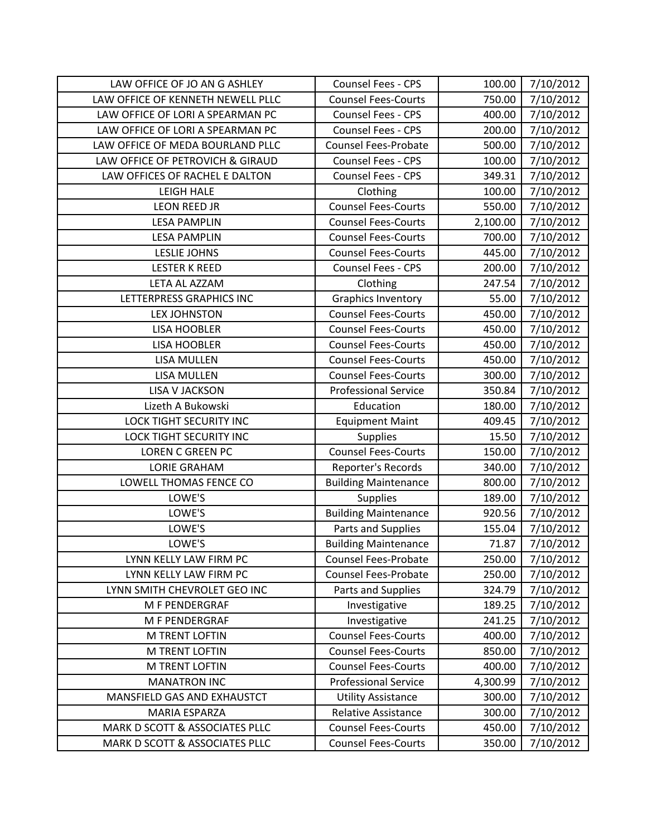| LAW OFFICE OF JO AN G ASHLEY      | Counsel Fees - CPS          | 100.00   | 7/10/2012 |
|-----------------------------------|-----------------------------|----------|-----------|
| LAW OFFICE OF KENNETH NEWELL PLLC | <b>Counsel Fees-Courts</b>  | 750.00   | 7/10/2012 |
| LAW OFFICE OF LORI A SPEARMAN PC  | Counsel Fees - CPS          | 400.00   | 7/10/2012 |
| LAW OFFICE OF LORI A SPEARMAN PC  | Counsel Fees - CPS          | 200.00   | 7/10/2012 |
| LAW OFFICE OF MEDA BOURLAND PLLC  | <b>Counsel Fees-Probate</b> | 500.00   | 7/10/2012 |
| LAW OFFICE OF PETROVICH & GIRAUD  | <b>Counsel Fees - CPS</b>   | 100.00   | 7/10/2012 |
| LAW OFFICES OF RACHEL E DALTON    | Counsel Fees - CPS          | 349.31   | 7/10/2012 |
| <b>LEIGH HALE</b>                 | Clothing                    | 100.00   | 7/10/2012 |
| <b>LEON REED JR</b>               | <b>Counsel Fees-Courts</b>  | 550.00   | 7/10/2012 |
| <b>LESA PAMPLIN</b>               | <b>Counsel Fees-Courts</b>  | 2,100.00 | 7/10/2012 |
| <b>LESA PAMPLIN</b>               | <b>Counsel Fees-Courts</b>  | 700.00   | 7/10/2012 |
| <b>LESLIE JOHNS</b>               | <b>Counsel Fees-Courts</b>  | 445.00   | 7/10/2012 |
| <b>LESTER K REED</b>              | Counsel Fees - CPS          | 200.00   | 7/10/2012 |
| LETA AL AZZAM                     | Clothing                    | 247.54   | 7/10/2012 |
| LETTERPRESS GRAPHICS INC          | <b>Graphics Inventory</b>   | 55.00    | 7/10/2012 |
| <b>LEX JOHNSTON</b>               | <b>Counsel Fees-Courts</b>  | 450.00   | 7/10/2012 |
| <b>LISA HOOBLER</b>               | <b>Counsel Fees-Courts</b>  | 450.00   | 7/10/2012 |
| <b>LISA HOOBLER</b>               | <b>Counsel Fees-Courts</b>  | 450.00   | 7/10/2012 |
| LISA MULLEN                       | <b>Counsel Fees-Courts</b>  | 450.00   | 7/10/2012 |
| <b>LISA MULLEN</b>                | <b>Counsel Fees-Courts</b>  | 300.00   | 7/10/2012 |
| <b>LISA V JACKSON</b>             | <b>Professional Service</b> | 350.84   | 7/10/2012 |
| Lizeth A Bukowski                 | Education                   | 180.00   | 7/10/2012 |
| LOCK TIGHT SECURITY INC           | <b>Equipment Maint</b>      | 409.45   | 7/10/2012 |
| LOCK TIGHT SECURITY INC           | <b>Supplies</b>             | 15.50    | 7/10/2012 |
| <b>LOREN C GREEN PC</b>           | <b>Counsel Fees-Courts</b>  | 150.00   | 7/10/2012 |
| <b>LORIE GRAHAM</b>               | Reporter's Records          | 340.00   | 7/10/2012 |
| LOWELL THOMAS FENCE CO            | <b>Building Maintenance</b> | 800.00   | 7/10/2012 |
| LOWE'S                            | <b>Supplies</b>             | 189.00   | 7/10/2012 |
| LOWE'S                            | <b>Building Maintenance</b> | 920.56   | 7/10/2012 |
| LOWE'S                            | Parts and Supplies          | 155.04   | 7/10/2012 |
| LOWE'S                            | <b>Building Maintenance</b> | 71.87    | 7/10/2012 |
| LYNN KELLY LAW FIRM PC            | <b>Counsel Fees-Probate</b> | 250.00   | 7/10/2012 |
| LYNN KELLY LAW FIRM PC            | <b>Counsel Fees-Probate</b> | 250.00   | 7/10/2012 |
| LYNN SMITH CHEVROLET GEO INC      | Parts and Supplies          | 324.79   | 7/10/2012 |
| M F PENDERGRAF                    | Investigative               | 189.25   | 7/10/2012 |
| M F PENDERGRAF                    | Investigative               | 241.25   | 7/10/2012 |
| M TRENT LOFTIN                    | <b>Counsel Fees-Courts</b>  | 400.00   | 7/10/2012 |
| <b>M TRENT LOFTIN</b>             | <b>Counsel Fees-Courts</b>  | 850.00   | 7/10/2012 |
| M TRENT LOFTIN                    | <b>Counsel Fees-Courts</b>  | 400.00   | 7/10/2012 |
| <b>MANATRON INC</b>               | <b>Professional Service</b> | 4,300.99 | 7/10/2012 |
| MANSFIELD GAS AND EXHAUSTCT       | <b>Utility Assistance</b>   | 300.00   | 7/10/2012 |
| MARIA ESPARZA                     | <b>Relative Assistance</b>  | 300.00   | 7/10/2012 |
| MARK D SCOTT & ASSOCIATES PLLC    | <b>Counsel Fees-Courts</b>  | 450.00   | 7/10/2012 |
| MARK D SCOTT & ASSOCIATES PLLC    | <b>Counsel Fees-Courts</b>  | 350.00   | 7/10/2012 |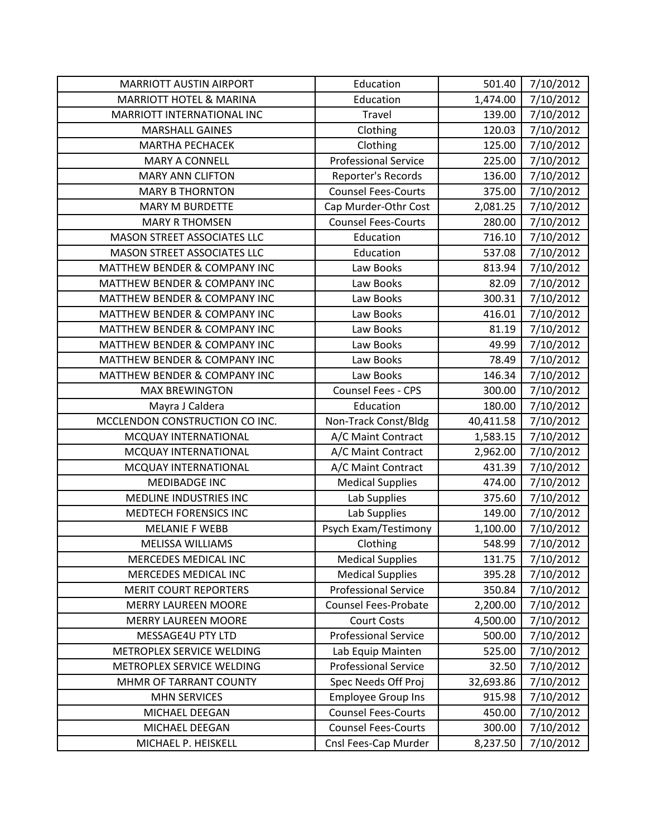| <b>MARRIOTT AUSTIN AIRPORT</b>          | Education                   | 501.40    | 7/10/2012 |
|-----------------------------------------|-----------------------------|-----------|-----------|
| <b>MARRIOTT HOTEL &amp; MARINA</b>      | Education                   | 1,474.00  | 7/10/2012 |
| MARRIOTT INTERNATIONAL INC              | <b>Travel</b>               | 139.00    | 7/10/2012 |
| <b>MARSHALL GAINES</b>                  | Clothing                    | 120.03    | 7/10/2012 |
| <b>MARTHA PECHACEK</b>                  | Clothing                    | 125.00    | 7/10/2012 |
| <b>MARY A CONNELL</b>                   | <b>Professional Service</b> | 225.00    | 7/10/2012 |
| <b>MARY ANN CLIFTON</b>                 | Reporter's Records          | 136.00    | 7/10/2012 |
| <b>MARY B THORNTON</b>                  | <b>Counsel Fees-Courts</b>  | 375.00    | 7/10/2012 |
| <b>MARY M BURDETTE</b>                  | Cap Murder-Othr Cost        | 2,081.25  | 7/10/2012 |
| <b>MARY R THOMSEN</b>                   | <b>Counsel Fees-Courts</b>  | 280.00    | 7/10/2012 |
| <b>MASON STREET ASSOCIATES LLC</b>      | Education                   | 716.10    | 7/10/2012 |
| MASON STREET ASSOCIATES LLC             | Education                   | 537.08    | 7/10/2012 |
| MATTHEW BENDER & COMPANY INC            | Law Books                   | 813.94    | 7/10/2012 |
| MATTHEW BENDER & COMPANY INC            | Law Books                   | 82.09     | 7/10/2012 |
| MATTHEW BENDER & COMPANY INC            | Law Books                   | 300.31    | 7/10/2012 |
| MATTHEW BENDER & COMPANY INC            | Law Books                   | 416.01    | 7/10/2012 |
| MATTHEW BENDER & COMPANY INC            | Law Books                   | 81.19     | 7/10/2012 |
| MATTHEW BENDER & COMPANY INC            | Law Books                   | 49.99     | 7/10/2012 |
| MATTHEW BENDER & COMPANY INC            | Law Books                   | 78.49     | 7/10/2012 |
| <b>MATTHEW BENDER &amp; COMPANY INC</b> | Law Books                   | 146.34    | 7/10/2012 |
| <b>MAX BREWINGTON</b>                   | Counsel Fees - CPS          | 300.00    | 7/10/2012 |
| Mayra J Caldera                         | Education                   | 180.00    | 7/10/2012 |
| MCCLENDON CONSTRUCTION CO INC.          | Non-Track Const/Bldg        | 40,411.58 | 7/10/2012 |
| MCQUAY INTERNATIONAL                    | A/C Maint Contract          | 1,583.15  | 7/10/2012 |
| MCQUAY INTERNATIONAL                    | A/C Maint Contract          | 2,962.00  | 7/10/2012 |
| MCQUAY INTERNATIONAL                    | A/C Maint Contract          | 431.39    | 7/10/2012 |
| <b>MEDIBADGE INC</b>                    | <b>Medical Supplies</b>     | 474.00    | 7/10/2012 |
| MEDLINE INDUSTRIES INC                  | Lab Supplies                | 375.60    | 7/10/2012 |
| <b>MEDTECH FORENSICS INC</b>            | Lab Supplies                | 149.00    | 7/10/2012 |
| <b>MELANIE F WEBB</b>                   | Psych Exam/Testimony        | 1,100.00  | 7/10/2012 |
| <b>MELISSA WILLIAMS</b>                 | Clothing                    | 548.99    | 7/10/2012 |
| MERCEDES MEDICAL INC                    | <b>Medical Supplies</b>     | 131.75    | 7/10/2012 |
| MERCEDES MEDICAL INC                    | <b>Medical Supplies</b>     | 395.28    | 7/10/2012 |
| <b>MERIT COURT REPORTERS</b>            | <b>Professional Service</b> | 350.84    | 7/10/2012 |
| <b>MERRY LAUREEN MOORE</b>              | <b>Counsel Fees-Probate</b> | 2,200.00  | 7/10/2012 |
| <b>MERRY LAUREEN MOORE</b>              | <b>Court Costs</b>          | 4,500.00  | 7/10/2012 |
| <b>MESSAGE4U PTY LTD</b>                | <b>Professional Service</b> | 500.00    | 7/10/2012 |
| METROPLEX SERVICE WELDING               | Lab Equip Mainten           | 525.00    | 7/10/2012 |
| METROPLEX SERVICE WELDING               | <b>Professional Service</b> | 32.50     | 7/10/2012 |
| MHMR OF TARRANT COUNTY                  | Spec Needs Off Proj         | 32,693.86 | 7/10/2012 |
| <b>MHN SERVICES</b>                     | <b>Employee Group Ins</b>   | 915.98    | 7/10/2012 |
| MICHAEL DEEGAN                          | <b>Counsel Fees-Courts</b>  | 450.00    | 7/10/2012 |
| MICHAEL DEEGAN                          | <b>Counsel Fees-Courts</b>  | 300.00    | 7/10/2012 |
| MICHAEL P. HEISKELL                     | Cnsl Fees-Cap Murder        | 8,237.50  | 7/10/2012 |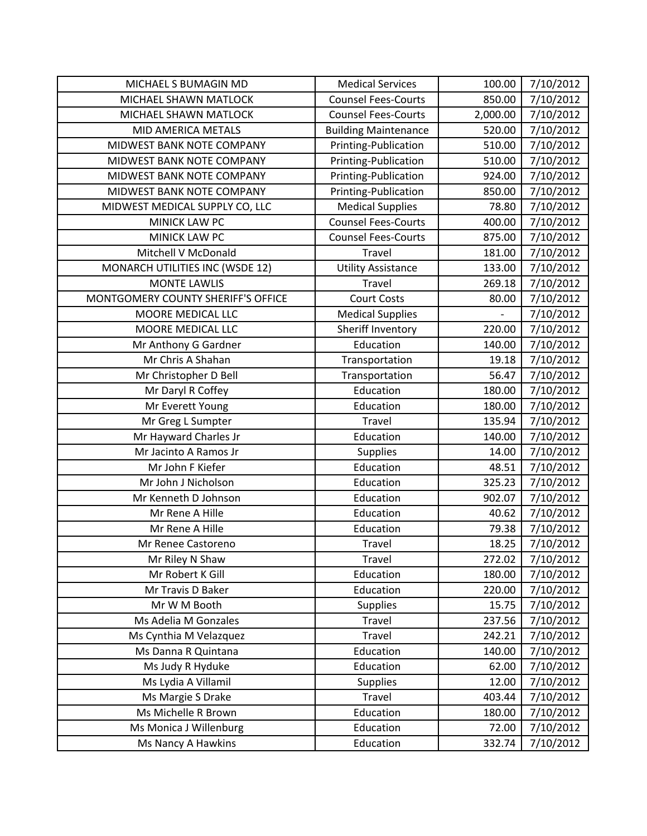| MICHAEL S BUMAGIN MD               | <b>Medical Services</b>     | 100.00                   | 7/10/2012 |
|------------------------------------|-----------------------------|--------------------------|-----------|
| MICHAEL SHAWN MATLOCK              | <b>Counsel Fees-Courts</b>  | 850.00                   | 7/10/2012 |
| MICHAEL SHAWN MATLOCK              | <b>Counsel Fees-Courts</b>  | 2,000.00                 | 7/10/2012 |
| <b>MID AMERICA METALS</b>          | <b>Building Maintenance</b> | 520.00                   | 7/10/2012 |
| MIDWEST BANK NOTE COMPANY          | Printing-Publication        | 510.00                   | 7/10/2012 |
| MIDWEST BANK NOTE COMPANY          | Printing-Publication        | 510.00                   | 7/10/2012 |
| MIDWEST BANK NOTE COMPANY          | Printing-Publication        | 924.00                   | 7/10/2012 |
| MIDWEST BANK NOTE COMPANY          | Printing-Publication        | 850.00                   | 7/10/2012 |
| MIDWEST MEDICAL SUPPLY CO, LLC     | <b>Medical Supplies</b>     | 78.80                    | 7/10/2012 |
| MINICK LAW PC                      | <b>Counsel Fees-Courts</b>  | 400.00                   | 7/10/2012 |
| MINICK LAW PC                      | <b>Counsel Fees-Courts</b>  | 875.00                   | 7/10/2012 |
| Mitchell V McDonald                | Travel                      | 181.00                   | 7/10/2012 |
| MONARCH UTILITIES INC (WSDE 12)    | <b>Utility Assistance</b>   | 133.00                   | 7/10/2012 |
| <b>MONTE LAWLIS</b>                | Travel                      | 269.18                   | 7/10/2012 |
| MONTGOMERY COUNTY SHERIFF'S OFFICE | <b>Court Costs</b>          | 80.00                    | 7/10/2012 |
| MOORE MEDICAL LLC                  | <b>Medical Supplies</b>     | $\overline{\phantom{0}}$ | 7/10/2012 |
| MOORE MEDICAL LLC                  | Sheriff Inventory           | 220.00                   | 7/10/2012 |
| Mr Anthony G Gardner               | Education                   | 140.00                   | 7/10/2012 |
| Mr Chris A Shahan                  | Transportation              | 19.18                    | 7/10/2012 |
| Mr Christopher D Bell              | Transportation              | 56.47                    | 7/10/2012 |
| Mr Daryl R Coffey                  | Education                   | 180.00                   | 7/10/2012 |
| Mr Everett Young                   | Education                   | 180.00                   | 7/10/2012 |
| Mr Greg L Sumpter                  | Travel                      | 135.94                   | 7/10/2012 |
| Mr Hayward Charles Jr              | Education                   | 140.00                   | 7/10/2012 |
| Mr Jacinto A Ramos Jr              | Supplies                    | 14.00                    | 7/10/2012 |
| Mr John F Kiefer                   | Education                   | 48.51                    | 7/10/2012 |
| Mr John J Nicholson                | Education                   | 325.23                   | 7/10/2012 |
| Mr Kenneth D Johnson               | Education                   | 902.07                   | 7/10/2012 |
| Mr Rene A Hille                    | Education                   | 40.62                    | 7/10/2012 |
| Mr Rene A Hille                    | Education                   | 79.38                    | 7/10/2012 |
| Mr Renee Castoreno                 | <b>Travel</b>               | 18.25                    | 7/10/2012 |
| Mr Riley N Shaw                    | Travel                      | 272.02                   | 7/10/2012 |
| Mr Robert K Gill                   | Education                   | 180.00                   | 7/10/2012 |
| Mr Travis D Baker                  | Education                   | 220.00                   | 7/10/2012 |
| Mr W M Booth                       | <b>Supplies</b>             | 15.75                    | 7/10/2012 |
| Ms Adelia M Gonzales               | Travel                      | 237.56                   | 7/10/2012 |
| Ms Cynthia M Velazquez             | Travel                      | 242.21                   | 7/10/2012 |
| Ms Danna R Quintana                | Education                   | 140.00                   | 7/10/2012 |
| Ms Judy R Hyduke                   | Education                   | 62.00                    | 7/10/2012 |
| Ms Lydia A Villamil                | <b>Supplies</b>             | 12.00                    | 7/10/2012 |
| Ms Margie S Drake                  | Travel                      | 403.44                   | 7/10/2012 |
| Ms Michelle R Brown                | Education                   | 180.00                   | 7/10/2012 |
| Ms Monica J Willenburg             | Education                   | 72.00                    | 7/10/2012 |
| Ms Nancy A Hawkins                 | Education                   | 332.74                   | 7/10/2012 |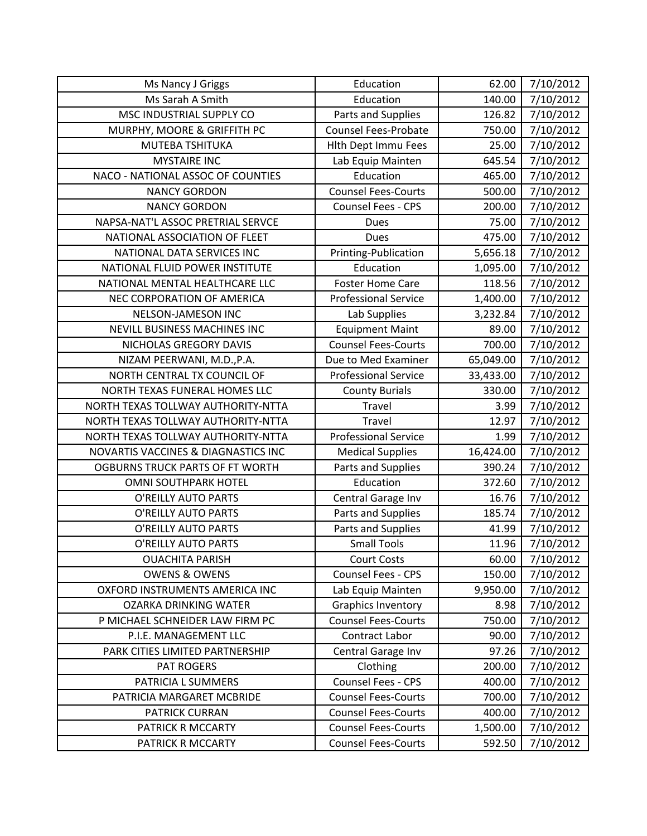| Ms Nancy J Griggs                   | Education                   | 62.00     | 7/10/2012 |
|-------------------------------------|-----------------------------|-----------|-----------|
| Ms Sarah A Smith                    | Education                   | 140.00    | 7/10/2012 |
| MSC INDUSTRIAL SUPPLY CO            | Parts and Supplies          | 126.82    | 7/10/2012 |
| MURPHY, MOORE & GRIFFITH PC         | <b>Counsel Fees-Probate</b> | 750.00    | 7/10/2012 |
| MUTEBA TSHITUKA                     | <b>Hith Dept Immu Fees</b>  | 25.00     | 7/10/2012 |
| <b>MYSTAIRE INC</b>                 | Lab Equip Mainten           | 645.54    | 7/10/2012 |
| NACO - NATIONAL ASSOC OF COUNTIES   | Education                   | 465.00    | 7/10/2012 |
| <b>NANCY GORDON</b>                 | <b>Counsel Fees-Courts</b>  | 500.00    | 7/10/2012 |
| <b>NANCY GORDON</b>                 | <b>Counsel Fees - CPS</b>   | 200.00    | 7/10/2012 |
| NAPSA-NAT'L ASSOC PRETRIAL SERVCE   | Dues                        | 75.00     | 7/10/2012 |
| NATIONAL ASSOCIATION OF FLEET       | <b>Dues</b>                 | 475.00    | 7/10/2012 |
| NATIONAL DATA SERVICES INC          | Printing-Publication        | 5,656.18  | 7/10/2012 |
| NATIONAL FLUID POWER INSTITUTE      | Education                   | 1,095.00  | 7/10/2012 |
| NATIONAL MENTAL HEALTHCARE LLC      | <b>Foster Home Care</b>     | 118.56    | 7/10/2012 |
| NEC CORPORATION OF AMERICA          | <b>Professional Service</b> | 1,400.00  | 7/10/2012 |
| NELSON-JAMESON INC                  | Lab Supplies                | 3,232.84  | 7/10/2012 |
| NEVILL BUSINESS MACHINES INC        | <b>Equipment Maint</b>      | 89.00     | 7/10/2012 |
| NICHOLAS GREGORY DAVIS              | <b>Counsel Fees-Courts</b>  | 700.00    | 7/10/2012 |
| NIZAM PEERWANI, M.D., P.A.          | Due to Med Examiner         | 65,049.00 | 7/10/2012 |
| NORTH CENTRAL TX COUNCIL OF         | <b>Professional Service</b> | 33,433.00 | 7/10/2012 |
| NORTH TEXAS FUNERAL HOMES LLC       | <b>County Burials</b>       | 330.00    | 7/10/2012 |
| NORTH TEXAS TOLLWAY AUTHORITY-NTTA  | Travel                      | 3.99      | 7/10/2012 |
| NORTH TEXAS TOLLWAY AUTHORITY-NTTA  | Travel                      | 12.97     | 7/10/2012 |
| NORTH TEXAS TOLLWAY AUTHORITY-NTTA  | <b>Professional Service</b> | 1.99      | 7/10/2012 |
|                                     |                             |           |           |
| NOVARTIS VACCINES & DIAGNASTICS INC | <b>Medical Supplies</b>     | 16,424.00 | 7/10/2012 |
| OGBURNS TRUCK PARTS OF FT WORTH     | Parts and Supplies          | 390.24    | 7/10/2012 |
| <b>OMNI SOUTHPARK HOTEL</b>         | Education                   | 372.60    | 7/10/2012 |
| O'REILLY AUTO PARTS                 | Central Garage Inv          | 16.76     | 7/10/2012 |
| O'REILLY AUTO PARTS                 | Parts and Supplies          | 185.74    | 7/10/2012 |
| O'REILLY AUTO PARTS                 | Parts and Supplies          | 41.99     | 7/10/2012 |
| O'REILLY AUTO PARTS                 | <b>Small Tools</b>          | 11.96     | 7/10/2012 |
| <b>OUACHITA PARISH</b>              | <b>Court Costs</b>          | 60.00     | 7/10/2012 |
| <b>OWENS &amp; OWENS</b>            | Counsel Fees - CPS          | 150.00    | 7/10/2012 |
| OXFORD INSTRUMENTS AMERICA INC      | Lab Equip Mainten           | 9,950.00  | 7/10/2012 |
| <b>OZARKA DRINKING WATER</b>        | <b>Graphics Inventory</b>   | 8.98      | 7/10/2012 |
| P MICHAEL SCHNEIDER LAW FIRM PC     | <b>Counsel Fees-Courts</b>  | 750.00    | 7/10/2012 |
| P.I.E. MANAGEMENT LLC               | Contract Labor              | 90.00     | 7/10/2012 |
| PARK CITIES LIMITED PARTNERSHIP     | Central Garage Inv          | 97.26     | 7/10/2012 |
| PAT ROGERS                          | Clothing                    | 200.00    | 7/10/2012 |
| PATRICIA L SUMMERS                  | Counsel Fees - CPS          | 400.00    | 7/10/2012 |
| PATRICIA MARGARET MCBRIDE           | <b>Counsel Fees-Courts</b>  | 700.00    | 7/10/2012 |
| PATRICK CURRAN                      | <b>Counsel Fees-Courts</b>  | 400.00    | 7/10/2012 |
| PATRICK R MCCARTY                   | <b>Counsel Fees-Courts</b>  | 1,500.00  | 7/10/2012 |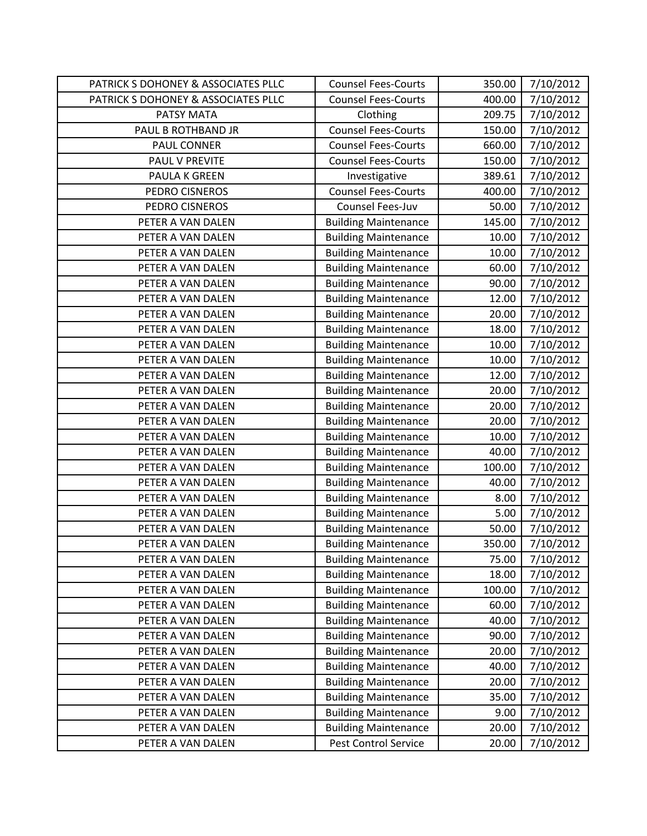| PATRICK S DOHONEY & ASSOCIATES PLLC | <b>Counsel Fees-Courts</b>  | 350.00 | 7/10/2012 |
|-------------------------------------|-----------------------------|--------|-----------|
| PATRICK S DOHONEY & ASSOCIATES PLLC | <b>Counsel Fees-Courts</b>  | 400.00 | 7/10/2012 |
| PATSY MATA                          | Clothing                    | 209.75 | 7/10/2012 |
| PAUL B ROTHBAND JR                  | <b>Counsel Fees-Courts</b>  | 150.00 | 7/10/2012 |
| <b>PAUL CONNER</b>                  | <b>Counsel Fees-Courts</b>  | 660.00 | 7/10/2012 |
| PAUL V PREVITE                      | <b>Counsel Fees-Courts</b>  | 150.00 | 7/10/2012 |
| PAULA K GREEN                       | Investigative               | 389.61 | 7/10/2012 |
| PEDRO CISNEROS                      | <b>Counsel Fees-Courts</b>  | 400.00 | 7/10/2012 |
| PEDRO CISNEROS                      | Counsel Fees-Juv            | 50.00  | 7/10/2012 |
| PETER A VAN DALEN                   | <b>Building Maintenance</b> | 145.00 | 7/10/2012 |
| PETER A VAN DALEN                   | <b>Building Maintenance</b> | 10.00  | 7/10/2012 |
| PETER A VAN DALEN                   | <b>Building Maintenance</b> | 10.00  | 7/10/2012 |
| PETER A VAN DALEN                   | <b>Building Maintenance</b> | 60.00  | 7/10/2012 |
| PETER A VAN DALEN                   | <b>Building Maintenance</b> | 90.00  | 7/10/2012 |
| PETER A VAN DALEN                   | <b>Building Maintenance</b> | 12.00  | 7/10/2012 |
| PETER A VAN DALEN                   | <b>Building Maintenance</b> | 20.00  | 7/10/2012 |
| PETER A VAN DALEN                   | <b>Building Maintenance</b> | 18.00  | 7/10/2012 |
| PETER A VAN DALEN                   | <b>Building Maintenance</b> | 10.00  | 7/10/2012 |
| PETER A VAN DALEN                   | <b>Building Maintenance</b> | 10.00  | 7/10/2012 |
| PETER A VAN DALEN                   | <b>Building Maintenance</b> | 12.00  | 7/10/2012 |
| PETER A VAN DALEN                   | <b>Building Maintenance</b> | 20.00  | 7/10/2012 |
| PETER A VAN DALEN                   | <b>Building Maintenance</b> | 20.00  | 7/10/2012 |
| PETER A VAN DALEN                   | <b>Building Maintenance</b> | 20.00  | 7/10/2012 |
| PETER A VAN DALEN                   | <b>Building Maintenance</b> | 10.00  | 7/10/2012 |
| PETER A VAN DALEN                   | <b>Building Maintenance</b> | 40.00  | 7/10/2012 |
| PETER A VAN DALEN                   | <b>Building Maintenance</b> | 100.00 | 7/10/2012 |
| PETER A VAN DALEN                   | <b>Building Maintenance</b> | 40.00  | 7/10/2012 |
| PETER A VAN DALEN                   | <b>Building Maintenance</b> | 8.00   | 7/10/2012 |
| PETER A VAN DALEN                   | <b>Building Maintenance</b> | 5.00   | 7/10/2012 |
| PETER A VAN DALEN                   | <b>Building Maintenance</b> | 50.00  | 7/10/2012 |
| PETER A VAN DALEN                   | <b>Building Maintenance</b> | 350.00 | 7/10/2012 |
| PETER A VAN DALEN                   | <b>Building Maintenance</b> | 75.00  | 7/10/2012 |
| PETER A VAN DALEN                   | <b>Building Maintenance</b> | 18.00  | 7/10/2012 |
| PETER A VAN DALEN                   | <b>Building Maintenance</b> | 100.00 | 7/10/2012 |
| PETER A VAN DALEN                   | <b>Building Maintenance</b> | 60.00  | 7/10/2012 |
| PETER A VAN DALEN                   | <b>Building Maintenance</b> | 40.00  | 7/10/2012 |
| PETER A VAN DALEN                   | <b>Building Maintenance</b> | 90.00  | 7/10/2012 |
| PETER A VAN DALEN                   | <b>Building Maintenance</b> | 20.00  | 7/10/2012 |
| PETER A VAN DALEN                   | <b>Building Maintenance</b> | 40.00  | 7/10/2012 |
| PETER A VAN DALEN                   | <b>Building Maintenance</b> | 20.00  | 7/10/2012 |
| PETER A VAN DALEN                   | <b>Building Maintenance</b> | 35.00  | 7/10/2012 |
| PETER A VAN DALEN                   | <b>Building Maintenance</b> | 9.00   | 7/10/2012 |
| PETER A VAN DALEN                   | <b>Building Maintenance</b> | 20.00  | 7/10/2012 |
| PETER A VAN DALEN                   | Pest Control Service        | 20.00  | 7/10/2012 |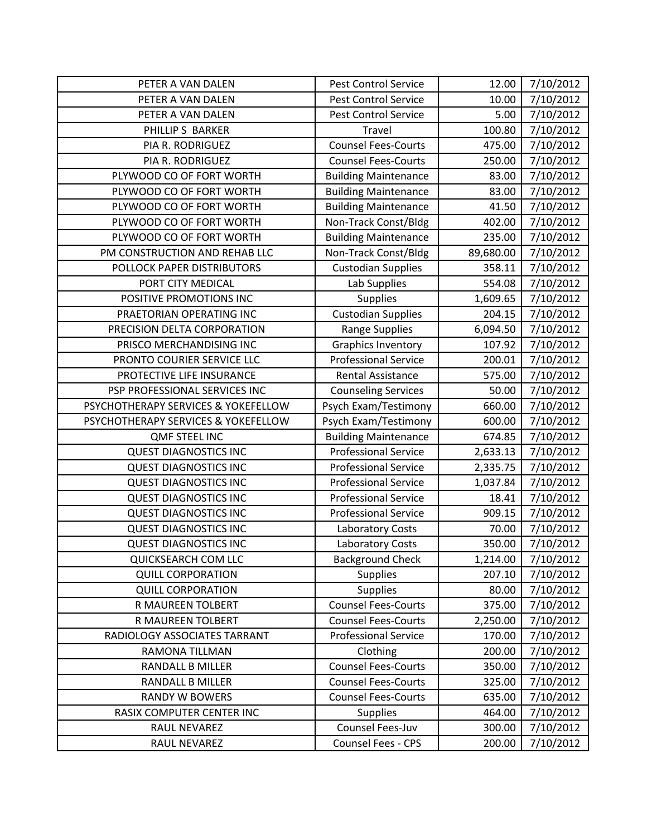| PETER A VAN DALEN                   | <b>Pest Control Service</b> | 12.00     | 7/10/2012 |
|-------------------------------------|-----------------------------|-----------|-----------|
| PETER A VAN DALEN                   | <b>Pest Control Service</b> | 10.00     | 7/10/2012 |
| PETER A VAN DALEN                   | <b>Pest Control Service</b> | 5.00      | 7/10/2012 |
| PHILLIP S BARKER                    | Travel                      | 100.80    | 7/10/2012 |
| PIA R. RODRIGUEZ                    | <b>Counsel Fees-Courts</b>  | 475.00    | 7/10/2012 |
| PIA R. RODRIGUEZ                    | <b>Counsel Fees-Courts</b>  | 250.00    | 7/10/2012 |
| PLYWOOD CO OF FORT WORTH            | <b>Building Maintenance</b> | 83.00     | 7/10/2012 |
| PLYWOOD CO OF FORT WORTH            | <b>Building Maintenance</b> | 83.00     | 7/10/2012 |
| PLYWOOD CO OF FORT WORTH            | <b>Building Maintenance</b> | 41.50     | 7/10/2012 |
| PLYWOOD CO OF FORT WORTH            | Non-Track Const/Bldg        | 402.00    | 7/10/2012 |
| PLYWOOD CO OF FORT WORTH            | <b>Building Maintenance</b> | 235.00    | 7/10/2012 |
| PM CONSTRUCTION AND REHAB LLC       | Non-Track Const/Bldg        | 89,680.00 | 7/10/2012 |
| POLLOCK PAPER DISTRIBUTORS          | <b>Custodian Supplies</b>   | 358.11    | 7/10/2012 |
| PORT CITY MEDICAL                   | Lab Supplies                | 554.08    | 7/10/2012 |
| POSITIVE PROMOTIONS INC             | <b>Supplies</b>             | 1,609.65  | 7/10/2012 |
| PRAETORIAN OPERATING INC            | <b>Custodian Supplies</b>   | 204.15    | 7/10/2012 |
| PRECISION DELTA CORPORATION         | <b>Range Supplies</b>       | 6,094.50  | 7/10/2012 |
| PRISCO MERCHANDISING INC            | <b>Graphics Inventory</b>   | 107.92    | 7/10/2012 |
| PRONTO COURIER SERVICE LLC          | <b>Professional Service</b> | 200.01    | 7/10/2012 |
| PROTECTIVE LIFE INSURANCE           | <b>Rental Assistance</b>    | 575.00    | 7/10/2012 |
| PSP PROFESSIONAL SERVICES INC       | <b>Counseling Services</b>  | 50.00     | 7/10/2012 |
| PSYCHOTHERAPY SERVICES & YOKEFELLOW | Psych Exam/Testimony        | 660.00    | 7/10/2012 |
| PSYCHOTHERAPY SERVICES & YOKEFELLOW | Psych Exam/Testimony        | 600.00    | 7/10/2012 |
| <b>QMF STEEL INC</b>                | <b>Building Maintenance</b> | 674.85    | 7/10/2012 |
| <b>QUEST DIAGNOSTICS INC</b>        | <b>Professional Service</b> | 2,633.13  | 7/10/2012 |
| <b>QUEST DIAGNOSTICS INC</b>        | <b>Professional Service</b> | 2,335.75  | 7/10/2012 |
| <b>QUEST DIAGNOSTICS INC</b>        | <b>Professional Service</b> | 1,037.84  | 7/10/2012 |
| <b>QUEST DIAGNOSTICS INC</b>        | <b>Professional Service</b> | 18.41     | 7/10/2012 |
| <b>QUEST DIAGNOSTICS INC</b>        | <b>Professional Service</b> | 909.15    | 7/10/2012 |
| <b>QUEST DIAGNOSTICS INC</b>        | Laboratory Costs            | 70.00     | 7/10/2012 |
| <b>QUEST DIAGNOSTICS INC</b>        | <b>Laboratory Costs</b>     | 350.00    | 7/10/2012 |
| QUICKSEARCH COM LLC                 | <b>Background Check</b>     | 1,214.00  | 7/10/2012 |
| <b>QUILL CORPORATION</b>            | <b>Supplies</b>             | 207.10    | 7/10/2012 |
| <b>QUILL CORPORATION</b>            | <b>Supplies</b>             | 80.00     | 7/10/2012 |
| R MAUREEN TOLBERT                   | <b>Counsel Fees-Courts</b>  | 375.00    | 7/10/2012 |
| R MAUREEN TOLBERT                   | <b>Counsel Fees-Courts</b>  | 2,250.00  | 7/10/2012 |
| RADIOLOGY ASSOCIATES TARRANT        | <b>Professional Service</b> | 170.00    | 7/10/2012 |
| RAMONA TILLMAN                      | Clothing                    | 200.00    | 7/10/2012 |
| <b>RANDALL B MILLER</b>             | <b>Counsel Fees-Courts</b>  | 350.00    | 7/10/2012 |
| <b>RANDALL B MILLER</b>             | <b>Counsel Fees-Courts</b>  | 325.00    | 7/10/2012 |
| <b>RANDY W BOWERS</b>               | <b>Counsel Fees-Courts</b>  | 635.00    | 7/10/2012 |
| RASIX COMPUTER CENTER INC           | <b>Supplies</b>             | 464.00    | 7/10/2012 |
| RAUL NEVAREZ                        | Counsel Fees-Juv            | 300.00    | 7/10/2012 |
| RAUL NEVAREZ                        | Counsel Fees - CPS          | 200.00    | 7/10/2012 |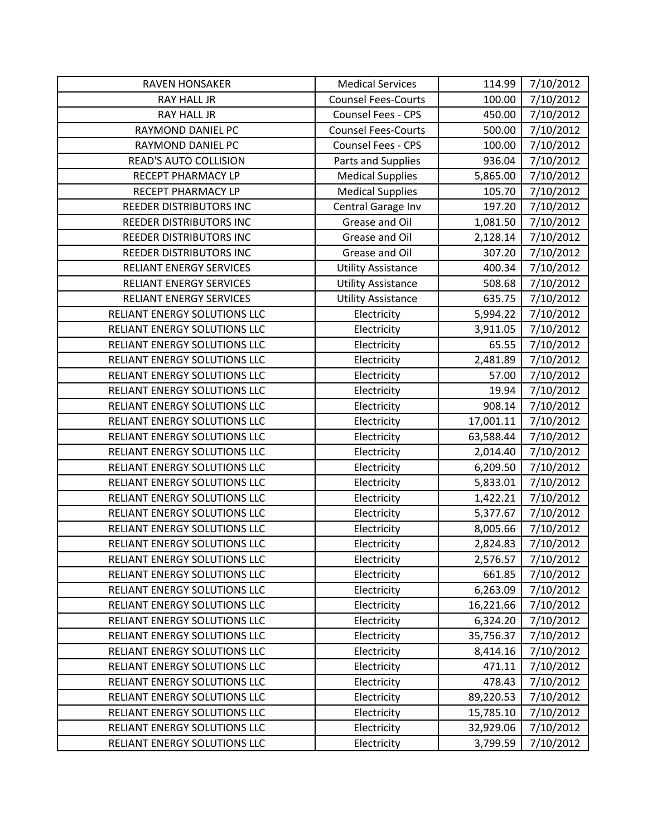| <b>RAVEN HONSAKER</b>          | <b>Medical Services</b>    | 114.99    | 7/10/2012 |
|--------------------------------|----------------------------|-----------|-----------|
| <b>RAY HALL JR</b>             | <b>Counsel Fees-Courts</b> | 100.00    | 7/10/2012 |
| RAY HALL JR                    | <b>Counsel Fees - CPS</b>  | 450.00    | 7/10/2012 |
| RAYMOND DANIEL PC              | <b>Counsel Fees-Courts</b> | 500.00    | 7/10/2012 |
| RAYMOND DANIEL PC              | Counsel Fees - CPS         | 100.00    | 7/10/2012 |
| READ'S AUTO COLLISION          | Parts and Supplies         | 936.04    | 7/10/2012 |
| RECEPT PHARMACY LP             | <b>Medical Supplies</b>    | 5,865.00  | 7/10/2012 |
| RECEPT PHARMACY LP             | <b>Medical Supplies</b>    | 105.70    | 7/10/2012 |
| <b>REEDER DISTRIBUTORS INC</b> | Central Garage Inv         | 197.20    | 7/10/2012 |
| REEDER DISTRIBUTORS INC        | Grease and Oil             | 1,081.50  | 7/10/2012 |
| REEDER DISTRIBUTORS INC        | Grease and Oil             | 2,128.14  | 7/10/2012 |
| REEDER DISTRIBUTORS INC        | Grease and Oil             | 307.20    | 7/10/2012 |
| <b>RELIANT ENERGY SERVICES</b> | <b>Utility Assistance</b>  | 400.34    | 7/10/2012 |
| <b>RELIANT ENERGY SERVICES</b> | <b>Utility Assistance</b>  | 508.68    | 7/10/2012 |
| RELIANT ENERGY SERVICES        | <b>Utility Assistance</b>  | 635.75    | 7/10/2012 |
| RELIANT ENERGY SOLUTIONS LLC   | Electricity                | 5,994.22  | 7/10/2012 |
| RELIANT ENERGY SOLUTIONS LLC   | Electricity                | 3,911.05  | 7/10/2012 |
| RELIANT ENERGY SOLUTIONS LLC   | Electricity                | 65.55     | 7/10/2012 |
| RELIANT ENERGY SOLUTIONS LLC   | Electricity                | 2,481.89  | 7/10/2012 |
| RELIANT ENERGY SOLUTIONS LLC   | Electricity                | 57.00     | 7/10/2012 |
| RELIANT ENERGY SOLUTIONS LLC   | Electricity                | 19.94     | 7/10/2012 |
| RELIANT ENERGY SOLUTIONS LLC   | Electricity                | 908.14    | 7/10/2012 |
| RELIANT ENERGY SOLUTIONS LLC   | Electricity                | 17,001.11 | 7/10/2012 |
| RELIANT ENERGY SOLUTIONS LLC   | Electricity                | 63,588.44 | 7/10/2012 |
| RELIANT ENERGY SOLUTIONS LLC   | Electricity                | 2,014.40  | 7/10/2012 |
| RELIANT ENERGY SOLUTIONS LLC   | Electricity                | 6,209.50  | 7/10/2012 |
| RELIANT ENERGY SOLUTIONS LLC   | Electricity                | 5,833.01  | 7/10/2012 |
| RELIANT ENERGY SOLUTIONS LLC   | Electricity                | 1,422.21  | 7/10/2012 |
| RELIANT ENERGY SOLUTIONS LLC   | Electricity                | 5,377.67  | 7/10/2012 |
| RELIANT ENERGY SOLUTIONS LLC   | Electricity                | 8,005.66  | 7/10/2012 |
| RELIANT ENERGY SOLUTIONS LLC   | Electricity                | 2,824.83  | 7/10/2012 |
| RELIANT ENERGY SOLUTIONS LLC   | Electricity                | 2,576.57  | 7/10/2012 |
| RELIANT ENERGY SOLUTIONS LLC   | Electricity                | 661.85    | 7/10/2012 |
| RELIANT ENERGY SOLUTIONS LLC   | Electricity                | 6,263.09  | 7/10/2012 |
| RELIANT ENERGY SOLUTIONS LLC   | Electricity                | 16,221.66 | 7/10/2012 |
| RELIANT ENERGY SOLUTIONS LLC   | Electricity                | 6,324.20  | 7/10/2012 |
| RELIANT ENERGY SOLUTIONS LLC   | Electricity                | 35,756.37 | 7/10/2012 |
| RELIANT ENERGY SOLUTIONS LLC   | Electricity                | 8,414.16  | 7/10/2012 |
| RELIANT ENERGY SOLUTIONS LLC   | Electricity                | 471.11    | 7/10/2012 |
| RELIANT ENERGY SOLUTIONS LLC   | Electricity                | 478.43    | 7/10/2012 |
| RELIANT ENERGY SOLUTIONS LLC   | Electricity                | 89,220.53 | 7/10/2012 |
| RELIANT ENERGY SOLUTIONS LLC   | Electricity                | 15,785.10 | 7/10/2012 |
| RELIANT ENERGY SOLUTIONS LLC   | Electricity                | 32,929.06 | 7/10/2012 |
| RELIANT ENERGY SOLUTIONS LLC   | Electricity                | 3,799.59  | 7/10/2012 |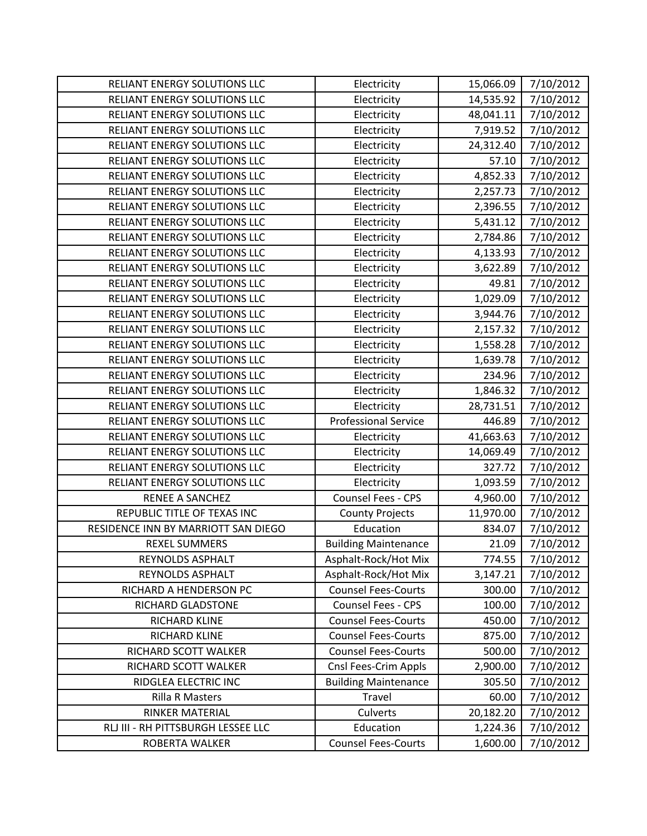| RELIANT ENERGY SOLUTIONS LLC        | Electricity                 | 15,066.09 | 7/10/2012 |
|-------------------------------------|-----------------------------|-----------|-----------|
| RELIANT ENERGY SOLUTIONS LLC        | Electricity                 | 14,535.92 | 7/10/2012 |
| RELIANT ENERGY SOLUTIONS LLC        | Electricity                 | 48,041.11 | 7/10/2012 |
| RELIANT ENERGY SOLUTIONS LLC        | Electricity                 | 7,919.52  | 7/10/2012 |
| RELIANT ENERGY SOLUTIONS LLC        | Electricity                 | 24,312.40 | 7/10/2012 |
| RELIANT ENERGY SOLUTIONS LLC        | Electricity                 | 57.10     | 7/10/2012 |
| RELIANT ENERGY SOLUTIONS LLC        | Electricity                 | 4,852.33  | 7/10/2012 |
| RELIANT ENERGY SOLUTIONS LLC        | Electricity                 | 2,257.73  | 7/10/2012 |
| RELIANT ENERGY SOLUTIONS LLC        | Electricity                 | 2,396.55  | 7/10/2012 |
| RELIANT ENERGY SOLUTIONS LLC        | Electricity                 | 5,431.12  | 7/10/2012 |
| RELIANT ENERGY SOLUTIONS LLC        | Electricity                 | 2,784.86  | 7/10/2012 |
| RELIANT ENERGY SOLUTIONS LLC        | Electricity                 | 4,133.93  | 7/10/2012 |
| RELIANT ENERGY SOLUTIONS LLC        | Electricity                 | 3,622.89  | 7/10/2012 |
| RELIANT ENERGY SOLUTIONS LLC        | Electricity                 | 49.81     | 7/10/2012 |
| RELIANT ENERGY SOLUTIONS LLC        | Electricity                 | 1,029.09  | 7/10/2012 |
| RELIANT ENERGY SOLUTIONS LLC        | Electricity                 | 3,944.76  | 7/10/2012 |
| RELIANT ENERGY SOLUTIONS LLC        | Electricity                 | 2,157.32  | 7/10/2012 |
| RELIANT ENERGY SOLUTIONS LLC        | Electricity                 | 1,558.28  | 7/10/2012 |
| RELIANT ENERGY SOLUTIONS LLC        | Electricity                 | 1,639.78  | 7/10/2012 |
| RELIANT ENERGY SOLUTIONS LLC        | Electricity                 | 234.96    | 7/10/2012 |
| RELIANT ENERGY SOLUTIONS LLC        | Electricity                 | 1,846.32  | 7/10/2012 |
| RELIANT ENERGY SOLUTIONS LLC        | Electricity                 | 28,731.51 | 7/10/2012 |
| RELIANT ENERGY SOLUTIONS LLC        | <b>Professional Service</b> | 446.89    | 7/10/2012 |
| RELIANT ENERGY SOLUTIONS LLC        | Electricity                 | 41,663.63 | 7/10/2012 |
| RELIANT ENERGY SOLUTIONS LLC        | Electricity                 | 14,069.49 | 7/10/2012 |
| RELIANT ENERGY SOLUTIONS LLC        | Electricity                 | 327.72    | 7/10/2012 |
| RELIANT ENERGY SOLUTIONS LLC        | Electricity                 | 1,093.59  | 7/10/2012 |
| <b>RENEE A SANCHEZ</b>              | Counsel Fees - CPS          | 4,960.00  | 7/10/2012 |
| REPUBLIC TITLE OF TEXAS INC         | <b>County Projects</b>      | 11,970.00 | 7/10/2012 |
| RESIDENCE INN BY MARRIOTT SAN DIEGO | Education                   | 834.07    | 7/10/2012 |
| <b>REXEL SUMMERS</b>                | <b>Building Maintenance</b> | 21.09     | 7/10/2012 |
| REYNOLDS ASPHALT                    | Asphalt-Rock/Hot Mix        | 774.55    | 7/10/2012 |
| REYNOLDS ASPHALT                    | Asphalt-Rock/Hot Mix        | 3,147.21  | 7/10/2012 |
| RICHARD A HENDERSON PC              | <b>Counsel Fees-Courts</b>  | 300.00    | 7/10/2012 |
| RICHARD GLADSTONE                   | Counsel Fees - CPS          | 100.00    | 7/10/2012 |
| RICHARD KLINE                       | <b>Counsel Fees-Courts</b>  | 450.00    | 7/10/2012 |
| RICHARD KLINE                       | <b>Counsel Fees-Courts</b>  | 875.00    | 7/10/2012 |
| RICHARD SCOTT WALKER                | <b>Counsel Fees-Courts</b>  | 500.00    | 7/10/2012 |
| RICHARD SCOTT WALKER                | Cnsl Fees-Crim Appls        | 2,900.00  | 7/10/2012 |
| RIDGLEA ELECTRIC INC                | <b>Building Maintenance</b> | 305.50    | 7/10/2012 |
| <b>Rilla R Masters</b>              | Travel                      | 60.00     | 7/10/2012 |
| RINKER MATERIAL                     | Culverts                    | 20,182.20 | 7/10/2012 |
| RLJ III - RH PITTSBURGH LESSEE LLC  | Education                   | 1,224.36  | 7/10/2012 |
| ROBERTA WALKER                      | <b>Counsel Fees-Courts</b>  | 1,600.00  | 7/10/2012 |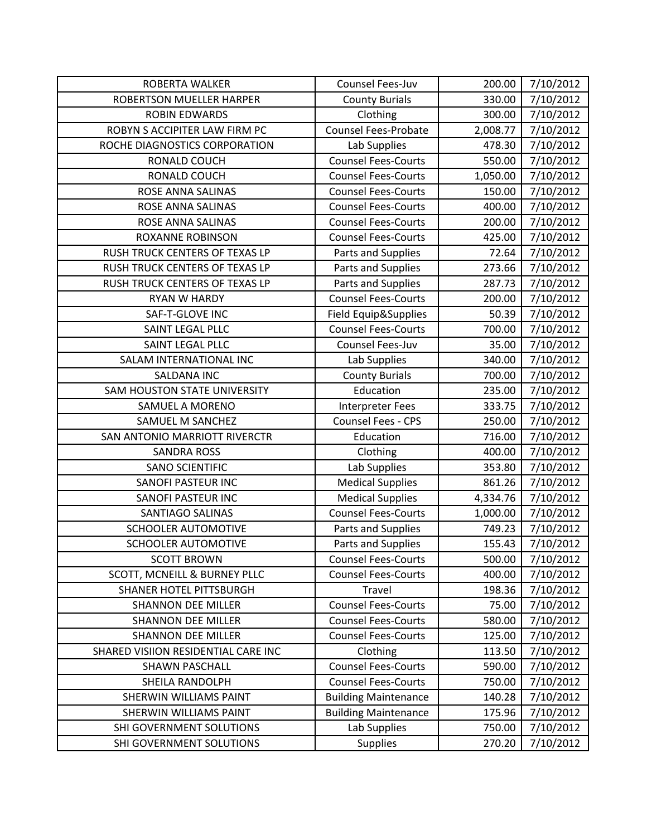| <b>ROBERTA WALKER</b>                   | Counsel Fees-Juv            | 200.00   | 7/10/2012 |
|-----------------------------------------|-----------------------------|----------|-----------|
| <b>ROBERTSON MUELLER HARPER</b>         | <b>County Burials</b>       | 330.00   | 7/10/2012 |
| <b>ROBIN EDWARDS</b>                    | Clothing                    | 300.00   | 7/10/2012 |
| ROBYN S ACCIPITER LAW FIRM PC           | <b>Counsel Fees-Probate</b> | 2,008.77 | 7/10/2012 |
| ROCHE DIAGNOSTICS CORPORATION           | Lab Supplies                | 478.30   | 7/10/2012 |
| RONALD COUCH                            | <b>Counsel Fees-Courts</b>  | 550.00   | 7/10/2012 |
| RONALD COUCH                            | <b>Counsel Fees-Courts</b>  | 1,050.00 | 7/10/2012 |
| ROSE ANNA SALINAS                       | <b>Counsel Fees-Courts</b>  | 150.00   | 7/10/2012 |
| ROSE ANNA SALINAS                       | <b>Counsel Fees-Courts</b>  | 400.00   | 7/10/2012 |
| ROSE ANNA SALINAS                       | <b>Counsel Fees-Courts</b>  | 200.00   | 7/10/2012 |
| <b>ROXANNE ROBINSON</b>                 | <b>Counsel Fees-Courts</b>  | 425.00   | 7/10/2012 |
| RUSH TRUCK CENTERS OF TEXAS LP          | Parts and Supplies          | 72.64    | 7/10/2012 |
| RUSH TRUCK CENTERS OF TEXAS LP          | Parts and Supplies          | 273.66   | 7/10/2012 |
| RUSH TRUCK CENTERS OF TEXAS LP          | Parts and Supplies          | 287.73   | 7/10/2012 |
| <b>RYAN W HARDY</b>                     | <b>Counsel Fees-Courts</b>  | 200.00   | 7/10/2012 |
| SAF-T-GLOVE INC                         | Field Equip&Supplies        | 50.39    | 7/10/2012 |
| SAINT LEGAL PLLC                        | <b>Counsel Fees-Courts</b>  | 700.00   | 7/10/2012 |
| SAINT LEGAL PLLC                        | Counsel Fees-Juv            | 35.00    | 7/10/2012 |
| SALAM INTERNATIONAL INC                 | Lab Supplies                | 340.00   | 7/10/2012 |
| <b>SALDANA INC</b>                      | <b>County Burials</b>       | 700.00   | 7/10/2012 |
| SAM HOUSTON STATE UNIVERSITY            | Education                   | 235.00   | 7/10/2012 |
| SAMUEL A MORENO                         | Interpreter Fees            | 333.75   | 7/10/2012 |
| SAMUEL M SANCHEZ                        | Counsel Fees - CPS          | 250.00   | 7/10/2012 |
| SAN ANTONIO MARRIOTT RIVERCTR           | Education                   | 716.00   | 7/10/2012 |
| <b>SANDRA ROSS</b>                      | Clothing                    | 400.00   | 7/10/2012 |
| <b>SANO SCIENTIFIC</b>                  | Lab Supplies                | 353.80   | 7/10/2012 |
| <b>SANOFI PASTEUR INC</b>               | <b>Medical Supplies</b>     | 861.26   | 7/10/2012 |
| <b>SANOFI PASTEUR INC</b>               | <b>Medical Supplies</b>     | 4,334.76 | 7/10/2012 |
| <b>SANTIAGO SALINAS</b>                 | <b>Counsel Fees-Courts</b>  | 1,000.00 | 7/10/2012 |
| SCHOOLER AUTOMOTIVE                     | Parts and Supplies          | 749.23   | 7/10/2012 |
| <b>SCHOOLER AUTOMOTIVE</b>              | Parts and Supplies          | 155.43   | 7/10/2012 |
| <b>SCOTT BROWN</b>                      | <b>Counsel Fees-Courts</b>  | 500.00   | 7/10/2012 |
| <b>SCOTT, MCNEILL &amp; BURNEY PLLC</b> | <b>Counsel Fees-Courts</b>  | 400.00   | 7/10/2012 |
| <b>SHANER HOTEL PITTSBURGH</b>          | Travel                      | 198.36   | 7/10/2012 |
| <b>SHANNON DEE MILLER</b>               | <b>Counsel Fees-Courts</b>  | 75.00    | 7/10/2012 |
| <b>SHANNON DEE MILLER</b>               | <b>Counsel Fees-Courts</b>  | 580.00   | 7/10/2012 |
| <b>SHANNON DEE MILLER</b>               | <b>Counsel Fees-Courts</b>  | 125.00   | 7/10/2012 |
| SHARED VISIION RESIDENTIAL CARE INC     | Clothing                    | 113.50   | 7/10/2012 |
| SHAWN PASCHALL                          | <b>Counsel Fees-Courts</b>  | 590.00   | 7/10/2012 |
| SHEILA RANDOLPH                         | <b>Counsel Fees-Courts</b>  | 750.00   | 7/10/2012 |
| SHERWIN WILLIAMS PAINT                  | <b>Building Maintenance</b> | 140.28   | 7/10/2012 |
| SHERWIN WILLIAMS PAINT                  | <b>Building Maintenance</b> | 175.96   | 7/10/2012 |
| SHI GOVERNMENT SOLUTIONS                | Lab Supplies                | 750.00   | 7/10/2012 |
| SHI GOVERNMENT SOLUTIONS                | <b>Supplies</b>             | 270.20   | 7/10/2012 |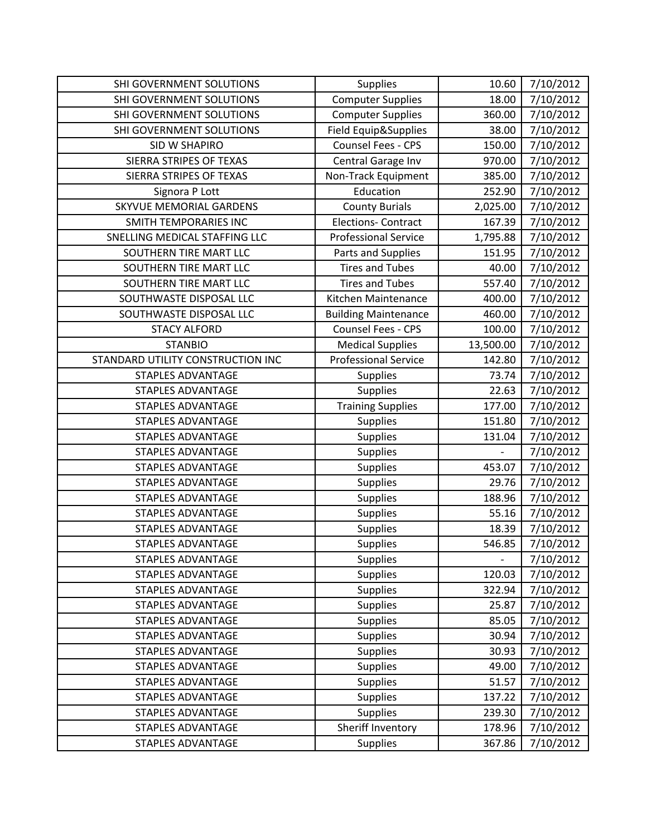| SHI GOVERNMENT SOLUTIONS          | <b>Supplies</b>             | 10.60                    | 7/10/2012 |
|-----------------------------------|-----------------------------|--------------------------|-----------|
| SHI GOVERNMENT SOLUTIONS          | <b>Computer Supplies</b>    | 18.00                    | 7/10/2012 |
| SHI GOVERNMENT SOLUTIONS          | <b>Computer Supplies</b>    | 360.00                   | 7/10/2012 |
| SHI GOVERNMENT SOLUTIONS          | Field Equip&Supplies        | 38.00                    | 7/10/2012 |
| <b>SID W SHAPIRO</b>              | Counsel Fees - CPS          | 150.00                   | 7/10/2012 |
| SIERRA STRIPES OF TEXAS           | Central Garage Inv          | 970.00                   | 7/10/2012 |
| SIERRA STRIPES OF TEXAS           | Non-Track Equipment         | 385.00                   | 7/10/2012 |
| Signora P Lott                    | Education                   | 252.90                   | 7/10/2012 |
| <b>SKYVUE MEMORIAL GARDENS</b>    | <b>County Burials</b>       | 2,025.00                 | 7/10/2012 |
| <b>SMITH TEMPORARIES INC</b>      | <b>Elections- Contract</b>  | 167.39                   | 7/10/2012 |
| SNELLING MEDICAL STAFFING LLC     | <b>Professional Service</b> | 1,795.88                 | 7/10/2012 |
| SOUTHERN TIRE MART LLC            | Parts and Supplies          | 151.95                   | 7/10/2012 |
| SOUTHERN TIRE MART LLC            | <b>Tires and Tubes</b>      | 40.00                    | 7/10/2012 |
| SOUTHERN TIRE MART LLC            | <b>Tires and Tubes</b>      | 557.40                   | 7/10/2012 |
| SOUTHWASTE DISPOSAL LLC           | Kitchen Maintenance         | 400.00                   | 7/10/2012 |
| SOUTHWASTE DISPOSAL LLC           | <b>Building Maintenance</b> | 460.00                   | 7/10/2012 |
| <b>STACY ALFORD</b>               | <b>Counsel Fees - CPS</b>   | 100.00                   | 7/10/2012 |
| <b>STANBIO</b>                    | <b>Medical Supplies</b>     | 13,500.00                | 7/10/2012 |
| STANDARD UTILITY CONSTRUCTION INC | <b>Professional Service</b> | 142.80                   | 7/10/2012 |
| <b>STAPLES ADVANTAGE</b>          | <b>Supplies</b>             | 73.74                    | 7/10/2012 |
| STAPLES ADVANTAGE                 | <b>Supplies</b>             | 22.63                    | 7/10/2012 |
| <b>STAPLES ADVANTAGE</b>          | <b>Training Supplies</b>    | 177.00                   | 7/10/2012 |
| <b>STAPLES ADVANTAGE</b>          | <b>Supplies</b>             | 151.80                   | 7/10/2012 |
| <b>STAPLES ADVANTAGE</b>          | <b>Supplies</b>             | 131.04                   | 7/10/2012 |
| <b>STAPLES ADVANTAGE</b>          | <b>Supplies</b>             | $\overline{\phantom{0}}$ | 7/10/2012 |
| <b>STAPLES ADVANTAGE</b>          | <b>Supplies</b>             | 453.07                   | 7/10/2012 |
| STAPLES ADVANTAGE                 | Supplies                    | 29.76                    | 7/10/2012 |
| <b>STAPLES ADVANTAGE</b>          | <b>Supplies</b>             | 188.96                   | 7/10/2012 |
| <b>STAPLES ADVANTAGE</b>          | <b>Supplies</b>             | 55.16                    | 7/10/2012 |
| <b>STAPLES ADVANTAGE</b>          | <b>Supplies</b>             | 18.39                    | 7/10/2012 |
| <b>STAPLES ADVANTAGE</b>          | Supplies                    | 546.85                   | 7/10/2012 |
| <b>STAPLES ADVANTAGE</b>          | <b>Supplies</b>             | $\overline{\phantom{a}}$ | 7/10/2012 |
| STAPLES ADVANTAGE                 | <b>Supplies</b>             | 120.03                   | 7/10/2012 |
| <b>STAPLES ADVANTAGE</b>          | <b>Supplies</b>             | 322.94                   | 7/10/2012 |
| <b>STAPLES ADVANTAGE</b>          | <b>Supplies</b>             | 25.87                    | 7/10/2012 |
| STAPLES ADVANTAGE                 | <b>Supplies</b>             | 85.05                    | 7/10/2012 |
| STAPLES ADVANTAGE                 | <b>Supplies</b>             | 30.94                    | 7/10/2012 |
| STAPLES ADVANTAGE                 | <b>Supplies</b>             | 30.93                    | 7/10/2012 |
| STAPLES ADVANTAGE                 | <b>Supplies</b>             | 49.00                    | 7/10/2012 |
| STAPLES ADVANTAGE                 | <b>Supplies</b>             | 51.57                    | 7/10/2012 |
| STAPLES ADVANTAGE                 | <b>Supplies</b>             | 137.22                   | 7/10/2012 |
| STAPLES ADVANTAGE                 | <b>Supplies</b>             | 239.30                   | 7/10/2012 |
| STAPLES ADVANTAGE                 | Sheriff Inventory           | 178.96                   | 7/10/2012 |
| STAPLES ADVANTAGE                 | <b>Supplies</b>             | 367.86                   | 7/10/2012 |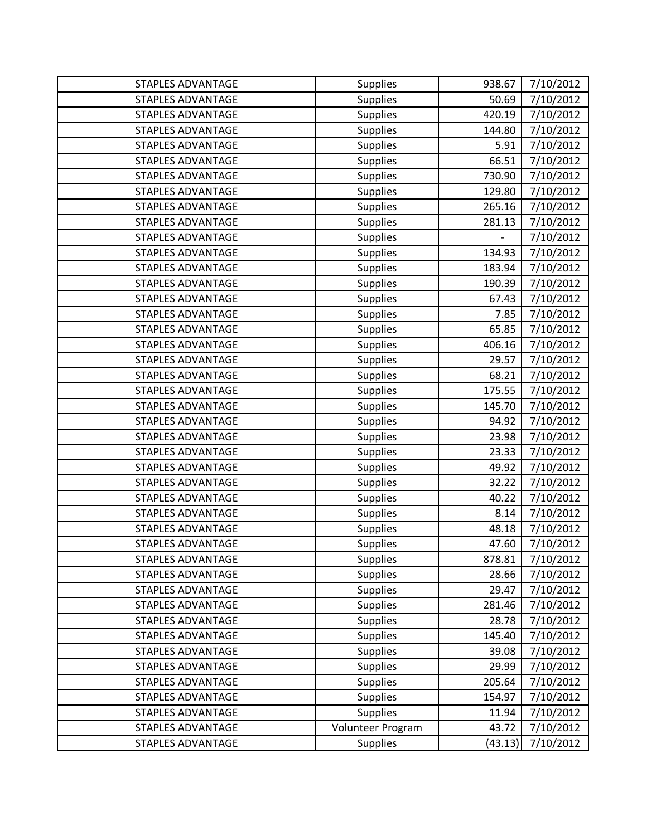| STAPLES ADVANTAGE        | Supplies          | 938.67  | 7/10/2012 |
|--------------------------|-------------------|---------|-----------|
| <b>STAPLES ADVANTAGE</b> | <b>Supplies</b>   | 50.69   | 7/10/2012 |
| <b>STAPLES ADVANTAGE</b> | <b>Supplies</b>   | 420.19  | 7/10/2012 |
| <b>STAPLES ADVANTAGE</b> | <b>Supplies</b>   | 144.80  | 7/10/2012 |
| <b>STAPLES ADVANTAGE</b> | Supplies          | 5.91    | 7/10/2012 |
| <b>STAPLES ADVANTAGE</b> | <b>Supplies</b>   | 66.51   | 7/10/2012 |
| <b>STAPLES ADVANTAGE</b> | <b>Supplies</b>   | 730.90  | 7/10/2012 |
| <b>STAPLES ADVANTAGE</b> | <b>Supplies</b>   | 129.80  | 7/10/2012 |
| <b>STAPLES ADVANTAGE</b> | <b>Supplies</b>   | 265.16  | 7/10/2012 |
| <b>STAPLES ADVANTAGE</b> | <b>Supplies</b>   | 281.13  | 7/10/2012 |
| <b>STAPLES ADVANTAGE</b> | <b>Supplies</b>   |         | 7/10/2012 |
| <b>STAPLES ADVANTAGE</b> | <b>Supplies</b>   | 134.93  | 7/10/2012 |
| STAPLES ADVANTAGE        | <b>Supplies</b>   | 183.94  | 7/10/2012 |
| <b>STAPLES ADVANTAGE</b> | <b>Supplies</b>   | 190.39  | 7/10/2012 |
| STAPLES ADVANTAGE        | <b>Supplies</b>   | 67.43   | 7/10/2012 |
| <b>STAPLES ADVANTAGE</b> | <b>Supplies</b>   | 7.85    | 7/10/2012 |
| <b>STAPLES ADVANTAGE</b> | <b>Supplies</b>   | 65.85   | 7/10/2012 |
| <b>STAPLES ADVANTAGE</b> | <b>Supplies</b>   | 406.16  | 7/10/2012 |
| <b>STAPLES ADVANTAGE</b> | <b>Supplies</b>   | 29.57   | 7/10/2012 |
| STAPLES ADVANTAGE        | <b>Supplies</b>   | 68.21   | 7/10/2012 |
| <b>STAPLES ADVANTAGE</b> | <b>Supplies</b>   | 175.55  | 7/10/2012 |
| <b>STAPLES ADVANTAGE</b> | <b>Supplies</b>   | 145.70  | 7/10/2012 |
| <b>STAPLES ADVANTAGE</b> | <b>Supplies</b>   | 94.92   | 7/10/2012 |
| <b>STAPLES ADVANTAGE</b> | <b>Supplies</b>   | 23.98   | 7/10/2012 |
| <b>STAPLES ADVANTAGE</b> | <b>Supplies</b>   | 23.33   | 7/10/2012 |
| <b>STAPLES ADVANTAGE</b> | <b>Supplies</b>   | 49.92   | 7/10/2012 |
| STAPLES ADVANTAGE        | <b>Supplies</b>   | 32.22   | 7/10/2012 |
| <b>STAPLES ADVANTAGE</b> | <b>Supplies</b>   | 40.22   | 7/10/2012 |
| <b>STAPLES ADVANTAGE</b> | <b>Supplies</b>   | 8.14    | 7/10/2012 |
| <b>STAPLES ADVANTAGE</b> | <b>Supplies</b>   | 48.18   | 7/10/2012 |
| <b>STAPLES ADVANTAGE</b> | Supplies          | 47.60   | 7/10/2012 |
| STAPLES ADVANTAGE        | <b>Supplies</b>   | 878.81  | 7/10/2012 |
| STAPLES ADVANTAGE        | Supplies          | 28.66   | 7/10/2012 |
| STAPLES ADVANTAGE        | <b>Supplies</b>   | 29.47   | 7/10/2012 |
| <b>STAPLES ADVANTAGE</b> | <b>Supplies</b>   | 281.46  | 7/10/2012 |
| <b>STAPLES ADVANTAGE</b> | <b>Supplies</b>   | 28.78   | 7/10/2012 |
| <b>STAPLES ADVANTAGE</b> | <b>Supplies</b>   | 145.40  | 7/10/2012 |
| STAPLES ADVANTAGE        | <b>Supplies</b>   | 39.08   | 7/10/2012 |
| <b>STAPLES ADVANTAGE</b> | <b>Supplies</b>   | 29.99   | 7/10/2012 |
| <b>STAPLES ADVANTAGE</b> | <b>Supplies</b>   | 205.64  | 7/10/2012 |
| STAPLES ADVANTAGE        | <b>Supplies</b>   | 154.97  | 7/10/2012 |
| <b>STAPLES ADVANTAGE</b> | <b>Supplies</b>   | 11.94   | 7/10/2012 |
| <b>STAPLES ADVANTAGE</b> | Volunteer Program | 43.72   | 7/10/2012 |
| STAPLES ADVANTAGE        | <b>Supplies</b>   | (43.13) | 7/10/2012 |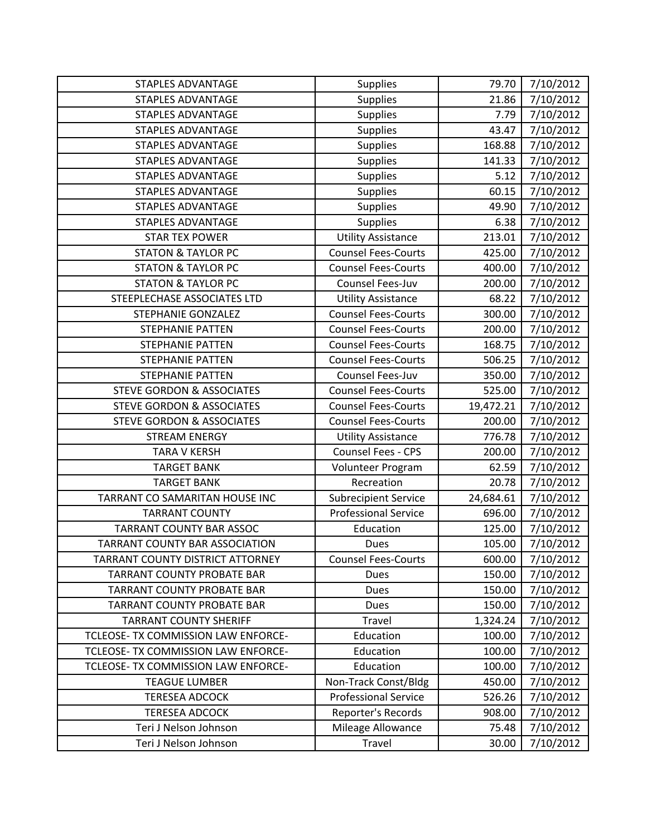| <b>STAPLES ADVANTAGE</b>             | <b>Supplies</b>             | 79.70     | 7/10/2012 |
|--------------------------------------|-----------------------------|-----------|-----------|
| <b>STAPLES ADVANTAGE</b>             | Supplies                    | 21.86     | 7/10/2012 |
| <b>STAPLES ADVANTAGE</b>             | <b>Supplies</b>             | 7.79      | 7/10/2012 |
| <b>STAPLES ADVANTAGE</b>             | Supplies                    | 43.47     | 7/10/2012 |
| <b>STAPLES ADVANTAGE</b>             | Supplies                    | 168.88    | 7/10/2012 |
| STAPLES ADVANTAGE                    | <b>Supplies</b>             | 141.33    | 7/10/2012 |
| <b>STAPLES ADVANTAGE</b>             | <b>Supplies</b>             | 5.12      | 7/10/2012 |
| STAPLES ADVANTAGE                    | <b>Supplies</b>             | 60.15     | 7/10/2012 |
| <b>STAPLES ADVANTAGE</b>             | Supplies                    | 49.90     | 7/10/2012 |
| <b>STAPLES ADVANTAGE</b>             | <b>Supplies</b>             | 6.38      | 7/10/2012 |
| <b>STAR TEX POWER</b>                | <b>Utility Assistance</b>   | 213.01    | 7/10/2012 |
| <b>STATON &amp; TAYLOR PC</b>        | <b>Counsel Fees-Courts</b>  | 425.00    | 7/10/2012 |
| <b>STATON &amp; TAYLOR PC</b>        | <b>Counsel Fees-Courts</b>  | 400.00    | 7/10/2012 |
| <b>STATON &amp; TAYLOR PC</b>        | Counsel Fees-Juv            | 200.00    | 7/10/2012 |
| STEEPLECHASE ASSOCIATES LTD          | <b>Utility Assistance</b>   | 68.22     | 7/10/2012 |
| STEPHANIE GONZALEZ                   | <b>Counsel Fees-Courts</b>  | 300.00    | 7/10/2012 |
| STEPHANIE PATTEN                     | <b>Counsel Fees-Courts</b>  | 200.00    | 7/10/2012 |
| <b>STEPHANIE PATTEN</b>              | <b>Counsel Fees-Courts</b>  | 168.75    | 7/10/2012 |
| <b>STEPHANIE PATTEN</b>              | <b>Counsel Fees-Courts</b>  | 506.25    | 7/10/2012 |
| <b>STEPHANIE PATTEN</b>              | Counsel Fees-Juv            | 350.00    | 7/10/2012 |
| <b>STEVE GORDON &amp; ASSOCIATES</b> | <b>Counsel Fees-Courts</b>  | 525.00    | 7/10/2012 |
| <b>STEVE GORDON &amp; ASSOCIATES</b> | <b>Counsel Fees-Courts</b>  | 19,472.21 | 7/10/2012 |
| <b>STEVE GORDON &amp; ASSOCIATES</b> | <b>Counsel Fees-Courts</b>  | 200.00    | 7/10/2012 |
| <b>STREAM ENERGY</b>                 | <b>Utility Assistance</b>   | 776.78    | 7/10/2012 |
| <b>TARA V KERSH</b>                  | Counsel Fees - CPS          | 200.00    | 7/10/2012 |
| <b>TARGET BANK</b>                   | Volunteer Program           | 62.59     | 7/10/2012 |
| <b>TARGET BANK</b>                   | Recreation                  | 20.78     | 7/10/2012 |
| TARRANT CO SAMARITAN HOUSE INC       | <b>Subrecipient Service</b> | 24,684.61 | 7/10/2012 |
| <b>TARRANT COUNTY</b>                | <b>Professional Service</b> | 696.00    | 7/10/2012 |
| <b>TARRANT COUNTY BAR ASSOC</b>      | Education                   | 125.00    | 7/10/2012 |
| TARRANT COUNTY BAR ASSOCIATION       | Dues                        | 105.00    | 7/10/2012 |
| TARRANT COUNTY DISTRICT ATTORNEY     | <b>Counsel Fees-Courts</b>  | 600.00    | 7/10/2012 |
| <b>TARRANT COUNTY PROBATE BAR</b>    | Dues                        | 150.00    | 7/10/2012 |
| <b>TARRANT COUNTY PROBATE BAR</b>    | Dues                        | 150.00    | 7/10/2012 |
| <b>TARRANT COUNTY PROBATE BAR</b>    | <b>Dues</b>                 | 150.00    | 7/10/2012 |
| <b>TARRANT COUNTY SHERIFF</b>        | Travel                      | 1,324.24  | 7/10/2012 |
| TCLEOSE- TX COMMISSION LAW ENFORCE-  | Education                   | 100.00    | 7/10/2012 |
| TCLEOSE- TX COMMISSION LAW ENFORCE-  | Education                   | 100.00    | 7/10/2012 |
| TCLEOSE- TX COMMISSION LAW ENFORCE-  | Education                   | 100.00    | 7/10/2012 |
| <b>TEAGUE LUMBER</b>                 | Non-Track Const/Bldg        | 450.00    | 7/10/2012 |
| <b>TERESEA ADCOCK</b>                | <b>Professional Service</b> | 526.26    | 7/10/2012 |
| <b>TERESEA ADCOCK</b>                | Reporter's Records          | 908.00    | 7/10/2012 |
| Teri J Nelson Johnson                | Mileage Allowance           | 75.48     | 7/10/2012 |
| Teri J Nelson Johnson                | Travel                      | 30.00     | 7/10/2012 |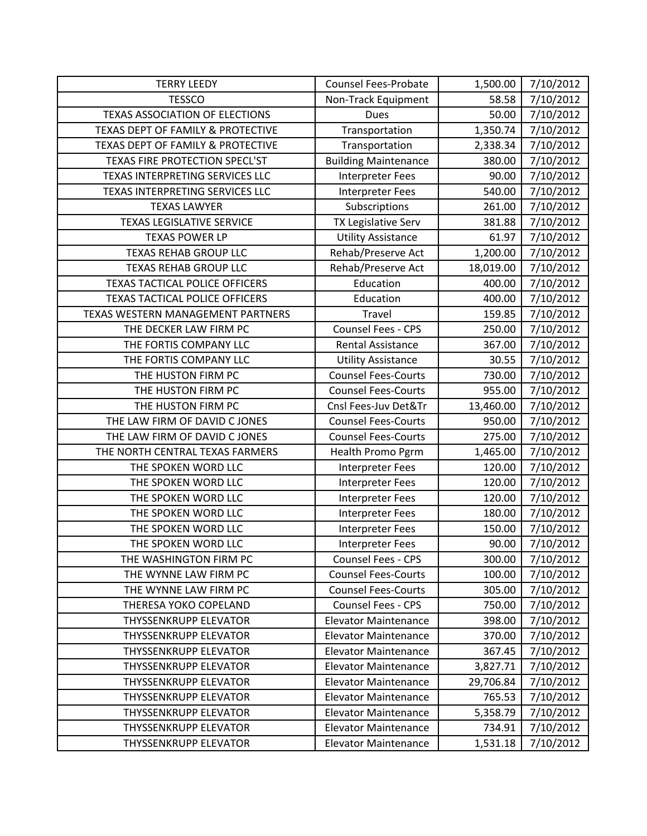| <b>TERRY LEEDY</b>                    | <b>Counsel Fees-Probate</b> | 1,500.00  | 7/10/2012 |
|---------------------------------------|-----------------------------|-----------|-----------|
| <b>TESSCO</b>                         | Non-Track Equipment         | 58.58     | 7/10/2012 |
| <b>TEXAS ASSOCIATION OF ELECTIONS</b> | Dues                        | 50.00     | 7/10/2012 |
| TEXAS DEPT OF FAMILY & PROTECTIVE     | Transportation              | 1,350.74  | 7/10/2012 |
| TEXAS DEPT OF FAMILY & PROTECTIVE     | Transportation              | 2,338.34  | 7/10/2012 |
| TEXAS FIRE PROTECTION SPECL'ST        | <b>Building Maintenance</b> | 380.00    | 7/10/2012 |
| TEXAS INTERPRETING SERVICES LLC       | <b>Interpreter Fees</b>     | 90.00     | 7/10/2012 |
| TEXAS INTERPRETING SERVICES LLC       | Interpreter Fees            | 540.00    | 7/10/2012 |
| <b>TEXAS LAWYER</b>                   | Subscriptions               | 261.00    | 7/10/2012 |
| <b>TEXAS LEGISLATIVE SERVICE</b>      | TX Legislative Serv         | 381.88    | 7/10/2012 |
| <b>TEXAS POWER LP</b>                 | <b>Utility Assistance</b>   | 61.97     | 7/10/2012 |
| <b>TEXAS REHAB GROUP LLC</b>          | Rehab/Preserve Act          | 1,200.00  | 7/10/2012 |
| <b>TEXAS REHAB GROUP LLC</b>          | Rehab/Preserve Act          | 18,019.00 | 7/10/2012 |
| <b>TEXAS TACTICAL POLICE OFFICERS</b> | Education                   | 400.00    | 7/10/2012 |
| TEXAS TACTICAL POLICE OFFICERS        | Education                   | 400.00    | 7/10/2012 |
| TEXAS WESTERN MANAGEMENT PARTNERS     | Travel                      | 159.85    | 7/10/2012 |
| THE DECKER LAW FIRM PC                | Counsel Fees - CPS          | 250.00    | 7/10/2012 |
| THE FORTIS COMPANY LLC                | Rental Assistance           | 367.00    | 7/10/2012 |
| THE FORTIS COMPANY LLC                | <b>Utility Assistance</b>   | 30.55     | 7/10/2012 |
| THE HUSTON FIRM PC                    | <b>Counsel Fees-Courts</b>  | 730.00    | 7/10/2012 |
| THE HUSTON FIRM PC                    | <b>Counsel Fees-Courts</b>  | 955.00    | 7/10/2012 |
| THE HUSTON FIRM PC                    | Cnsl Fees-Juv Det&Tr        | 13,460.00 | 7/10/2012 |
| THE LAW FIRM OF DAVID C JONES         | <b>Counsel Fees-Courts</b>  | 950.00    | 7/10/2012 |
| THE LAW FIRM OF DAVID C JONES         | <b>Counsel Fees-Courts</b>  | 275.00    | 7/10/2012 |
| THE NORTH CENTRAL TEXAS FARMERS       | Health Promo Pgrm           | 1,465.00  | 7/10/2012 |
| THE SPOKEN WORD LLC                   | <b>Interpreter Fees</b>     | 120.00    | 7/10/2012 |
| THE SPOKEN WORD LLC                   | Interpreter Fees            | 120.00    | 7/10/2012 |
| THE SPOKEN WORD LLC                   | <b>Interpreter Fees</b>     | 120.00    | 7/10/2012 |
| THE SPOKEN WORD LLC                   | <b>Interpreter Fees</b>     | 180.00    | 7/10/2012 |
| THE SPOKEN WORD LLC                   | <b>Interpreter Fees</b>     | 150.00    | 7/10/2012 |
| THE SPOKEN WORD LLC                   | <b>Interpreter Fees</b>     | 90.00     | 7/10/2012 |
| THE WASHINGTON FIRM PC                | <b>Counsel Fees - CPS</b>   | 300.00    | 7/10/2012 |
| THE WYNNE LAW FIRM PC                 | <b>Counsel Fees-Courts</b>  | 100.00    | 7/10/2012 |
| THE WYNNE LAW FIRM PC                 | <b>Counsel Fees-Courts</b>  | 305.00    | 7/10/2012 |
| THERESA YOKO COPELAND                 | <b>Counsel Fees - CPS</b>   | 750.00    | 7/10/2012 |
| <b>THYSSENKRUPP ELEVATOR</b>          | <b>Elevator Maintenance</b> | 398.00    | 7/10/2012 |
| <b>THYSSENKRUPP ELEVATOR</b>          | <b>Elevator Maintenance</b> | 370.00    | 7/10/2012 |
| <b>THYSSENKRUPP ELEVATOR</b>          | <b>Elevator Maintenance</b> | 367.45    | 7/10/2012 |
| <b>THYSSENKRUPP ELEVATOR</b>          | <b>Elevator Maintenance</b> | 3,827.71  | 7/10/2012 |
| <b>THYSSENKRUPP ELEVATOR</b>          | <b>Elevator Maintenance</b> | 29,706.84 | 7/10/2012 |
| <b>THYSSENKRUPP ELEVATOR</b>          | <b>Elevator Maintenance</b> | 765.53    | 7/10/2012 |
| <b>THYSSENKRUPP ELEVATOR</b>          | <b>Elevator Maintenance</b> | 5,358.79  | 7/10/2012 |
| <b>THYSSENKRUPP ELEVATOR</b>          | <b>Elevator Maintenance</b> | 734.91    | 7/10/2012 |
| <b>THYSSENKRUPP ELEVATOR</b>          | <b>Elevator Maintenance</b> | 1,531.18  | 7/10/2012 |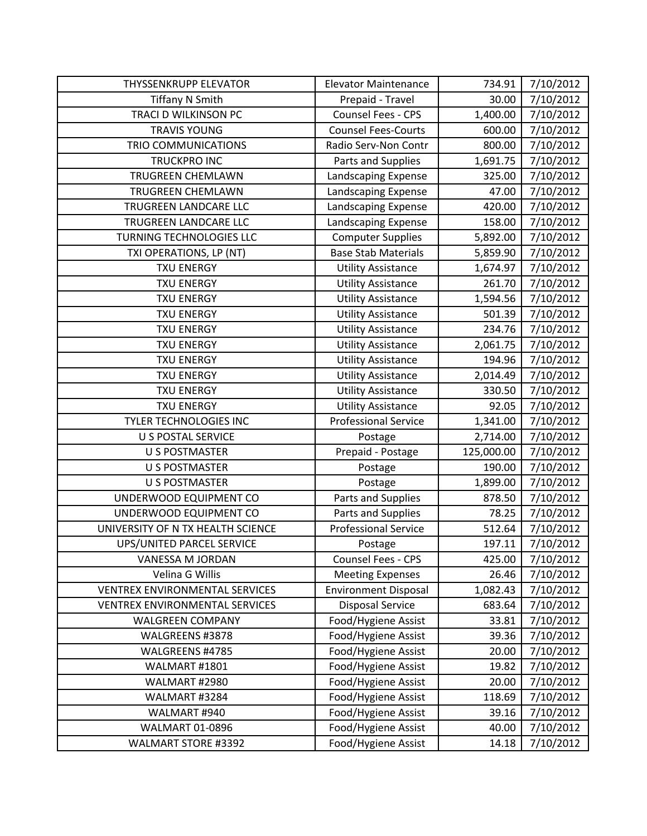| <b>THYSSENKRUPP ELEVATOR</b>          | <b>Elevator Maintenance</b> | 734.91     | 7/10/2012 |
|---------------------------------------|-----------------------------|------------|-----------|
| <b>Tiffany N Smith</b>                | Prepaid - Travel            | 30.00      | 7/10/2012 |
| TRACI D WILKINSON PC                  | Counsel Fees - CPS          | 1,400.00   | 7/10/2012 |
| <b>TRAVIS YOUNG</b>                   | <b>Counsel Fees-Courts</b>  | 600.00     | 7/10/2012 |
| TRIO COMMUNICATIONS                   | Radio Serv-Non Contr        | 800.00     | 7/10/2012 |
| <b>TRUCKPRO INC</b>                   | Parts and Supplies          | 1,691.75   | 7/10/2012 |
| <b>TRUGREEN CHEMLAWN</b>              | Landscaping Expense         | 325.00     | 7/10/2012 |
| TRUGREEN CHEMLAWN                     | Landscaping Expense         | 47.00      | 7/10/2012 |
| TRUGREEN LANDCARE LLC                 | Landscaping Expense         | 420.00     | 7/10/2012 |
| TRUGREEN LANDCARE LLC                 | Landscaping Expense         | 158.00     | 7/10/2012 |
| TURNING TECHNOLOGIES LLC              | <b>Computer Supplies</b>    | 5,892.00   | 7/10/2012 |
| TXI OPERATIONS, LP (NT)               | <b>Base Stab Materials</b>  | 5,859.90   | 7/10/2012 |
| <b>TXU ENERGY</b>                     | <b>Utility Assistance</b>   | 1,674.97   | 7/10/2012 |
| <b>TXU ENERGY</b>                     | <b>Utility Assistance</b>   | 261.70     | 7/10/2012 |
| <b>TXU ENERGY</b>                     | <b>Utility Assistance</b>   | 1,594.56   | 7/10/2012 |
| <b>TXU ENERGY</b>                     | <b>Utility Assistance</b>   | 501.39     | 7/10/2012 |
| <b>TXU ENERGY</b>                     | <b>Utility Assistance</b>   | 234.76     | 7/10/2012 |
| <b>TXU ENERGY</b>                     | <b>Utility Assistance</b>   | 2,061.75   | 7/10/2012 |
| <b>TXU ENERGY</b>                     | <b>Utility Assistance</b>   | 194.96     | 7/10/2012 |
| <b>TXU ENERGY</b>                     | <b>Utility Assistance</b>   | 2,014.49   | 7/10/2012 |
| <b>TXU ENERGY</b>                     | <b>Utility Assistance</b>   | 330.50     | 7/10/2012 |
| <b>TXU ENERGY</b>                     | <b>Utility Assistance</b>   | 92.05      | 7/10/2012 |
| TYLER TECHNOLOGIES INC                | <b>Professional Service</b> | 1,341.00   | 7/10/2012 |
| <b>U S POSTAL SERVICE</b>             | Postage                     | 2,714.00   | 7/10/2012 |
| <b>U S POSTMASTER</b>                 | Prepaid - Postage           | 125,000.00 | 7/10/2012 |
| <b>U S POSTMASTER</b>                 | Postage                     | 190.00     | 7/10/2012 |
| <b>U S POSTMASTER</b>                 | Postage                     | 1,899.00   | 7/10/2012 |
| UNDERWOOD EQUIPMENT CO                | Parts and Supplies          | 878.50     | 7/10/2012 |
| UNDERWOOD EQUIPMENT CO                | Parts and Supplies          | 78.25      | 7/10/2012 |
| UNIVERSITY OF N TX HEALTH SCIENCE     | <b>Professional Service</b> | 512.64     | 7/10/2012 |
| UPS/UNITED PARCEL SERVICE             | Postage                     | 197.11     | 7/10/2012 |
| VANESSA M JORDAN                      | Counsel Fees - CPS          | 425.00     | 7/10/2012 |
| Velina G Willis                       | <b>Meeting Expenses</b>     | 26.46      | 7/10/2012 |
| <b>VENTREX ENVIRONMENTAL SERVICES</b> | <b>Environment Disposal</b> | 1,082.43   | 7/10/2012 |
| VENTREX ENVIRONMENTAL SERVICES        | <b>Disposal Service</b>     | 683.64     | 7/10/2012 |
| <b>WALGREEN COMPANY</b>               | Food/Hygiene Assist         | 33.81      | 7/10/2012 |
| WALGREENS #3878                       | Food/Hygiene Assist         | 39.36      | 7/10/2012 |
| WALGREENS #4785                       | Food/Hygiene Assist         | 20.00      | 7/10/2012 |
| WALMART #1801                         | Food/Hygiene Assist         | 19.82      | 7/10/2012 |
| WALMART #2980                         | Food/Hygiene Assist         | 20.00      | 7/10/2012 |
| WALMART #3284                         | Food/Hygiene Assist         | 118.69     | 7/10/2012 |
| WALMART #940                          | Food/Hygiene Assist         | 39.16      | 7/10/2012 |
| WALMART 01-0896                       | Food/Hygiene Assist         | 40.00      | 7/10/2012 |
| <b>WALMART STORE #3392</b>            | Food/Hygiene Assist         | 14.18      | 7/10/2012 |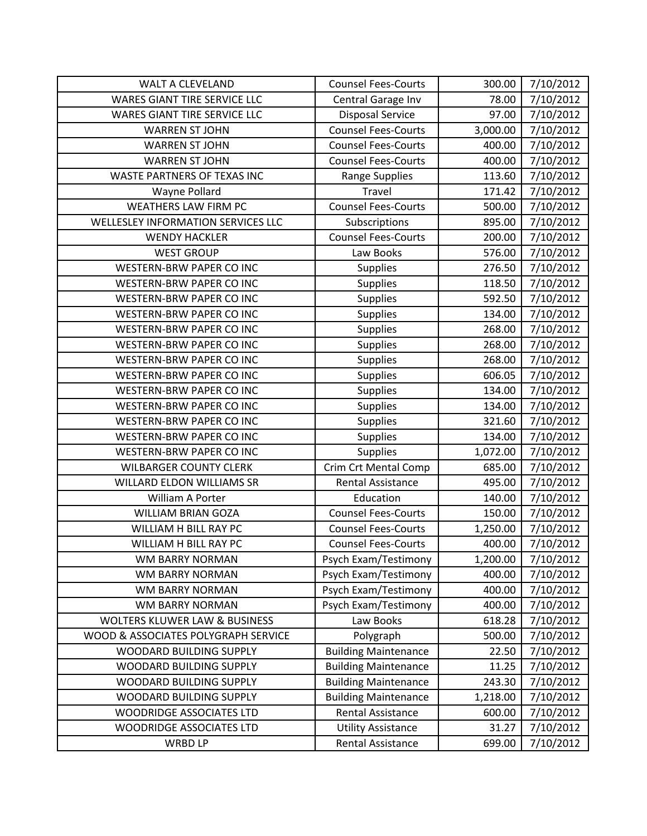| WALT A CLEVELAND                          | <b>Counsel Fees-Courts</b>  | 300.00   | 7/10/2012 |
|-------------------------------------------|-----------------------------|----------|-----------|
| <b>WARES GIANT TIRE SERVICE LLC</b>       | Central Garage Inv          | 78.00    | 7/10/2012 |
| <b>WARES GIANT TIRE SERVICE LLC</b>       | <b>Disposal Service</b>     | 97.00    | 7/10/2012 |
| <b>WARREN ST JOHN</b>                     | <b>Counsel Fees-Courts</b>  | 3,000.00 | 7/10/2012 |
| <b>WARREN ST JOHN</b>                     | <b>Counsel Fees-Courts</b>  | 400.00   | 7/10/2012 |
| <b>WARREN ST JOHN</b>                     | <b>Counsel Fees-Courts</b>  | 400.00   | 7/10/2012 |
| WASTE PARTNERS OF TEXAS INC               | Range Supplies              | 113.60   | 7/10/2012 |
| Wayne Pollard                             | <b>Travel</b>               | 171.42   | 7/10/2012 |
| <b>WEATHERS LAW FIRM PC</b>               | <b>Counsel Fees-Courts</b>  | 500.00   | 7/10/2012 |
| <b>WELLESLEY INFORMATION SERVICES LLC</b> | Subscriptions               | 895.00   | 7/10/2012 |
| <b>WENDY HACKLER</b>                      | <b>Counsel Fees-Courts</b>  | 200.00   | 7/10/2012 |
| <b>WEST GROUP</b>                         | Law Books                   | 576.00   | 7/10/2012 |
| <b>WESTERN-BRW PAPER CO INC</b>           | <b>Supplies</b>             | 276.50   | 7/10/2012 |
| WESTERN-BRW PAPER CO INC                  | <b>Supplies</b>             | 118.50   | 7/10/2012 |
| <b>WESTERN-BRW PAPER CO INC</b>           | <b>Supplies</b>             | 592.50   | 7/10/2012 |
| <b>WESTERN-BRW PAPER CO INC</b>           | Supplies                    | 134.00   | 7/10/2012 |
| <b>WESTERN-BRW PAPER CO INC</b>           | <b>Supplies</b>             | 268.00   | 7/10/2012 |
| <b>WESTERN-BRW PAPER CO INC</b>           | <b>Supplies</b>             | 268.00   | 7/10/2012 |
| <b>WESTERN-BRW PAPER CO INC</b>           | <b>Supplies</b>             | 268.00   | 7/10/2012 |
| WESTERN-BRW PAPER CO INC                  | <b>Supplies</b>             | 606.05   | 7/10/2012 |
| <b>WESTERN-BRW PAPER CO INC</b>           | <b>Supplies</b>             | 134.00   | 7/10/2012 |
| <b>WESTERN-BRW PAPER CO INC</b>           | <b>Supplies</b>             | 134.00   | 7/10/2012 |
| WESTERN-BRW PAPER CO INC                  | Supplies                    | 321.60   | 7/10/2012 |
| WESTERN-BRW PAPER CO INC                  | Supplies                    | 134.00   | 7/10/2012 |
| <b>WESTERN-BRW PAPER CO INC</b>           | <b>Supplies</b>             | 1,072.00 | 7/10/2012 |
| <b>WILBARGER COUNTY CLERK</b>             | Crim Crt Mental Comp        | 685.00   | 7/10/2012 |
| <b>WILLARD ELDON WILLIAMS SR</b>          | <b>Rental Assistance</b>    | 495.00   | 7/10/2012 |
| William A Porter                          | Education                   | 140.00   | 7/10/2012 |
| <b>WILLIAM BRIAN GOZA</b>                 | <b>Counsel Fees-Courts</b>  | 150.00   | 7/10/2012 |
| WILLIAM H BILL RAY PC                     | <b>Counsel Fees-Courts</b>  | 1,250.00 | 7/10/2012 |
| WILLIAM H BILL RAY PC                     | <b>Counsel Fees-Courts</b>  | 400.00   | 7/10/2012 |
| WM BARRY NORMAN                           | Psych Exam/Testimony        | 1,200.00 | 7/10/2012 |
| WM BARRY NORMAN                           | Psych Exam/Testimony        | 400.00   | 7/10/2012 |
| WM BARRY NORMAN                           | Psych Exam/Testimony        | 400.00   | 7/10/2012 |
| WM BARRY NORMAN                           | Psych Exam/Testimony        | 400.00   | 7/10/2012 |
| <b>WOLTERS KLUWER LAW &amp; BUSINESS</b>  | Law Books                   | 618.28   | 7/10/2012 |
| WOOD & ASSOCIATES POLYGRAPH SERVICE       | Polygraph                   | 500.00   | 7/10/2012 |
| WOODARD BUILDING SUPPLY                   | <b>Building Maintenance</b> | 22.50    | 7/10/2012 |
| WOODARD BUILDING SUPPLY                   | <b>Building Maintenance</b> | 11.25    | 7/10/2012 |
| WOODARD BUILDING SUPPLY                   | <b>Building Maintenance</b> | 243.30   | 7/10/2012 |
| WOODARD BUILDING SUPPLY                   | <b>Building Maintenance</b> | 1,218.00 | 7/10/2012 |
| <b>WOODRIDGE ASSOCIATES LTD</b>           | <b>Rental Assistance</b>    | 600.00   | 7/10/2012 |
| <b>WOODRIDGE ASSOCIATES LTD</b>           | <b>Utility Assistance</b>   | 31.27    | 7/10/2012 |
| WRBD LP                                   | Rental Assistance           | 699.00   | 7/10/2012 |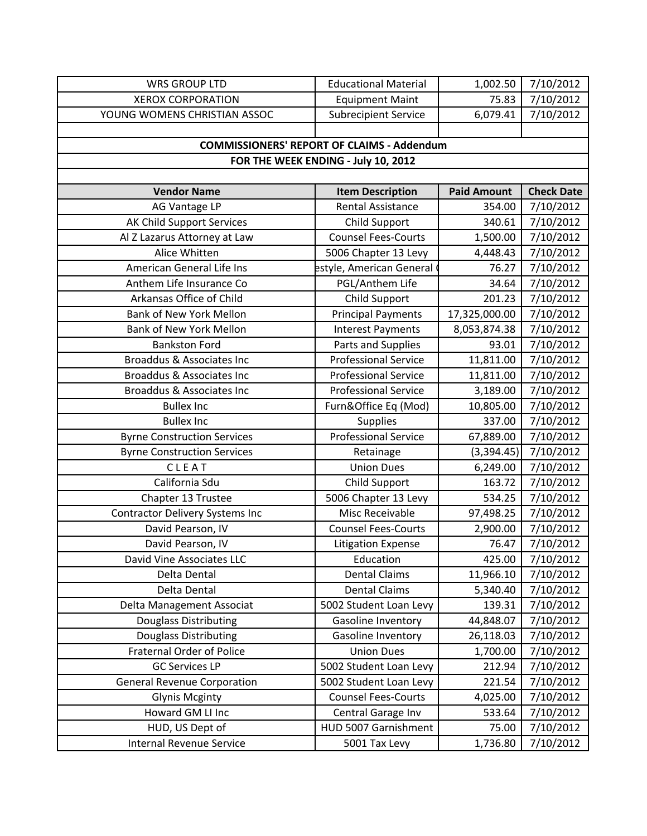| <b>WRS GROUP LTD</b>                   | <b>Educational Material</b>                       | 1,002.50           | 7/10/2012         |
|----------------------------------------|---------------------------------------------------|--------------------|-------------------|
| <b>XEROX CORPORATION</b>               | <b>Equipment Maint</b>                            | 75.83              | 7/10/2012         |
| YOUNG WOMENS CHRISTIAN ASSOC           | <b>Subrecipient Service</b>                       | 6,079.41           | 7/10/2012         |
|                                        |                                                   |                    |                   |
|                                        | <b>COMMISSIONERS' REPORT OF CLAIMS - Addendum</b> |                    |                   |
|                                        | FOR THE WEEK ENDING - July 10, 2012               |                    |                   |
|                                        |                                                   |                    |                   |
| <b>Vendor Name</b>                     | <b>Item Description</b>                           | <b>Paid Amount</b> | <b>Check Date</b> |
| AG Vantage LP                          | <b>Rental Assistance</b>                          | 354.00             | 7/10/2012         |
| AK Child Support Services              | Child Support                                     | 340.61             | 7/10/2012         |
| Al Z Lazarus Attorney at Law           | <b>Counsel Fees-Courts</b>                        | 1,500.00           | 7/10/2012         |
| Alice Whitten                          | 5006 Chapter 13 Levy                              | 4,448.43           | 7/10/2012         |
| American General Life Ins              | estyle, American General                          | 76.27              | 7/10/2012         |
| Anthem Life Insurance Co               | PGL/Anthem Life                                   | 34.64              | 7/10/2012         |
| Arkansas Office of Child               | Child Support                                     | 201.23             | 7/10/2012         |
| <b>Bank of New York Mellon</b>         | <b>Principal Payments</b>                         | 17,325,000.00      | 7/10/2012         |
| Bank of New York Mellon                | <b>Interest Payments</b>                          | 8,053,874.38       | 7/10/2012         |
| <b>Bankston Ford</b>                   | Parts and Supplies                                | 93.01              | 7/10/2012         |
| Broaddus & Associates Inc              | <b>Professional Service</b>                       | 11,811.00          | 7/10/2012         |
| Broaddus & Associates Inc              | <b>Professional Service</b>                       | 11,811.00          | 7/10/2012         |
| Broaddus & Associates Inc              | <b>Professional Service</b>                       | 3,189.00           | 7/10/2012         |
| <b>Bullex Inc</b>                      | Furn&Office Eq (Mod)                              | 10,805.00          | 7/10/2012         |
| <b>Bullex Inc</b>                      | <b>Supplies</b>                                   | 337.00             | 7/10/2012         |
| <b>Byrne Construction Services</b>     | <b>Professional Service</b>                       | 67,889.00          | 7/10/2012         |
| <b>Byrne Construction Services</b>     | Retainage                                         | (3, 394.45)        | 7/10/2012         |
| CLEAT                                  | <b>Union Dues</b>                                 | 6,249.00           | 7/10/2012         |
| California Sdu                         | Child Support                                     | 163.72             | 7/10/2012         |
| Chapter 13 Trustee                     | 5006 Chapter 13 Levy                              | 534.25             | 7/10/2012         |
| <b>Contractor Delivery Systems Inc</b> | Misc Receivable                                   | 97,498.25          | 7/10/2012         |
| David Pearson, IV                      | <b>Counsel Fees-Courts</b>                        | 2,900.00           | 7/10/2012         |
| David Pearson, IV                      | <b>Litigation Expense</b>                         | 76.47              | 7/10/2012         |
| David Vine Associates LLC              | Education                                         | 425.00             | 7/10/2012         |
| Delta Dental                           | <b>Dental Claims</b>                              | 11,966.10          | 7/10/2012         |
| Delta Dental                           | <b>Dental Claims</b>                              | 5,340.40           | 7/10/2012         |
| Delta Management Associat              | 5002 Student Loan Levy                            | 139.31             | 7/10/2012         |
| <b>Douglass Distributing</b>           | Gasoline Inventory                                | 44,848.07          | 7/10/2012         |
| <b>Douglass Distributing</b>           | Gasoline Inventory                                | 26,118.03          | 7/10/2012         |
| <b>Fraternal Order of Police</b>       | <b>Union Dues</b>                                 | 1,700.00           | 7/10/2012         |
| <b>GC Services LP</b>                  | 5002 Student Loan Levy                            | 212.94             | 7/10/2012         |
| <b>General Revenue Corporation</b>     | 5002 Student Loan Levy                            | 221.54             | 7/10/2012         |
| <b>Glynis Mcginty</b>                  | <b>Counsel Fees-Courts</b>                        | 4,025.00           | 7/10/2012         |
| Howard GM LI Inc                       | Central Garage Inv                                | 533.64             | 7/10/2012         |
| HUD, US Dept of                        | HUD 5007 Garnishment                              | 75.00              | 7/10/2012         |
| <b>Internal Revenue Service</b>        | 5001 Tax Levy                                     | 1,736.80           | 7/10/2012         |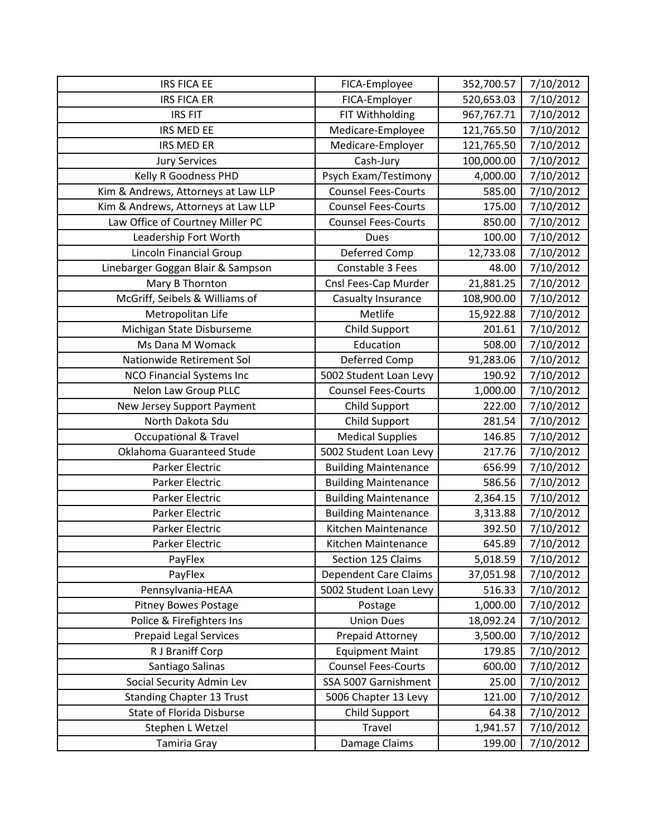| <b>IRS FICA EE</b>                  | FICA-Employee                | 352,700.57 | 7/10/2012 |
|-------------------------------------|------------------------------|------------|-----------|
| <b>IRS FICA ER</b>                  | FICA-Employer                | 520,653.03 | 7/10/2012 |
| <b>IRS FIT</b>                      | FIT Withholding              | 967,767.71 | 7/10/2012 |
| IRS MED EE                          | Medicare-Employee            | 121,765.50 | 7/10/2012 |
| <b>IRS MED ER</b>                   | Medicare-Employer            | 121,765.50 | 7/10/2012 |
| <b>Jury Services</b>                | Cash-Jury                    | 100,000.00 | 7/10/2012 |
| Kelly R Goodness PHD                | Psych Exam/Testimony         | 4,000.00   | 7/10/2012 |
| Kim & Andrews, Attorneys at Law LLP | <b>Counsel Fees-Courts</b>   | 585.00     | 7/10/2012 |
| Kim & Andrews, Attorneys at Law LLP | <b>Counsel Fees-Courts</b>   | 175.00     | 7/10/2012 |
| Law Office of Courtney Miller PC    | <b>Counsel Fees-Courts</b>   | 850.00     | 7/10/2012 |
| Leadership Fort Worth               | <b>Dues</b>                  | 100.00     | 7/10/2012 |
| <b>Lincoln Financial Group</b>      | Deferred Comp                | 12,733.08  | 7/10/2012 |
| Linebarger Goggan Blair & Sampson   | Constable 3 Fees             | 48.00      | 7/10/2012 |
| Mary B Thornton                     | Cnsl Fees-Cap Murder         | 21,881.25  | 7/10/2012 |
| McGriff, Seibels & Williams of      | Casualty Insurance           | 108,900.00 | 7/10/2012 |
| Metropolitan Life                   | Metlife                      | 15,922.88  | 7/10/2012 |
| Michigan State Disburseme           | Child Support                | 201.61     | 7/10/2012 |
| Ms Dana M Womack                    | Education                    | 508.00     | 7/10/2012 |
| Nationwide Retirement Sol           | Deferred Comp                | 91,283.06  | 7/10/2012 |
| <b>NCO Financial Systems Inc</b>    | 5002 Student Loan Levy       | 190.92     | 7/10/2012 |
| Nelon Law Group PLLC                | <b>Counsel Fees-Courts</b>   | 1,000.00   | 7/10/2012 |
| New Jersey Support Payment          | Child Support                | 222.00     | 7/10/2012 |
| North Dakota Sdu                    | <b>Child Support</b>         | 281.54     | 7/10/2012 |
| <b>Occupational &amp; Travel</b>    | <b>Medical Supplies</b>      | 146.85     | 7/10/2012 |
| Oklahoma Guaranteed Stude           | 5002 Student Loan Levy       | 217.76     | 7/10/2012 |
| Parker Electric                     | <b>Building Maintenance</b>  | 656.99     | 7/10/2012 |
| Parker Electric                     | <b>Building Maintenance</b>  | 586.56     | 7/10/2012 |
| Parker Electric                     | <b>Building Maintenance</b>  | 2,364.15   | 7/10/2012 |
| Parker Electric                     | <b>Building Maintenance</b>  | 3,313.88   | 7/10/2012 |
| Parker Electric                     | Kitchen Maintenance          | 392.50     | 7/10/2012 |
| Parker Electric                     | Kitchen Maintenance          | 645.89     | 7/10/2012 |
| PayFlex                             | Section 125 Claims           | 5,018.59   | 7/10/2012 |
| PayFlex                             | <b>Dependent Care Claims</b> | 37,051.98  | 7/10/2012 |
| Pennsylvania-HEAA                   | 5002 Student Loan Levy       | 516.33     | 7/10/2012 |
| <b>Pitney Bowes Postage</b>         | Postage                      | 1,000.00   | 7/10/2012 |
| Police & Firefighters Ins           | <b>Union Dues</b>            | 18,092.24  | 7/10/2012 |
| <b>Prepaid Legal Services</b>       | Prepaid Attorney             | 3,500.00   | 7/10/2012 |
| R J Braniff Corp                    | <b>Equipment Maint</b>       | 179.85     | 7/10/2012 |
| Santiago Salinas                    | <b>Counsel Fees-Courts</b>   | 600.00     | 7/10/2012 |
| Social Security Admin Lev           | SSA 5007 Garnishment         | 25.00      | 7/10/2012 |
| <b>Standing Chapter 13 Trust</b>    | 5006 Chapter 13 Levy         | 121.00     | 7/10/2012 |
| State of Florida Disburse           | <b>Child Support</b>         | 64.38      | 7/10/2012 |
| Stephen L Wetzel                    | Travel                       | 1,941.57   | 7/10/2012 |
| Tamiria Gray                        | Damage Claims                | 199.00     | 7/10/2012 |